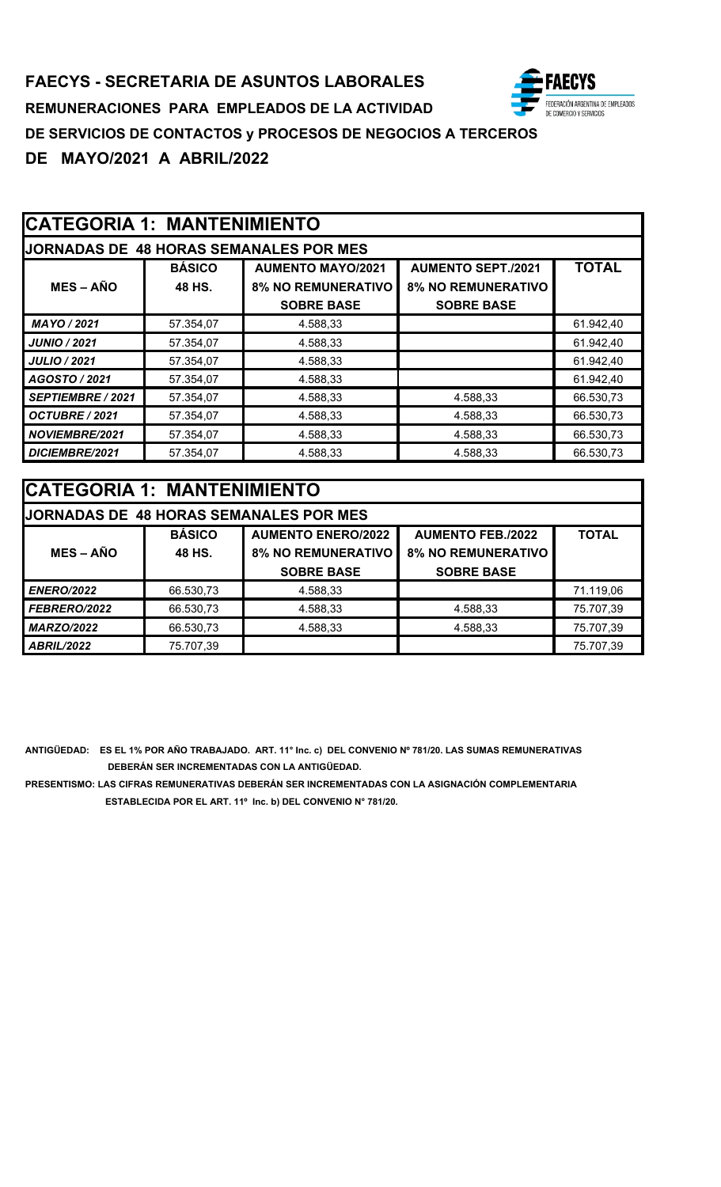# **CATEGORIA 1: MANTENIMIENTO**

| <b>JORNADAS DE 48 HORAS SEMANALES POR MES</b> |               |                           |                           |              |  |
|-----------------------------------------------|---------------|---------------------------|---------------------------|--------------|--|
|                                               | <b>BÁSICO</b> | <b>AUMENTO MAYO/2021</b>  | <b>AUMENTO SEPT./2021</b> | <b>TOTAL</b> |  |
| $MES - AÑO$                                   | 48 HS.        | <b>8% NO REMUNERATIVO</b> | <b>8% NO REMUNERATIVO</b> |              |  |
|                                               |               | <b>SOBRE BASE</b>         | <b>SOBRE BASE</b>         |              |  |
| MAYO / 2021                                   | 57.354,07     | 4.588,33                  |                           | 61.942,40    |  |
| <b>JUNIO / 2021</b>                           | 57.354,07     | 4.588.33                  |                           | 61.942,40    |  |
| <b>JULIO / 2021</b>                           | 57.354,07     | 4.588,33                  |                           | 61.942,40    |  |
| AGOSTO / 2021                                 | 57.354,07     | 4.588,33                  |                           | 61.942,40    |  |
| SEPTIEMBRE / 2021                             | 57.354,07     | 4.588,33                  | 4.588,33                  | 66.530,73    |  |
| OCTUBRE / 2021                                | 57.354,07     | 4.588,33                  | 4.588,33                  | 66.530,73    |  |
| <b>NOVIEMBRE/2021</b>                         | 57.354,07     | 4.588,33                  | 4.588,33                  | 66.530,73    |  |
| DICIEMBRE/2021                                | 57.354,07     | 4.588,33                  | 4.588,33                  | 66.530,73    |  |

| <b>CATEGORIA 1: MANTENIMIENTO</b> |               |                                                |                           |              |
|-----------------------------------|---------------|------------------------------------------------|---------------------------|--------------|
|                                   |               | <b>JJORNADAS DE 48 HORAS SEMANALES POR MES</b> |                           |              |
|                                   | <b>BÁSICO</b> | <b>AUMENTO ENERO/2022</b>                      | <b>AUMENTO FEB./2022</b>  | <b>TOTAL</b> |
| $MES - AÑO$                       | 48 HS.        | <b>8% NO REMUNERATIVO</b>                      | <b>8% NO REMUNERATIVO</b> |              |
|                                   |               | <b>SOBRE BASE</b>                              | <b>SOBRE BASE</b>         |              |
| <b>ENERO/2022</b>                 | 66.530,73     | 4.588,33                                       |                           | 71.119,06    |
| FEBRERO/2022                      | 66.530,73     | 4.588,33                                       | 4.588,33                  | 75.707,39    |
| <b>MARZO/2022</b>                 | 66.530,73     | 4.588,33                                       | 4.588,33                  | 75.707,39    |
| <b>ABRIL/2022</b>                 | 75.707,39     |                                                |                           | 75.707,39    |

**ANTIGÜEDAD: ES EL 1% POR AÑO TRABAJADO. ART. 11° Inc. c) DEL CONVENIO Nº 781/20. LAS SUMAS REMUNERATIVAS DEBERÁN SER INCREMENTADAS CON LA ANTIGÜEDAD.**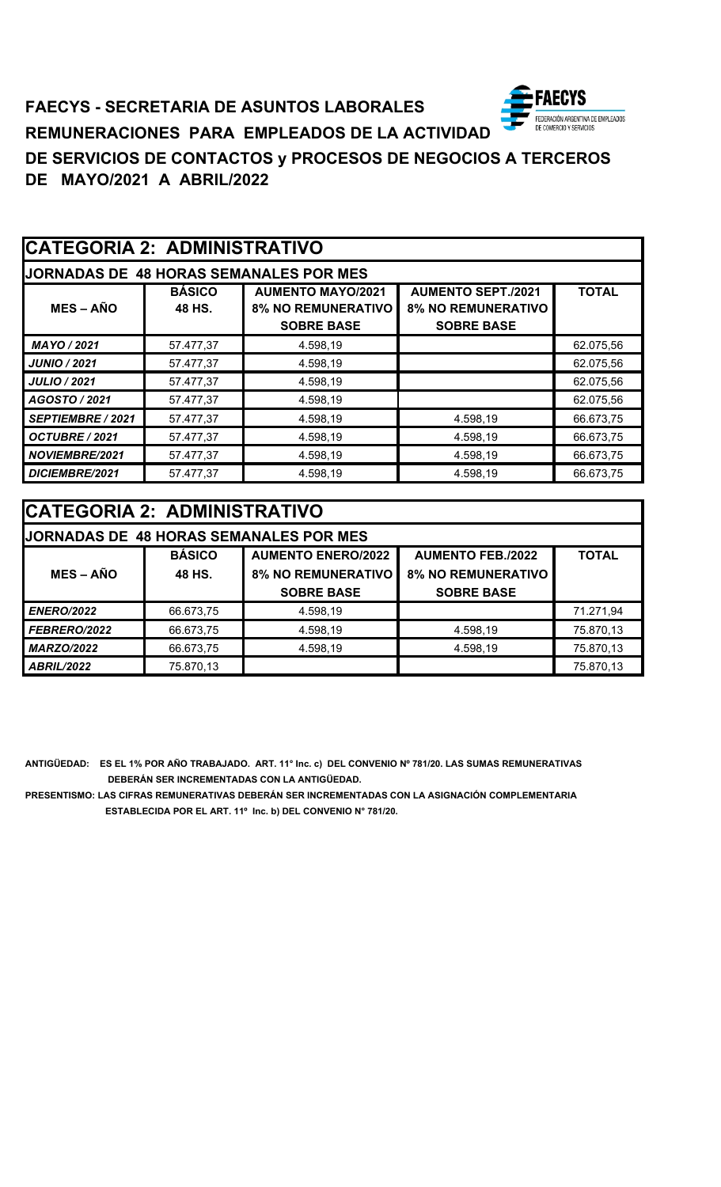### ECYS **FAECYS - SECRETARIA DE ASUNTOS LABORALES** FEDERACIÓN ARGENTINA DE EMPLEADOS<br>DE COMERCIO Y SERVICIOS **REMUNERACIONES PARA EMPLEADOS DE LA ACTIVIDAD DE SERVICIOS DE CONTACTOS y PROCESOS DE NEGOCIOS A TERCEROS DE MAYO/2021 A ABRIL/2022**

| <b>CATEGORIA 2: ADMINISTRATIVO</b> |                         |                                                                            |                                                                             |              |
|------------------------------------|-------------------------|----------------------------------------------------------------------------|-----------------------------------------------------------------------------|--------------|
|                                    |                         | <b>JORNADAS DE 48 HORAS SEMANALES POR MES</b>                              |                                                                             |              |
| $MES - AÑO$                        | <b>BÁSICO</b><br>48 HS. | <b>AUMENTO MAYO/2021</b><br><b>8% NO REMUNERATIVO</b><br><b>SOBRE BASE</b> | <b>AUMENTO SEPT./2021</b><br><b>8% NO REMUNERATIVO</b><br><b>SOBRE BASE</b> | <b>TOTAL</b> |
| MAYO / 2021                        | 57.477,37               | 4.598,19                                                                   |                                                                             | 62.075,56    |
| <b>JUNIO / 2021</b>                | 57.477,37               | 4.598,19                                                                   |                                                                             | 62.075,56    |
| <b>JULIO / 2021</b>                | 57.477,37               | 4.598,19                                                                   |                                                                             | 62.075,56    |
| AGOSTO / 2021                      | 57.477,37               | 4.598,19                                                                   |                                                                             | 62.075,56    |
| <b>SEPTIEMBRE / 2021</b>           | 57.477,37               | 4.598,19                                                                   | 4.598,19                                                                    | 66.673,75    |
| OCTUBRE / 2021                     | 57.477,37               | 4.598,19                                                                   | 4.598,19                                                                    | 66.673,75    |
| NOVIEMBRE/2021                     | 57.477,37               | 4.598,19                                                                   | 4.598,19                                                                    | 66.673,75    |
| DICIEMBRE/2021                     | 57.477,37               | 4.598,19                                                                   | 4.598,19                                                                    | 66.673,75    |

| <b>CATEGORIA 2: ADMINISTRATIVO</b> |               |                                               |                           |              |
|------------------------------------|---------------|-----------------------------------------------|---------------------------|--------------|
|                                    |               | <b>JORNADAS DE 48 HORAS SEMANALES POR MES</b> |                           |              |
|                                    | <b>BÁSICO</b> | <b>AUMENTO ENERO/2022</b>                     | <b>AUMENTO FEB./2022</b>  | <b>TOTAL</b> |
| <b>MES – AÑO</b>                   | 48 HS.        | <b>8% NO REMUNERATIVO</b>                     | <b>8% NO REMUNERATIVO</b> |              |
|                                    |               | <b>SOBRE BASE</b>                             | <b>SOBRE BASE</b>         |              |
| <b>ENERO/2022</b>                  | 66.673,75     | 4.598,19                                      |                           | 71.271,94    |
| <b>FEBRERO/2022</b>                | 66.673,75     | 4.598,19                                      | 4.598,19                  | 75.870,13    |
| <b>MARZO/2022</b>                  | 66.673,75     | 4.598,19                                      | 4.598,19                  | 75.870,13    |
| <b>ABRIL/2022</b>                  | 75.870,13     |                                               |                           | 75.870,13    |

**ANTIGÜEDAD: ES EL 1% POR AÑO TRABAJADO. ART. 11° Inc. c) DEL CONVENIO Nº 781/20. LAS SUMAS REMUNERATIVAS DEBERÁN SER INCREMENTADAS CON LA ANTIGÜEDAD.**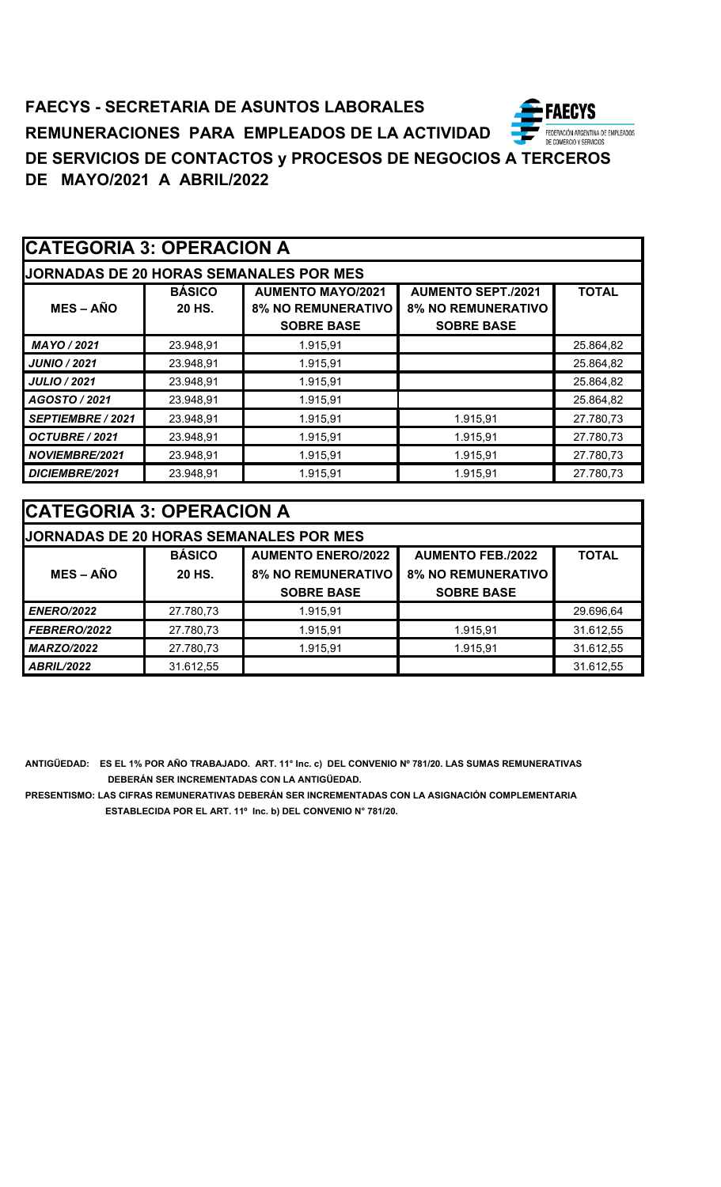| <b>CATEGORIA 3: OPERACION A</b> |                         |                                                                            |                                                                             |              |
|---------------------------------|-------------------------|----------------------------------------------------------------------------|-----------------------------------------------------------------------------|--------------|
|                                 |                         | <b>JORNADAS DE 20 HORAS SEMANALES POR MES</b>                              |                                                                             |              |
| $MES - AÑO$                     | <b>BÁSICO</b><br>20 HS. | <b>AUMENTO MAYO/2021</b><br><b>8% NO REMUNERATIVO</b><br><b>SOBRE BASE</b> | <b>AUMENTO SEPT./2021</b><br><b>8% NO REMUNERATIVO</b><br><b>SOBRE BASE</b> | <b>TOTAL</b> |
| MAYO / 2021                     | 23.948,91               | 1.915,91                                                                   |                                                                             | 25.864,82    |
| <b>JUNIO / 2021</b>             | 23.948,91               | 1.915,91                                                                   |                                                                             | 25.864,82    |
| <b>JULIO / 2021</b>             | 23.948,91               | 1.915,91                                                                   |                                                                             | 25.864,82    |
| AGOSTO / 2021                   | 23.948,91               | 1.915,91                                                                   |                                                                             | 25.864,82    |
| SEPTIEMBRE / 2021               | 23.948,91               | 1.915,91                                                                   | 1.915,91                                                                    | 27.780,73    |
| OCTUBRE / 2021                  | 23.948,91               | 1.915,91                                                                   | 1.915,91                                                                    | 27.780,73    |
| <b>NOVIEMBRE/2021</b>           | 23.948,91               | 1.915,91                                                                   | 1.915,91                                                                    | 27.780,73    |
| DICIEMBRE/2021                  | 23.948,91               | 1.915,91                                                                   | 1.915,91                                                                    | 27.780,73    |

| CATEGORIA 3: OPERACION A |               |                                               |                           |              |  |
|--------------------------|---------------|-----------------------------------------------|---------------------------|--------------|--|
|                          |               | <b>JORNADAS DE 20 HORAS SEMANALES POR MES</b> |                           |              |  |
|                          | <b>BÁSICO</b> | <b>AUMENTO ENERO/2022</b>                     | <b>AUMENTO FEB./2022</b>  | <b>TOTAL</b> |  |
| $MES - AÑO$              | 20 HS.        | <b>8% NO REMUNERATIVO</b>                     | <b>8% NO REMUNERATIVO</b> |              |  |
|                          |               | <b>SOBRE BASE</b>                             | <b>SOBRE BASE</b>         |              |  |
| <b>ENERO/2022</b>        | 27.780,73     | 1.915,91                                      |                           | 29.696,64    |  |
| FEBRERO/2022             | 27.780,73     | 1.915,91                                      | 1.915,91                  | 31.612,55    |  |
| <b>MARZO/2022</b>        | 27.780,73     | 1.915,91                                      | 1.915,91                  | 31.612,55    |  |
| <b>ABRIL/2022</b>        | 31.612,55     |                                               |                           | 31.612,55    |  |

**ANTIGÜEDAD: ES EL 1% POR AÑO TRABAJADO. ART. 11° Inc. c) DEL CONVENIO Nº 781/20. LAS SUMAS REMUNERATIVAS DEBERÁN SER INCREMENTADAS CON LA ANTIGÜEDAD.**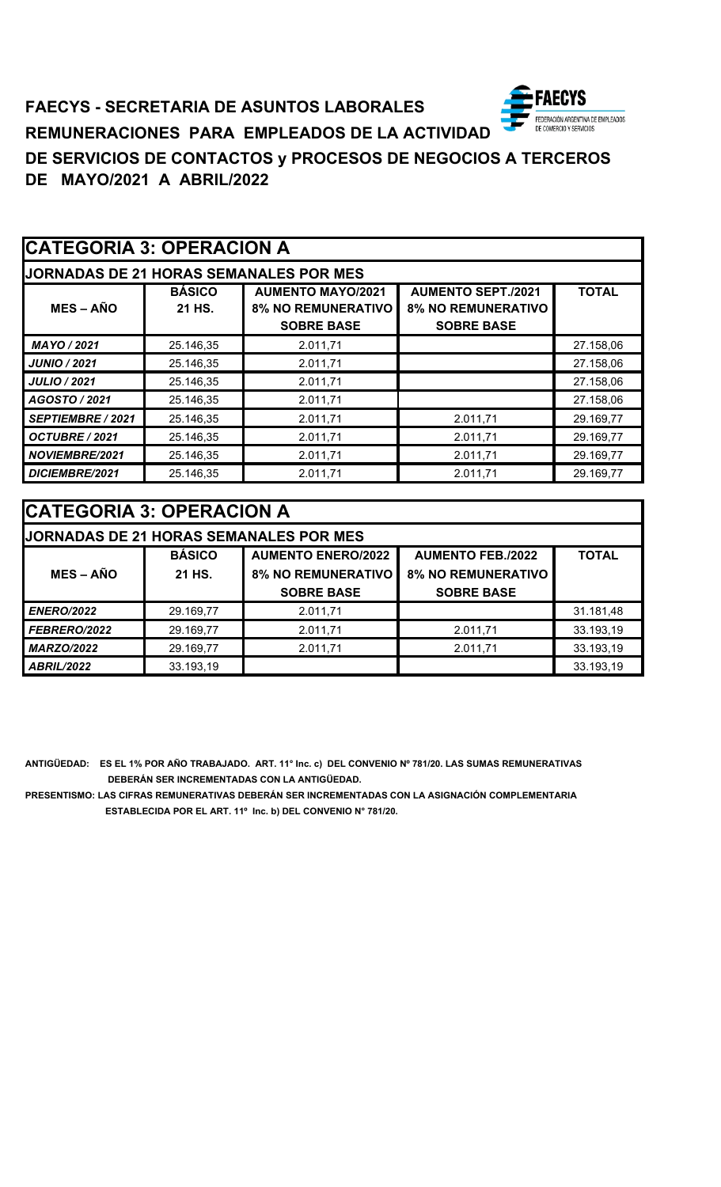### ECYS **FAECYS - SECRETARIA DE ASUNTOS LABORALES** FEDERACIÓN ARGENTINA DE EMPLEADOS<br>DE COMERCIO Y SERVICIOS **REMUNERACIONES PARA EMPLEADOS DE LA ACTIVIDAD DE SERVICIOS DE CONTACTOS y PROCESOS DE NEGOCIOS A TERCEROS DE MAYO/2021 A ABRIL/2022**

|                          | <b>CATEGORIA 3: OPERACION A</b> |                                                                            |                                                                             |              |  |
|--------------------------|---------------------------------|----------------------------------------------------------------------------|-----------------------------------------------------------------------------|--------------|--|
|                          |                                 | <b>JORNADAS DE 21 HORAS SEMANALES POR MES</b>                              |                                                                             |              |  |
| $MES - AÑO$              | <b>BÁSICO</b><br>21 HS.         | <b>AUMENTO MAYO/2021</b><br><b>8% NO REMUNERATIVO</b><br><b>SOBRE BASE</b> | <b>AUMENTO SEPT./2021</b><br><b>8% NO REMUNERATIVO</b><br><b>SOBRE BASE</b> | <b>TOTAL</b> |  |
| MAYO / 2021              | 25.146,35                       | 2.011,71                                                                   |                                                                             | 27.158,06    |  |
| <b>JUNIO / 2021</b>      | 25.146,35                       | 2.011,71                                                                   |                                                                             | 27.158,06    |  |
| <b>JULIO / 2021</b>      | 25.146,35                       | 2.011,71                                                                   |                                                                             | 27.158,06    |  |
| AGOSTO / 2021            | 25.146,35                       | 2.011,71                                                                   |                                                                             | 27.158,06    |  |
| <b>SEPTIEMBRE / 2021</b> | 25.146,35                       | 2.011,71                                                                   | 2.011,71                                                                    | 29.169,77    |  |
| OCTUBRE / 2021           | 25.146,35                       | 2.011,71                                                                   | 2.011,71                                                                    | 29.169,77    |  |
| <b>NOVIEMBRE/2021</b>    | 25.146,35                       | 2.011,71                                                                   | 2.011,71                                                                    | 29.169,77    |  |
| DICIEMBRE/2021           | 25.146,35                       | 2.011,71                                                                   | 2.011,71                                                                    | 29.169,77    |  |

| <b>CATEGORIA 3: OPERACION A</b> |               |                                               |                           |              |
|---------------------------------|---------------|-----------------------------------------------|---------------------------|--------------|
|                                 |               | <b>JORNADAS DE 21 HORAS SEMANALES POR MES</b> |                           |              |
|                                 | <b>BÁSICO</b> | <b>AUMENTO ENERO/2022</b>                     | <b>AUMENTO FEB./2022</b>  | <b>TOTAL</b> |
| <b>MES – AÑO</b>                | 21 HS.        | <b>8% NO REMUNERATIVO</b>                     | <b>8% NO REMUNERATIVO</b> |              |
|                                 |               | <b>SOBRE BASE</b>                             | <b>SOBRE BASE</b>         |              |
| <b>ENERO/2022</b>               | 29.169,77     | 2.011,71                                      |                           | 31.181,48    |
| FEBRERO/2022                    | 29.169,77     | 2.011,71                                      | 2.011,71                  | 33.193,19    |
| <b>MARZO/2022</b>               | 29.169,77     | 2.011,71                                      | 2.011,71                  | 33.193,19    |
| <b>ABRIL/2022</b>               | 33.193,19     |                                               |                           | 33.193,19    |

**ANTIGÜEDAD: ES EL 1% POR AÑO TRABAJADO. ART. 11° Inc. c) DEL CONVENIO Nº 781/20. LAS SUMAS REMUNERATIVAS DEBERÁN SER INCREMENTADAS CON LA ANTIGÜEDAD.**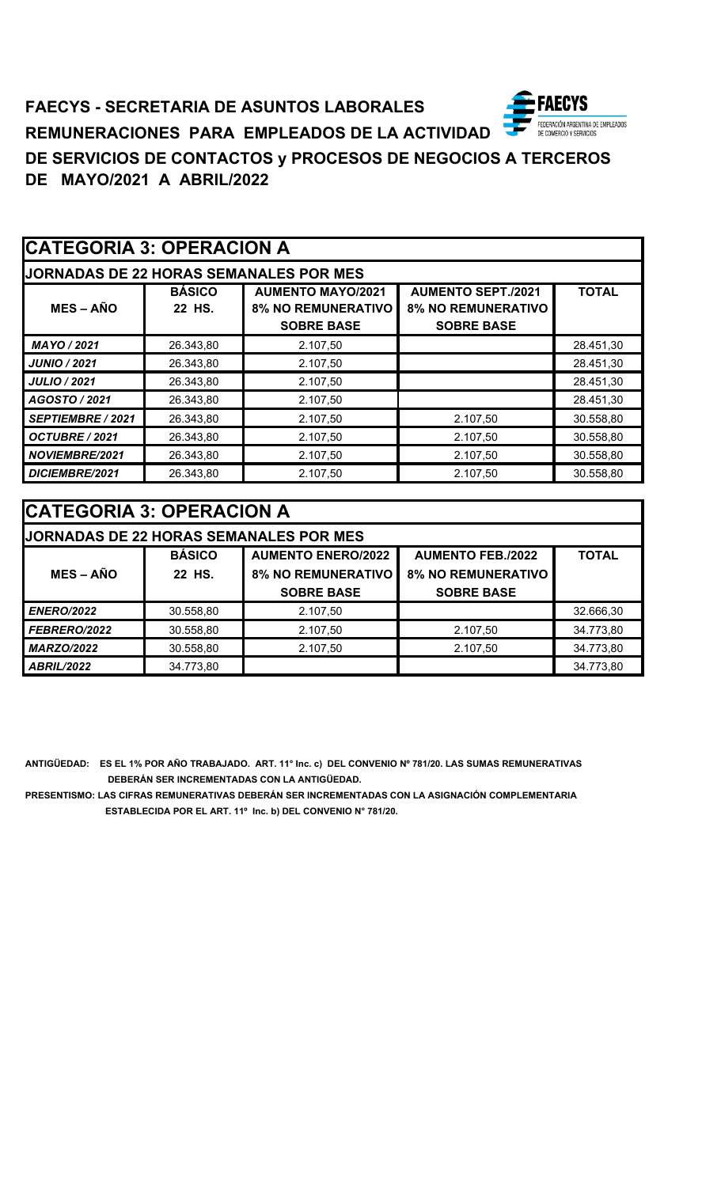### **FAECYS FAECYS - SECRETARIA DE ASUNTOS LABORALES** -<br>FEDERACIÓN ARGENTINA DE EMPLEADOS<br>DE COMERCIO Y SERVICIOS **REMUNERACIONES PARA EMPLEADOS DE LA ACTIVIDAD DE SERVICIOS DE CONTACTOS y PROCESOS DE NEGOCIOS A TERCEROS DE MAYO/2021 A ABRIL/2022**

| <b>CATEGORIA 3: OPERACION A</b> |                         |                                                                            |                                                                             |              |
|---------------------------------|-------------------------|----------------------------------------------------------------------------|-----------------------------------------------------------------------------|--------------|
|                                 |                         | <b>JORNADAS DE 22 HORAS SEMANALES POR MES</b>                              |                                                                             |              |
| $MES - AÑO$                     | <b>BÁSICO</b><br>22 HS. | <b>AUMENTO MAYO/2021</b><br><b>8% NO REMUNERATIVO</b><br><b>SOBRE BASE</b> | <b>AUMENTO SEPT./2021</b><br><b>8% NO REMUNERATIVO</b><br><b>SOBRE BASE</b> | <b>TOTAL</b> |
| MAYO / 2021                     | 26.343,80               | 2.107,50                                                                   |                                                                             | 28.451,30    |
| <b>JUNIO / 2021</b>             | 26.343,80               | 2.107,50                                                                   |                                                                             | 28.451,30    |
| <b>JULIO / 2021</b>             | 26.343,80               | 2.107,50                                                                   |                                                                             | 28.451,30    |
| AGOSTO / 2021                   | 26.343,80               | 2.107,50                                                                   |                                                                             | 28.451,30    |
| SEPTIEMBRE / 2021               | 26.343,80               | 2.107,50                                                                   | 2.107,50                                                                    | 30.558,80    |
| OCTUBRE / 2021                  | 26.343,80               | 2.107,50                                                                   | 2.107,50                                                                    | 30.558,80    |
| <b>NOVIEMBRE/2021</b>           | 26.343,80               | 2.107,50                                                                   | 2.107,50                                                                    | 30.558,80    |
| DICIEMBRE/2021                  | 26.343,80               | 2.107,50                                                                   | 2.107,50                                                                    | 30.558,80    |

| <b>CATEGORIA 3: OPERACION A</b> |               |                                               |                           |              |
|---------------------------------|---------------|-----------------------------------------------|---------------------------|--------------|
|                                 |               | <b>JORNADAS DE 22 HORAS SEMANALES POR MES</b> |                           |              |
|                                 | <b>BÁSICO</b> | <b>AUMENTO ENERO/2022</b>                     | <b>AUMENTO FEB./2022</b>  | <b>TOTAL</b> |
| $MES - AÑO$                     | 22 HS.        | <b>8% NO REMUNERATIVO</b>                     | <b>8% NO REMUNERATIVO</b> |              |
|                                 |               | <b>SOBRE BASE</b>                             | <b>SOBRE BASE</b>         |              |
| <b>ENERO/2022</b>               | 30.558,80     | 2.107,50                                      |                           | 32.666,30    |
| FEBRERO/2022                    | 30.558,80     | 2.107,50                                      | 2.107,50                  | 34.773,80    |
| <b>MARZO/2022</b>               | 30.558,80     | 2.107,50                                      | 2.107,50                  | 34.773,80    |
| <b>ABRIL/2022</b>               | 34.773,80     |                                               |                           | 34.773,80    |

**ANTIGÜEDAD: ES EL 1% POR AÑO TRABAJADO. ART. 11° Inc. c) DEL CONVENIO Nº 781/20. LAS SUMAS REMUNERATIVAS DEBERÁN SER INCREMENTADAS CON LA ANTIGÜEDAD.**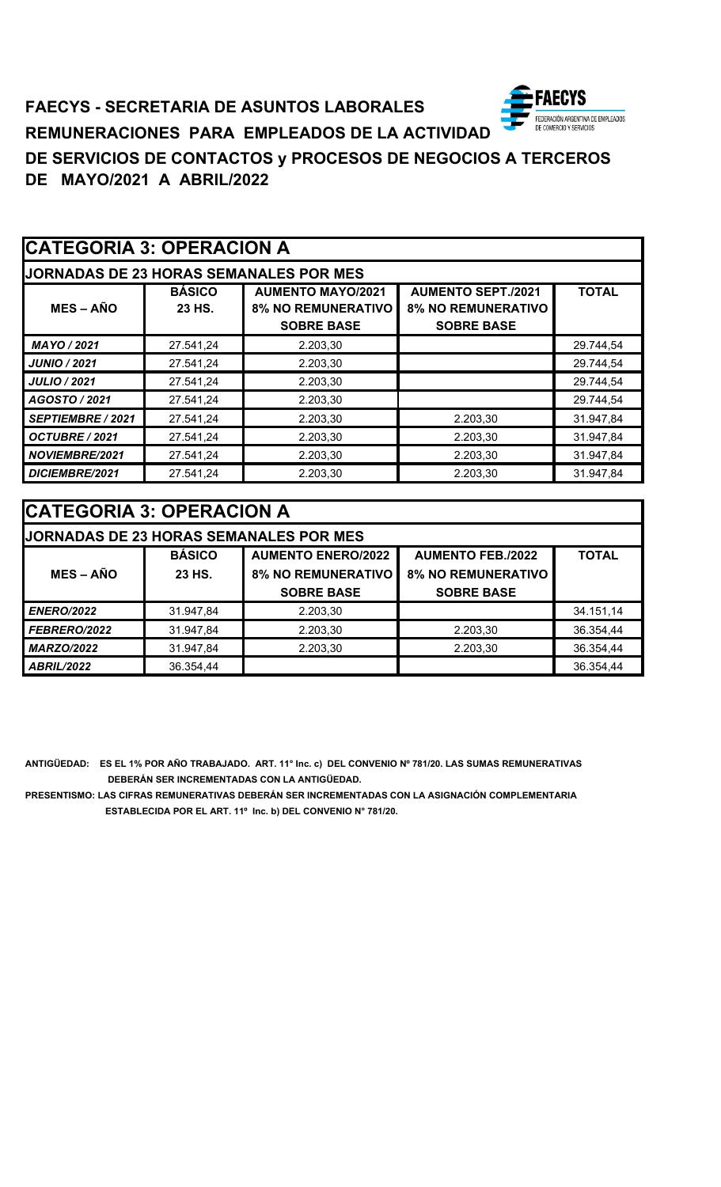### **ECYS FAECYS - SECRETARIA DE ASUNTOS LABORALES** FEDERACIÓN ARGENTINA DE EMPLEADOS<br>DE COMERCIO Y SERVICIOS **REMUNERACIONES PARA EMPLEADOS DE LA ACTIVIDAD DE SERVICIOS DE CONTACTOS y PROCESOS DE NEGOCIOS A TERCEROS DE MAYO/2021 A ABRIL/2022**

| <b>CATEGORIA 3: OPERACION A</b> |                         |                                                                            |                                                                             |              |
|---------------------------------|-------------------------|----------------------------------------------------------------------------|-----------------------------------------------------------------------------|--------------|
|                                 |                         | <b>JORNADAS DE 23 HORAS SEMANALES POR MES</b>                              |                                                                             |              |
| $MES - AÑO$                     | <b>BÁSICO</b><br>23 HS. | <b>AUMENTO MAYO/2021</b><br><b>8% NO REMUNERATIVO</b><br><b>SOBRE BASE</b> | <b>AUMENTO SEPT./2021</b><br><b>8% NO REMUNERATIVO</b><br><b>SOBRE BASE</b> | <b>TOTAL</b> |
| MAYO / 2021                     | 27.541,24               | 2.203,30                                                                   |                                                                             | 29.744,54    |
| <b>JUNIO / 2021</b>             | 27.541,24               | 2.203,30                                                                   |                                                                             | 29.744,54    |
| <b>JULIO / 2021</b>             | 27.541,24               | 2.203,30                                                                   |                                                                             | 29.744,54    |
| AGOSTO / 2021                   | 27.541,24               | 2.203,30                                                                   |                                                                             | 29.744,54    |
| SEPTIEMBRE / 2021               | 27.541,24               | 2.203,30                                                                   | 2.203,30                                                                    | 31.947,84    |
| OCTUBRE / 2021                  | 27.541,24               | 2.203,30                                                                   | 2.203,30                                                                    | 31.947,84    |
| <b>NOVIEMBRE/2021</b>           | 27.541,24               | 2.203,30                                                                   | 2.203,30                                                                    | 31.947,84    |
| DICIEMBRE/2021                  | 27.541,24               | 2.203,30                                                                   | 2.203,30                                                                    | 31.947,84    |

| <b>CATEGORIA 3: OPERACION A</b> |               |                                               |                           |              |
|---------------------------------|---------------|-----------------------------------------------|---------------------------|--------------|
|                                 |               | <b>JORNADAS DE 23 HORAS SEMANALES POR MES</b> |                           |              |
|                                 | <b>BÁSICO</b> | <b>AUMENTO ENERO/2022</b>                     | <b>AUMENTO FEB./2022</b>  | <b>TOTAL</b> |
| $MES - AÑO$                     | 23 HS.        | <b>8% NO REMUNERATIVO</b>                     | <b>8% NO REMUNERATIVO</b> |              |
|                                 |               | <b>SOBRE BASE</b>                             | <b>SOBRE BASE</b>         |              |
| <b>ENERO/2022</b>               | 31.947,84     | 2.203,30                                      |                           | 34.151,14    |
| FEBRERO/2022                    | 31.947,84     | 2.203,30                                      | 2.203,30                  | 36.354,44    |
| <b>MARZO/2022</b>               | 31.947,84     | 2.203,30                                      | 2.203,30                  | 36.354,44    |
| <b>ABRIL/2022</b>               | 36.354,44     |                                               |                           | 36.354,44    |

**ANTIGÜEDAD: ES EL 1% POR AÑO TRABAJADO. ART. 11° Inc. c) DEL CONVENIO Nº 781/20. LAS SUMAS REMUNERATIVAS DEBERÁN SER INCREMENTADAS CON LA ANTIGÜEDAD.**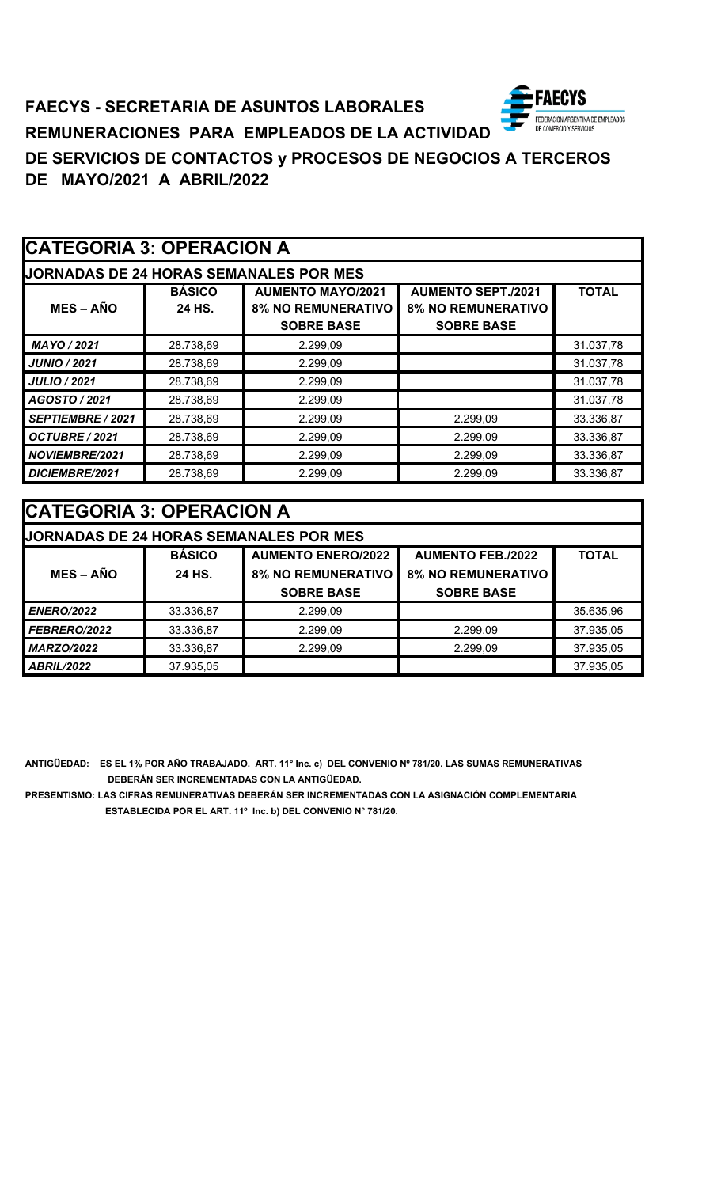### **AECYS FAECYS - SECRETARIA DE ASUNTOS LABORALES** FEDERACIÓN ARGENTINA DE EMPLEADOS<br>DE COMERCIO Y SERVICIOS **REMUNERACIONES PARA EMPLEADOS DE LA ACTIVIDAD DE SERVICIOS DE CONTACTOS y PROCESOS DE NEGOCIOS A TERCEROS DE MAYO/2021 A ABRIL/2022**

|                          | <b>CATEGORIA 3: OPERACION A</b> |                                                                            |                                                                             |              |
|--------------------------|---------------------------------|----------------------------------------------------------------------------|-----------------------------------------------------------------------------|--------------|
|                          |                                 | <b>JORNADAS DE 24 HORAS SEMANALES POR MES</b>                              |                                                                             |              |
| $MES - AÑO$              | <b>BÁSICO</b><br>24 HS.         | <b>AUMENTO MAYO/2021</b><br><b>8% NO REMUNERATIVO</b><br><b>SOBRE BASE</b> | <b>AUMENTO SEPT./2021</b><br><b>8% NO REMUNERATIVO</b><br><b>SOBRE BASE</b> | <b>TOTAL</b> |
| MAYO / 2021              | 28.738,69                       | 2.299,09                                                                   |                                                                             | 31.037,78    |
| <b>JUNIO / 2021</b>      | 28.738,69                       | 2.299,09                                                                   |                                                                             | 31.037,78    |
| <b>JULIO / 2021</b>      | 28.738,69                       | 2.299,09                                                                   |                                                                             | 31.037,78    |
| AGOSTO / 2021            | 28.738,69                       | 2.299,09                                                                   |                                                                             | 31.037,78    |
| <b>SEPTIEMBRE / 2021</b> | 28.738,69                       | 2.299,09                                                                   | 2.299,09                                                                    | 33.336,87    |
| OCTUBRE / 2021           | 28.738,69                       | 2.299,09                                                                   | 2.299,09                                                                    | 33.336,87    |
| NOVIEMBRE/2021           | 28.738,69                       | 2.299,09                                                                   | 2.299,09                                                                    | 33.336,87    |
| DICIEMBRE/2021           | 28.738,69                       | 2.299,09                                                                   | 2.299,09                                                                    | 33.336,87    |

| <b>ICATEGORIA 3: OPERACION A</b> |                                               |                           |                           |              |
|----------------------------------|-----------------------------------------------|---------------------------|---------------------------|--------------|
|                                  | <b>JORNADAS DE 24 HORAS SEMANALES POR MES</b> |                           |                           |              |
|                                  | <b>BÁSICO</b>                                 | <b>AUMENTO ENERO/2022</b> | <b>AUMENTO FEB./2022</b>  | <b>TOTAL</b> |
| $MES - AÑO$                      | 24 HS.                                        | <b>8% NO REMUNERATIVO</b> | <b>8% NO REMUNERATIVO</b> |              |
|                                  |                                               | <b>SOBRE BASE</b>         | <b>SOBRE BASE</b>         |              |
| <b>ENERO/2022</b>                | 33.336,87                                     | 2.299,09                  |                           | 35.635,96    |
| FEBRERO/2022                     | 33.336,87                                     | 2.299,09                  | 2.299,09                  | 37.935,05    |
| <b>MARZO/2022</b>                | 33.336,87                                     | 2.299,09                  | 2.299,09                  | 37.935,05    |
| <b>ABRIL/2022</b>                | 37.935,05                                     |                           |                           | 37.935,05    |

**ANTIGÜEDAD: ES EL 1% POR AÑO TRABAJADO. ART. 11° Inc. c) DEL CONVENIO Nº 781/20. LAS SUMAS REMUNERATIVAS DEBERÁN SER INCREMENTADAS CON LA ANTIGÜEDAD.**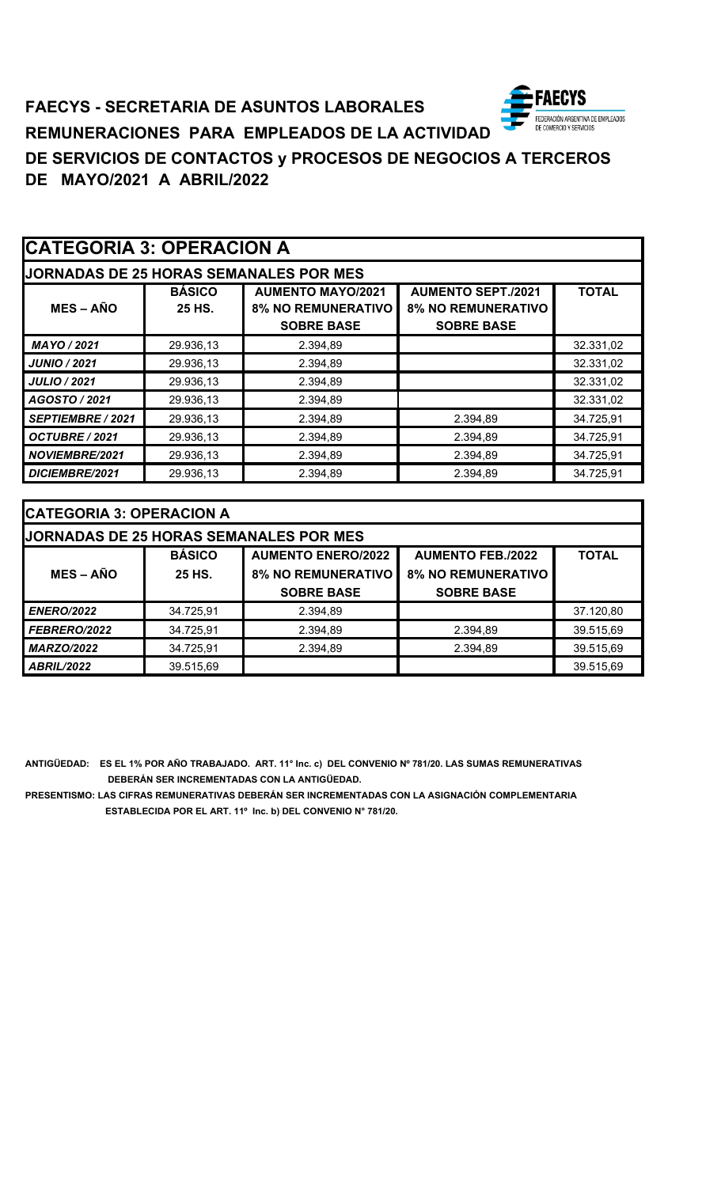

# **FAECYS - SECRETARIA DE ASUNTOS LABORALES REMUNERACIONES PARA EMPLEADOS DE LA ACTIVIDAD DE SERVICIOS DE CONTACTOS y PROCESOS DE NEGOCIOS A TERCEROS DE MAYO/2021 A ABRIL/2022**

|                       | <b>CATEGORIA 3: OPERACION A</b> |                                                                            |                                                                             |              |
|-----------------------|---------------------------------|----------------------------------------------------------------------------|-----------------------------------------------------------------------------|--------------|
|                       |                                 | <b>JORNADAS DE 25 HORAS SEMANALES POR MES</b>                              |                                                                             |              |
| $MES - AÑO$           | <b>BÁSICO</b><br>25 HS.         | <b>AUMENTO MAYO/2021</b><br><b>8% NO REMUNERATIVO</b><br><b>SOBRE BASE</b> | <b>AUMENTO SEPT./2021</b><br><b>8% NO REMUNERATIVO</b><br><b>SOBRE BASE</b> | <b>TOTAL</b> |
| <b>MAYO / 2021</b>    | 29.936,13                       | 2.394,89                                                                   |                                                                             | 32.331,02    |
| <b>JUNIO / 2021</b>   | 29.936,13                       | 2.394,89                                                                   |                                                                             | 32.331,02    |
| <b>JULIO / 2021</b>   | 29.936,13                       | 2.394,89                                                                   |                                                                             | 32.331,02    |
| AGOSTO / 2021         | 29.936,13                       | 2.394,89                                                                   |                                                                             | 32.331,02    |
| SEPTIEMBRE / 2021     | 29.936,13                       | 2.394,89                                                                   | 2.394,89                                                                    | 34.725,91    |
| OCTUBRE / 2021        | 29.936,13                       | 2.394,89                                                                   | 2.394,89                                                                    | 34.725,91    |
| <b>NOVIEMBRE/2021</b> | 29.936,13                       | 2.394,89                                                                   | 2.394,89                                                                    | 34.725,91    |
| DICIEMBRE/2021        | 29.936,13                       | 2.394,89                                                                   | 2.394,89                                                                    | 34.725,91    |

| <b>CATEGORIA 3: OPERACION A</b>               |               |                           |                           |              |
|-----------------------------------------------|---------------|---------------------------|---------------------------|--------------|
| <b>JORNADAS DE 25 HORAS SEMANALES POR MES</b> |               |                           |                           |              |
|                                               | <b>BÁSICO</b> | <b>AUMENTO ENERO/2022</b> | <b>AUMENTO FEB./2022</b>  | <b>TOTAL</b> |
| $MES - AÑO$                                   | 25 HS.        | <b>8% NO REMUNERATIVO</b> | <b>8% NO REMUNERATIVO</b> |              |
|                                               |               | <b>SOBRE BASE</b>         | <b>SOBRE BASE</b>         |              |
| <b>ENERO/2022</b>                             | 34.725,91     | 2.394,89                  |                           | 37.120,80    |
| FEBRERO/2022                                  | 34.725,91     | 2.394,89                  | 2.394,89                  | 39.515,69    |
| <b>MARZO/2022</b>                             | 34.725,91     | 2.394,89                  | 2.394,89                  | 39.515,69    |
| <b>ABRIL/2022</b>                             | 39.515,69     |                           |                           | 39.515,69    |

**ANTIGÜEDAD: ES EL 1% POR AÑO TRABAJADO. ART. 11° Inc. c) DEL CONVENIO Nº 781/20. LAS SUMAS REMUNERATIVAS DEBERÁN SER INCREMENTADAS CON LA ANTIGÜEDAD.**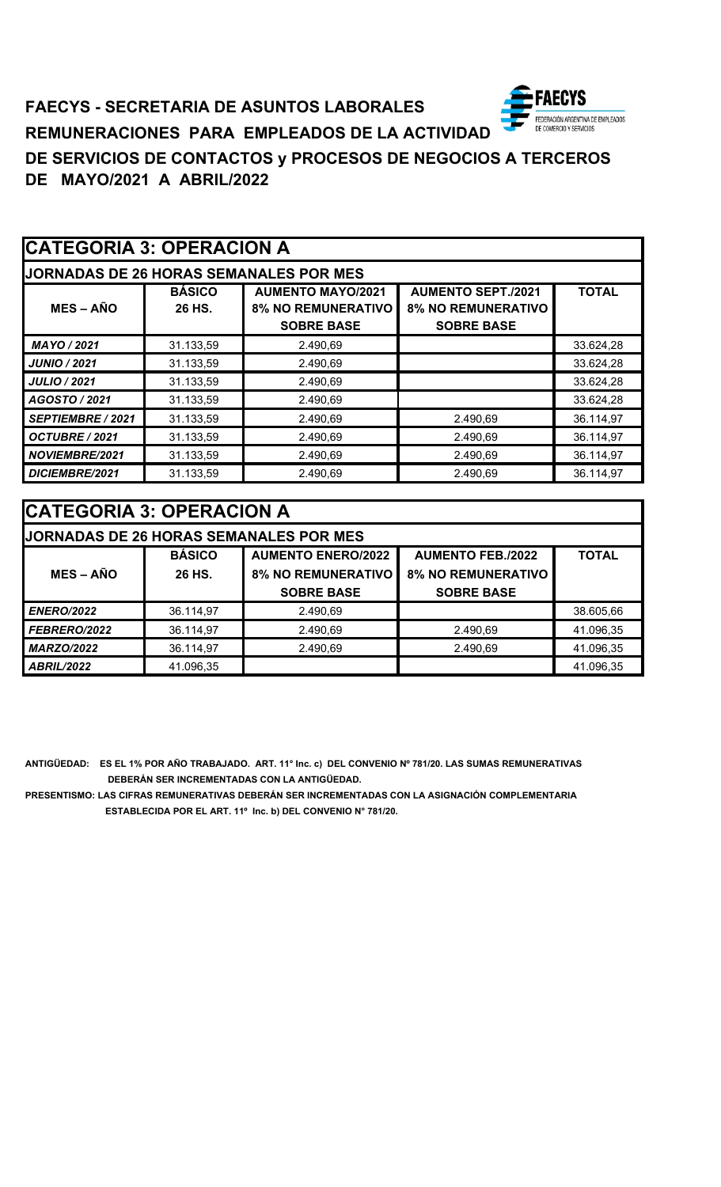### ECYS **FAECYS - SECRETARIA DE ASUNTOS LABORALES** FEDERACIÓN ARGENTINA DE EMPLEADOS<br>DE COMERCIO Y SERVICIOS **REMUNERACIONES PARA EMPLEADOS DE LA ACTIVIDAD DE SERVICIOS DE CONTACTOS y PROCESOS DE NEGOCIOS A TERCEROS DE MAYO/2021 A ABRIL/2022**

|                       | <b>CATEGORIA 3: OPERACION A</b> |                                                                            |                                                                             |              |  |
|-----------------------|---------------------------------|----------------------------------------------------------------------------|-----------------------------------------------------------------------------|--------------|--|
|                       |                                 | <b>JORNADAS DE 26 HORAS SEMANALES POR MES</b>                              |                                                                             |              |  |
| $MES - AÑO$           | <b>BÁSICO</b><br>26 HS.         | <b>AUMENTO MAYO/2021</b><br><b>8% NO REMUNERATIVO</b><br><b>SOBRE BASE</b> | <b>AUMENTO SEPT./2021</b><br><b>8% NO REMUNERATIVO</b><br><b>SOBRE BASE</b> | <b>TOTAL</b> |  |
| MAYO / 2021           | 31.133,59                       | 2.490,69                                                                   |                                                                             | 33.624,28    |  |
| <b>JUNIO / 2021</b>   | 31.133,59                       | 2.490,69                                                                   |                                                                             | 33.624,28    |  |
| <b>JULIO / 2021</b>   | 31.133,59                       | 2.490,69                                                                   |                                                                             | 33.624,28    |  |
| AGOSTO / 2021         | 31.133,59                       | 2.490.69                                                                   |                                                                             | 33.624,28    |  |
| SEPTIEMBRE / 2021     | 31.133,59                       | 2.490,69                                                                   | 2.490,69                                                                    | 36.114,97    |  |
| OCTUBRE / 2021        | 31.133,59                       | 2.490,69                                                                   | 2.490,69                                                                    | 36.114,97    |  |
| <b>NOVIEMBRE/2021</b> | 31.133,59                       | 2.490,69                                                                   | 2.490,69                                                                    | 36.114,97    |  |
| DICIEMBRE/2021        | 31.133,59                       | 2.490,69                                                                   | 2.490,69                                                                    | 36.114,97    |  |

| <b>CATEGORIA 3: OPERACION A</b> |                                               |                           |                           |              |  |
|---------------------------------|-----------------------------------------------|---------------------------|---------------------------|--------------|--|
|                                 | <b>JORNADAS DE 26 HORAS SEMANALES POR MES</b> |                           |                           |              |  |
|                                 | <b>BÁSICO</b>                                 | <b>AUMENTO ENERO/2022</b> | <b>AUMENTO FEB./2022</b>  | <b>TOTAL</b> |  |
| <b>MES – AÑO</b>                | 26 HS.                                        | <b>8% NO REMUNERATIVO</b> | <b>8% NO REMUNERATIVO</b> |              |  |
|                                 |                                               | <b>SOBRE BASE</b>         | <b>SOBRE BASE</b>         |              |  |
| <b>ENERO/2022</b>               | 36.114,97                                     | 2.490,69                  |                           | 38.605,66    |  |
| FEBRERO/2022                    | 36.114,97                                     | 2.490,69                  | 2.490,69                  | 41.096,35    |  |
| <b>MARZO/2022</b>               | 36.114,97                                     | 2.490,69                  | 2.490,69                  | 41.096,35    |  |
| <b>ABRIL/2022</b>               | 41.096,35                                     |                           |                           | 41.096,35    |  |

**ANTIGÜEDAD: ES EL 1% POR AÑO TRABAJADO. ART. 11° Inc. c) DEL CONVENIO Nº 781/20. LAS SUMAS REMUNERATIVAS DEBERÁN SER INCREMENTADAS CON LA ANTIGÜEDAD.**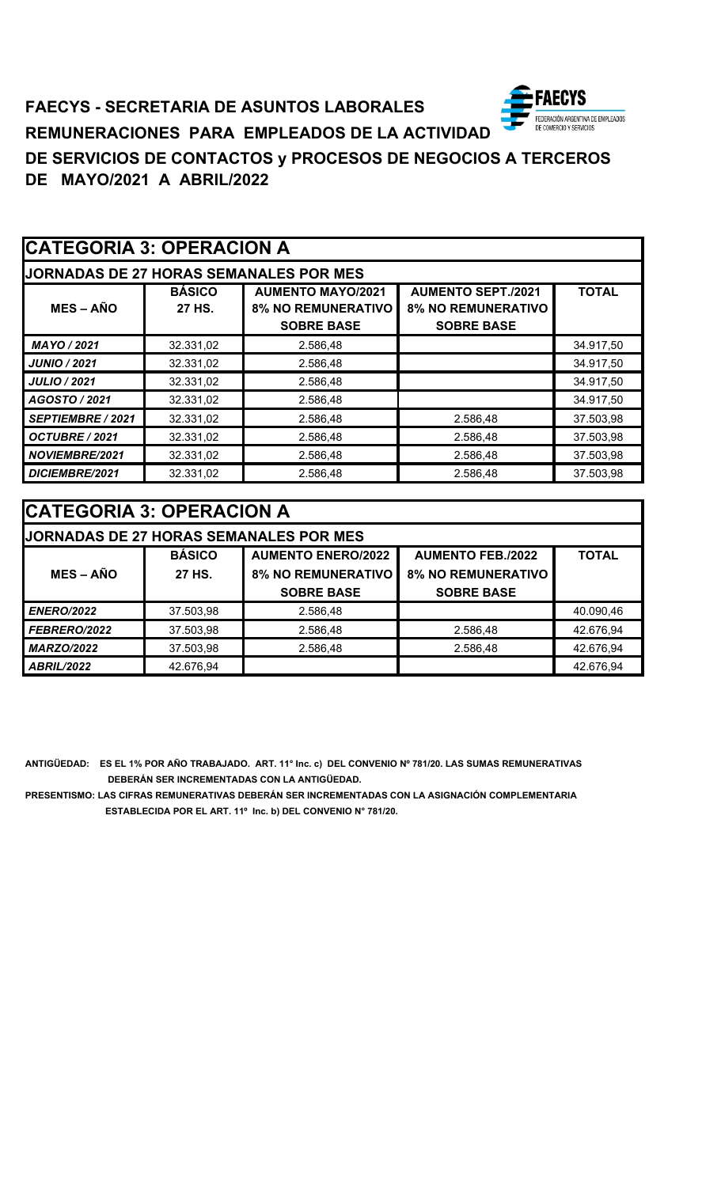### **AECYS FAECYS - SECRETARIA DE ASUNTOS LABORALES** FEDERACIÓN ARGENTINA DE EMPLEADOS<br>DE COMERCIO Y SERVICIOS **REMUNERACIONES PARA EMPLEADOS DE LA ACTIVIDAD DE SERVICIOS DE CONTACTOS y PROCESOS DE NEGOCIOS A TERCEROS DE MAYO/2021 A ABRIL/2022**

|                       | <b>CATEGORIA 3: OPERACION A</b> |                                                                            |                                                                             |              |  |
|-----------------------|---------------------------------|----------------------------------------------------------------------------|-----------------------------------------------------------------------------|--------------|--|
|                       |                                 | <b>JORNADAS DE 27 HORAS SEMANALES POR MES</b>                              |                                                                             |              |  |
| $MES - AÑO$           | <b>BÁSICO</b><br>27 HS.         | <b>AUMENTO MAYO/2021</b><br><b>8% NO REMUNERATIVO</b><br><b>SOBRE BASE</b> | <b>AUMENTO SEPT./2021</b><br><b>8% NO REMUNERATIVO</b><br><b>SOBRE BASE</b> | <b>TOTAL</b> |  |
| MAYO / 2021           | 32.331,02                       | 2.586,48                                                                   |                                                                             | 34.917,50    |  |
| <b>JUNIO / 2021</b>   | 32.331,02                       | 2.586,48                                                                   |                                                                             | 34.917,50    |  |
| <b>JULIO / 2021</b>   | 32.331,02                       | 2.586,48                                                                   |                                                                             | 34.917,50    |  |
| AGOSTO / 2021         | 32.331,02                       | 2.586,48                                                                   |                                                                             | 34.917,50    |  |
| SEPTIEMBRE / 2021     | 32.331,02                       | 2.586,48                                                                   | 2.586,48                                                                    | 37.503,98    |  |
| OCTUBRE / 2021        | 32.331,02                       | 2.586,48                                                                   | 2.586,48                                                                    | 37.503,98    |  |
| <b>NOVIEMBRE/2021</b> | 32.331,02                       | 2.586,48                                                                   | 2.586,48                                                                    | 37.503,98    |  |
| DICIEMBRE/2021        | 32.331,02                       | 2.586,48                                                                   | 2.586,48                                                                    | 37.503,98    |  |

| <b>CATEGORIA 3: OPERACION A</b> |                                               |                           |                           |              |
|---------------------------------|-----------------------------------------------|---------------------------|---------------------------|--------------|
|                                 | <b>JORNADAS DE 27 HORAS SEMANALES POR MES</b> |                           |                           |              |
|                                 | <b>BÁSICO</b>                                 | <b>AUMENTO ENERO/2022</b> | <b>AUMENTO FEB./2022</b>  | <b>TOTAL</b> |
| $MES - AÑO$                     | 27 HS.                                        | <b>8% NO REMUNERATIVO</b> | <b>8% NO REMUNERATIVO</b> |              |
|                                 |                                               | <b>SOBRE BASE</b>         | <b>SOBRE BASE</b>         |              |
| <b>ENERO/2022</b>               | 37.503,98                                     | 2.586,48                  |                           | 40.090,46    |
| FEBRERO/2022                    | 37.503,98                                     | 2.586,48                  | 2.586,48                  | 42.676,94    |
| <b>MARZO/2022</b>               | 37.503,98                                     | 2.586,48                  | 2.586,48                  | 42.676,94    |
| <b>ABRIL/2022</b>               | 42.676,94                                     |                           |                           | 42.676,94    |

**ANTIGÜEDAD: ES EL 1% POR AÑO TRABAJADO. ART. 11° Inc. c) DEL CONVENIO Nº 781/20. LAS SUMAS REMUNERATIVAS DEBERÁN SER INCREMENTADAS CON LA ANTIGÜEDAD.**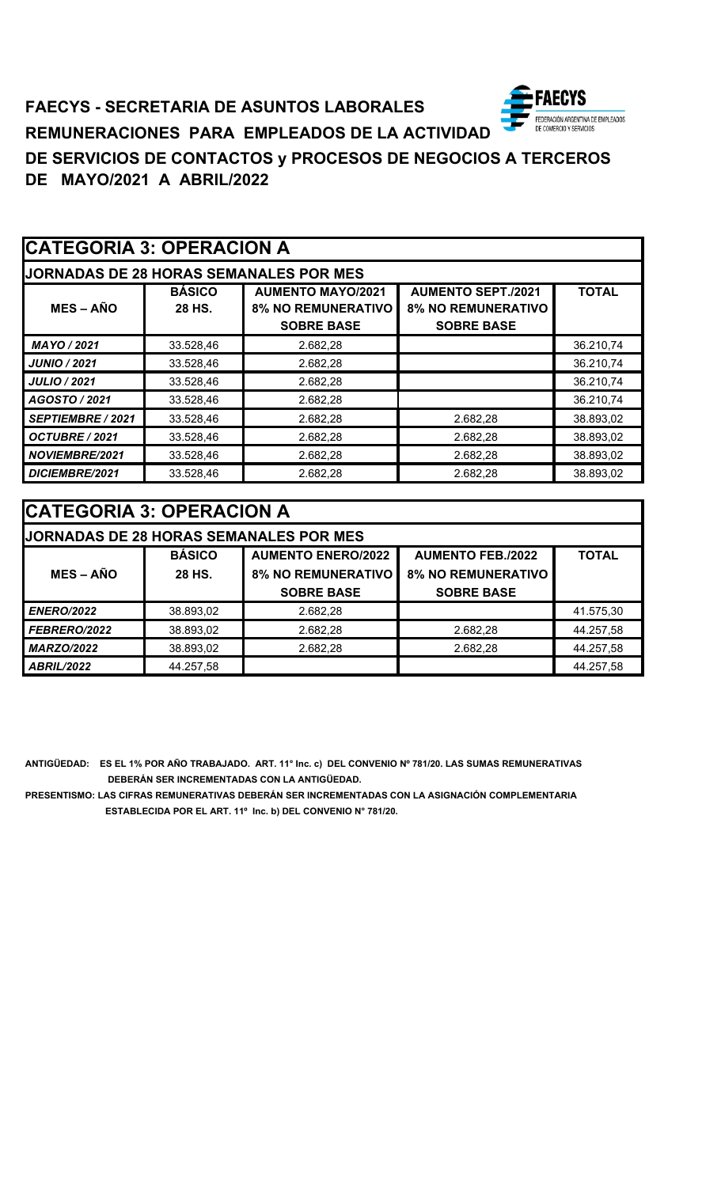### **ECYS FAECYS - SECRETARIA DE ASUNTOS LABORALES** FEDERACIÓN ARGENTINA DE EMPLEADOS<br>DE COMERCIO Y SERVICIOS **REMUNERACIONES PARA EMPLEADOS DE LA ACTIVIDAD DE SERVICIOS DE CONTACTOS y PROCESOS DE NEGOCIOS A TERCEROS DE MAYO/2021 A ABRIL/2022**

|                       | <b>CATEGORIA 3: OPERACION A</b> |                                                                            |                                                                             |              |  |
|-----------------------|---------------------------------|----------------------------------------------------------------------------|-----------------------------------------------------------------------------|--------------|--|
|                       |                                 | <b>JORNADAS DE 28 HORAS SEMANALES POR MES</b>                              |                                                                             |              |  |
| $MES - AÑO$           | <b>BÁSICO</b><br>28 HS.         | <b>AUMENTO MAYO/2021</b><br><b>8% NO REMUNERATIVO</b><br><b>SOBRE BASE</b> | <b>AUMENTO SEPT./2021</b><br><b>8% NO REMUNERATIVO</b><br><b>SOBRE BASE</b> | <b>TOTAL</b> |  |
| MAYO / 2021           | 33.528,46                       | 2.682,28                                                                   |                                                                             | 36.210,74    |  |
| <b>JUNIO / 2021</b>   | 33.528,46                       | 2.682,28                                                                   |                                                                             | 36.210,74    |  |
| <b>JULIO / 2021</b>   | 33.528,46                       | 2.682,28                                                                   |                                                                             | 36.210,74    |  |
| AGOSTO / 2021         | 33.528,46                       | 2.682,28                                                                   |                                                                             | 36.210,74    |  |
| SEPTIEMBRE / 2021     | 33.528,46                       | 2.682,28                                                                   | 2.682,28                                                                    | 38.893,02    |  |
| OCTUBRE / 2021        | 33.528,46                       | 2.682,28                                                                   | 2.682,28                                                                    | 38.893,02    |  |
| <b>NOVIEMBRE/2021</b> | 33.528,46                       | 2.682,28                                                                   | 2.682,28                                                                    | 38.893,02    |  |
| DICIEMBRE/2021        | 33.528,46                       | 2.682,28                                                                   | 2.682,28                                                                    | 38.893,02    |  |

| <b>CATEGORIA 3: OPERACION A</b> |                                               |                           |                           |              |
|---------------------------------|-----------------------------------------------|---------------------------|---------------------------|--------------|
|                                 | <b>JORNADAS DE 28 HORAS SEMANALES POR MES</b> |                           |                           |              |
|                                 | <b>BÁSICO</b>                                 | <b>AUMENTO ENERO/2022</b> | <b>AUMENTO FEB./2022</b>  | <b>TOTAL</b> |
| $MES - AÑO$                     | 28 HS.                                        | <b>8% NO REMUNERATIVO</b> | <b>8% NO REMUNERATIVO</b> |              |
|                                 |                                               | <b>SOBRE BASE</b>         | <b>SOBRE BASE</b>         |              |
| <b>ENERO/2022</b>               | 38.893,02                                     | 2.682,28                  |                           | 41.575,30    |
| FEBRERO/2022                    | 38.893,02                                     | 2.682,28                  | 2.682,28                  | 44.257,58    |
| <b>MARZO/2022</b>               | 38.893,02                                     | 2.682,28                  | 2.682,28                  | 44.257,58    |
| <b>ABRIL/2022</b>               | 44.257,58                                     |                           |                           | 44.257,58    |

**ANTIGÜEDAD: ES EL 1% POR AÑO TRABAJADO. ART. 11° Inc. c) DEL CONVENIO Nº 781/20. LAS SUMAS REMUNERATIVAS DEBERÁN SER INCREMENTADAS CON LA ANTIGÜEDAD.**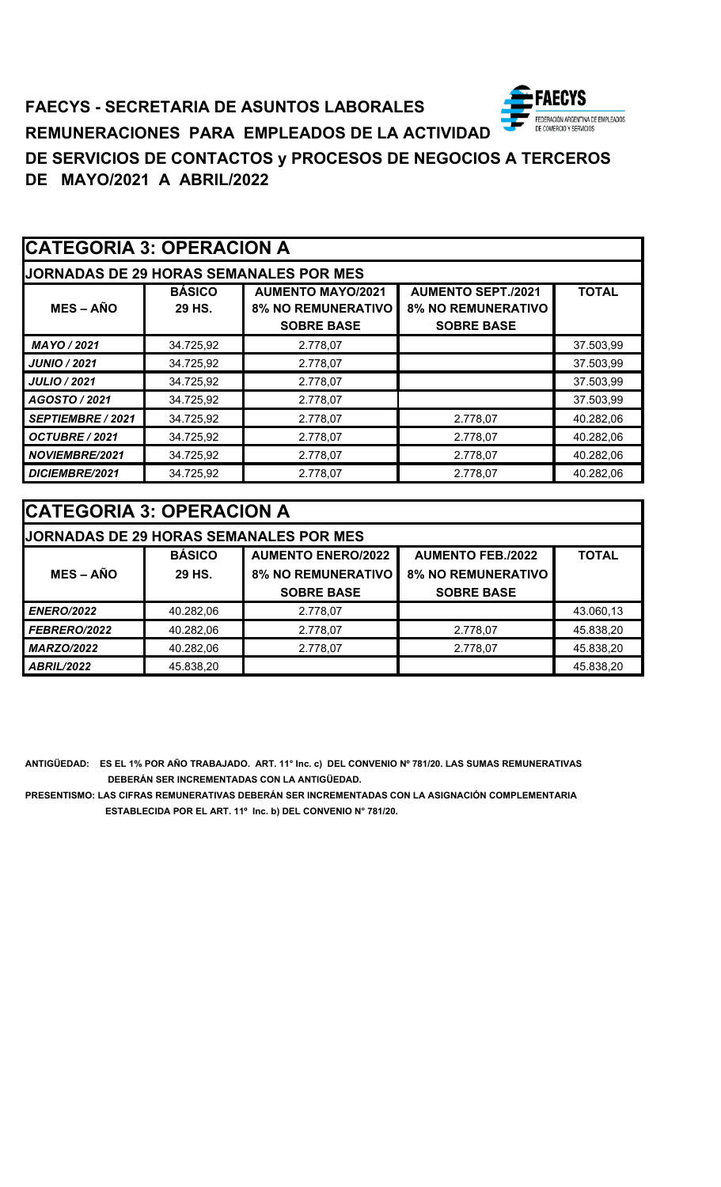# **FAECYS - SECRETARIA DE ASUNTOS LABORALES** FEDERACIÓN ARGENTINA DE EMPLEADOS<br>DE COMERCIO Y SERVICIOS **REMUNERACIONES PARA EMPLEADOS DE LA ACTIVIDAD DE SERVICIOS DE CONTACTOS y PROCESOS DE NEGOCIOS A TERCEROS DE MAYO/2021 A ABRIL/2022**

|                       | <b>CATEGORIA 3: OPERACION A</b> |                                                                            |                                                                             |              |  |
|-----------------------|---------------------------------|----------------------------------------------------------------------------|-----------------------------------------------------------------------------|--------------|--|
|                       |                                 | <b>JORNADAS DE 29 HORAS SEMANALES POR MES</b>                              |                                                                             |              |  |
| $MES - AÑO$           | <b>BÁSICO</b><br>29 HS.         | <b>AUMENTO MAYO/2021</b><br><b>8% NO REMUNERATIVO</b><br><b>SOBRE BASE</b> | <b>AUMENTO SEPT./2021</b><br><b>8% NO REMUNERATIVO</b><br><b>SOBRE BASE</b> | <b>TOTAL</b> |  |
| MAYO / 2021           | 34.725,92                       | 2.778,07                                                                   |                                                                             | 37.503,99    |  |
| <b>JUNIO / 2021</b>   | 34.725,92                       | 2.778,07                                                                   |                                                                             | 37.503,99    |  |
| <b>JULIO / 2021</b>   | 34.725,92                       | 2.778,07                                                                   |                                                                             | 37.503,99    |  |
| AGOSTO / 2021         | 34.725,92                       | 2.778,07                                                                   |                                                                             | 37.503,99    |  |
| SEPTIEMBRE / 2021     | 34.725,92                       | 2.778,07                                                                   | 2.778,07                                                                    | 40.282,06    |  |
| OCTUBRE / 2021        | 34.725,92                       | 2.778,07                                                                   | 2.778,07                                                                    | 40.282,06    |  |
| <b>NOVIEMBRE/2021</b> | 34.725,92                       | 2.778,07                                                                   | 2.778,07                                                                    | 40.282,06    |  |
| DICIEMBRE/2021        | 34.725,92                       | 2.778,07                                                                   | 2.778,07                                                                    | 40.282,06    |  |

| <b>CATEGORIA 3: OPERACION A</b> |  |
|---------------------------------|--|
|---------------------------------|--|

| <b>JORNADAS DE 29 HORAS SEMANALES POR MES</b> |               |                           |                           |              |
|-----------------------------------------------|---------------|---------------------------|---------------------------|--------------|
|                                               | <b>BÁSICO</b> | <b>AUMENTO ENERO/2022</b> | <b>AUMENTO FEB./2022</b>  | <b>TOTAL</b> |
| <b>MES – AÑO</b>                              | 29 HS.        | <b>8% NO REMUNERATIVO</b> | <b>8% NO REMUNERATIVO</b> |              |
|                                               |               | <b>SOBRE BASE</b>         | <b>SOBRE BASE</b>         |              |
| <b>ENERO/2022</b>                             | 40.282,06     | 2.778.07                  |                           | 43.060,13    |
| <b>FEBRERO/2022</b>                           | 40.282,06     | 2.778,07                  | 2.778,07                  | 45.838,20    |
| <b>MARZO/2022</b>                             | 40.282,06     | 2.778.07                  | 2.778.07                  | 45.838,20    |
| <b>ABRIL/2022</b>                             | 45.838,20     |                           |                           | 45.838,20    |

**ANTIGÜEDAD: ES EL 1% POR AÑO TRABAJADO. ART. 11° Inc. c) DEL CONVENIO Nº 781/20. LAS SUMAS REMUNERATIVAS DEBERÁN SER INCREMENTADAS CON LA ANTIGÜEDAD.**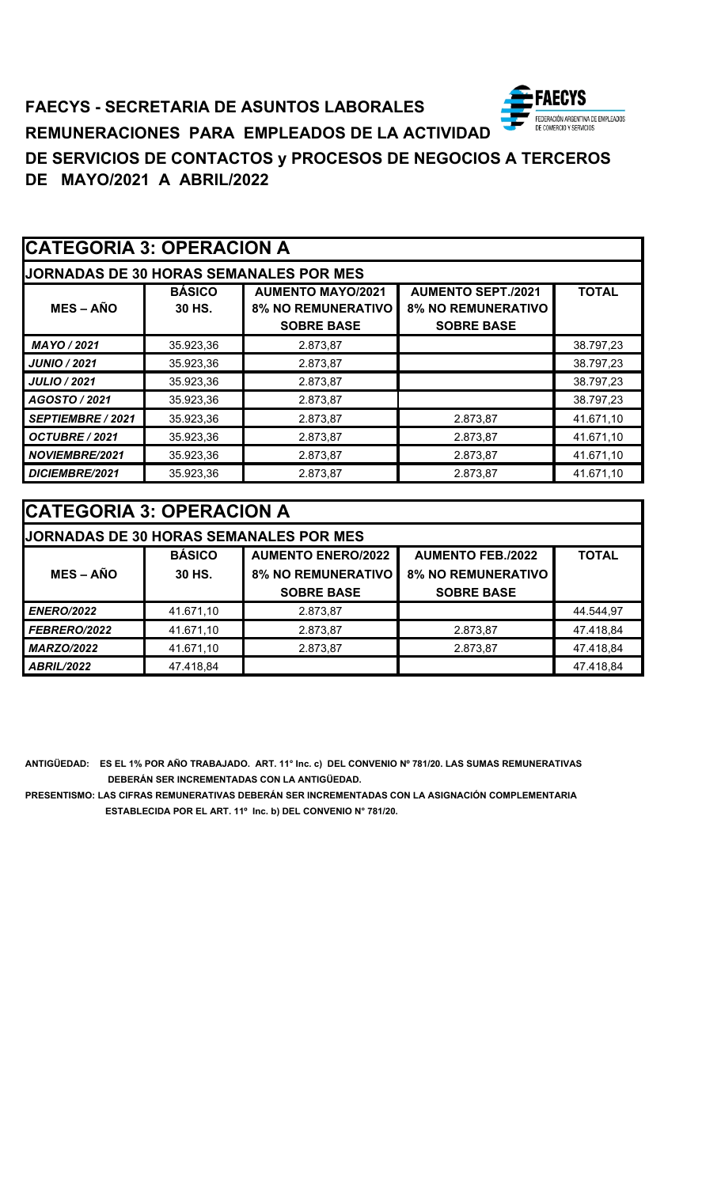### ECYS **FAECYS - SECRETARIA DE ASUNTOS LABORALES** FEDERACIÓN ARGENTINA DE EMPLEADOS<br>DE COMERCIO Y SERVICIOS **REMUNERACIONES PARA EMPLEADOS DE LA ACTIVIDAD DE SERVICIOS DE CONTACTOS y PROCESOS DE NEGOCIOS A TERCEROS DE MAYO/2021 A ABRIL/2022**

| <b>CATEGORIA 3: OPERACION A</b> |                         |                                                                            |                                                                             |              |
|---------------------------------|-------------------------|----------------------------------------------------------------------------|-----------------------------------------------------------------------------|--------------|
|                                 |                         | <b>JORNADAS DE 30 HORAS SEMANALES POR MES</b>                              |                                                                             |              |
| $MES - AÑO$                     | <b>BÁSICO</b><br>30 HS. | <b>AUMENTO MAYO/2021</b><br><b>8% NO REMUNERATIVO</b><br><b>SOBRE BASE</b> | <b>AUMENTO SEPT./2021</b><br><b>8% NO REMUNERATIVO</b><br><b>SOBRE BASE</b> | <b>TOTAL</b> |
| MAYO / 2021                     | 35.923,36               | 2.873,87                                                                   |                                                                             | 38.797,23    |
| <b>JUNIO / 2021</b>             | 35.923,36               | 2.873,87                                                                   |                                                                             | 38.797,23    |
| <b>JULIO / 2021</b>             | 35.923,36               | 2.873,87                                                                   |                                                                             | 38.797,23    |
| AGOSTO / 2021                   | 35.923,36               | 2.873,87                                                                   |                                                                             | 38.797,23    |
| <b>SEPTIEMBRE / 2021</b>        | 35.923,36               | 2.873,87                                                                   | 2.873,87                                                                    | 41.671,10    |
| OCTUBRE / 2021                  | 35.923,36               | 2.873,87                                                                   | 2.873,87                                                                    | 41.671,10    |
| NOVIEMBRE/2021                  | 35.923,36               | 2.873,87                                                                   | 2.873,87                                                                    | 41.671,10    |
| DICIEMBRE/2021                  | 35.923,36               | 2.873,87                                                                   | 2.873,87                                                                    | 41.671,10    |

| <b>ICATEGORIA 3: OPERACION A</b> |               |                                               |                           |              |
|----------------------------------|---------------|-----------------------------------------------|---------------------------|--------------|
|                                  |               | <b>JORNADAS DE 30 HORAS SEMANALES POR MES</b> |                           |              |
|                                  | <b>BÁSICO</b> | <b>AUMENTO ENERO/2022</b>                     | <b>AUMENTO FEB./2022</b>  | <b>TOTAL</b> |
| $MES - AÑO$                      | 30 HS.        | <b>8% NO REMUNERATIVO</b>                     | <b>8% NO REMUNERATIVO</b> |              |
|                                  |               | <b>SOBRE BASE</b>                             | <b>SOBRE BASE</b>         |              |
| <b>ENERO/2022</b>                | 41.671,10     | 2.873,87                                      |                           | 44.544,97    |
| <b>FEBRERO/2022</b>              | 41.671,10     | 2.873,87                                      | 2.873,87                  | 47.418,84    |
| <b>MARZO/2022</b>                | 41.671,10     | 2.873,87                                      | 2.873,87                  | 47.418,84    |
| <b>ABRIL/2022</b>                | 47.418,84     |                                               |                           | 47.418,84    |

**ANTIGÜEDAD: ES EL 1% POR AÑO TRABAJADO. ART. 11° Inc. c) DEL CONVENIO Nº 781/20. LAS SUMAS REMUNERATIVAS DEBERÁN SER INCREMENTADAS CON LA ANTIGÜEDAD.**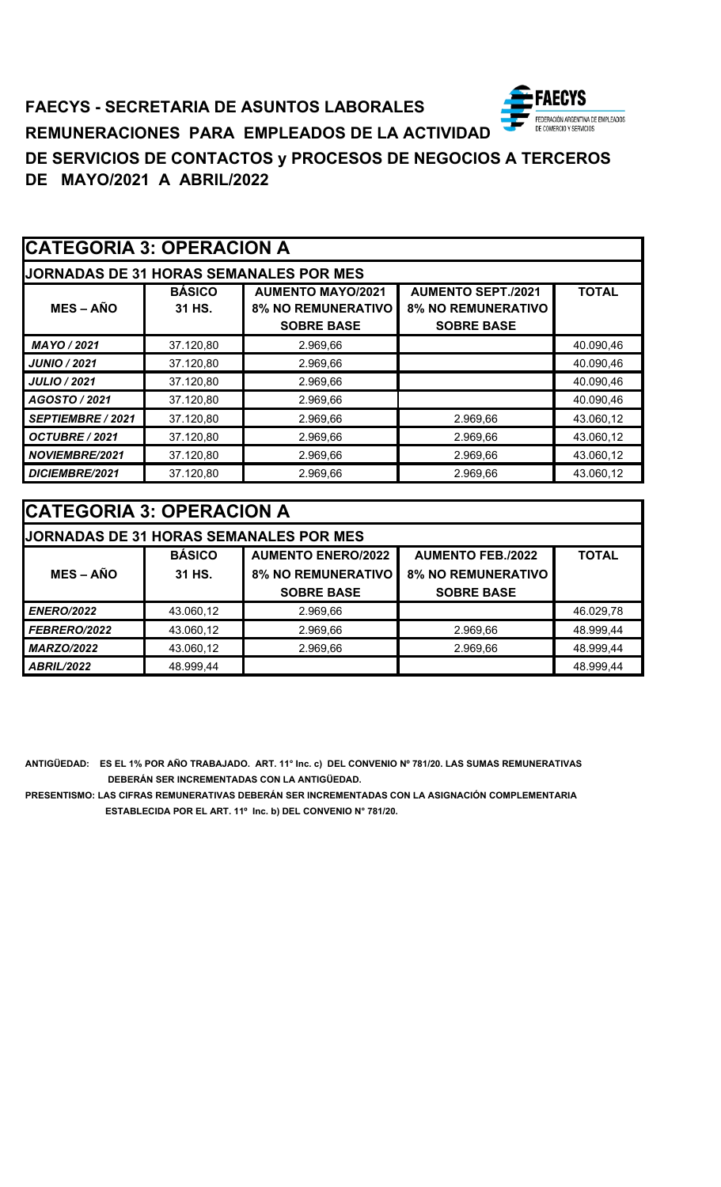

# **FAECYS - SECRETARIA DE ASUNTOS LABORALES REMUNERACIONES PARA EMPLEADOS DE LA ACTIVIDAD DE SERVICIOS DE CONTACTOS y PROCESOS DE NEGOCIOS A TERCEROS DE MAYO/2021 A ABRIL/2022**

| CATEGORIA 3: OPERACION A |                         |                                                                            |                                                                             |              |
|--------------------------|-------------------------|----------------------------------------------------------------------------|-----------------------------------------------------------------------------|--------------|
|                          |                         | <b>JORNADAS DE 31 HORAS SEMANALES POR MES</b>                              |                                                                             |              |
| <b>MES-AÑO</b>           | <b>BÁSICO</b><br>31 HS. | <b>AUMENTO MAYO/2021</b><br><b>8% NO REMUNERATIVO</b><br><b>SOBRE BASE</b> | <b>AUMENTO SEPT./2021</b><br><b>8% NO REMUNERATIVO</b><br><b>SOBRE BASE</b> | <b>TOTAL</b> |
| MAYO / 2021              | 37.120,80               | 2.969,66                                                                   |                                                                             | 40.090,46    |
| <b>JUNIO / 2021</b>      | 37.120,80               | 2.969,66                                                                   |                                                                             | 40.090,46    |
| <b>JULIO / 2021</b>      | 37.120,80               | 2.969,66                                                                   |                                                                             | 40.090,46    |
| AGOSTO / 2021            | 37.120,80               | 2.969,66                                                                   |                                                                             | 40.090,46    |
| <b>SEPTIEMBRE / 2021</b> | 37.120,80               | 2.969,66                                                                   | 2.969,66                                                                    | 43.060,12    |
| OCTUBRE / 2021           | 37.120,80               | 2.969,66                                                                   | 2.969,66                                                                    | 43.060,12    |
| <b>NOVIEMBRE/2021</b>    | 37.120,80               | 2.969,66                                                                   | 2.969,66                                                                    | 43.060,12    |
| DICIEMBRE/2021           | 37.120,80               | 2.969,66                                                                   | 2.969,66                                                                    | 43.060,12    |

| <b>CATEGORIA 3: OPERACION A</b> |               |                                               |                           |              |
|---------------------------------|---------------|-----------------------------------------------|---------------------------|--------------|
|                                 |               | <b>JORNADAS DE 31 HORAS SEMANALES POR MES</b> |                           |              |
|                                 | <b>BÁSICO</b> | <b>AUMENTO ENERO/2022</b>                     | <b>AUMENTO FEB./2022</b>  | <b>TOTAL</b> |
| $MES - A\tilde{N}O$             | 31 HS.        | <b>8% NO REMUNERATIVO</b>                     | <b>8% NO REMUNERATIVO</b> |              |
|                                 |               | <b>SOBRE BASE</b>                             | <b>SOBRE BASE</b>         |              |
| <b>ENERO/2022</b>               | 43.060,12     | 2.969,66                                      |                           | 46.029,78    |
| FEBRERO/2022                    | 43.060,12     | 2.969,66                                      | 2.969,66                  | 48.999,44    |
| <b>MARZO/2022</b>               | 43.060,12     | 2.969,66                                      | 2.969,66                  | 48.999,44    |
| <b>ABRIL/2022</b>               | 48.999,44     |                                               |                           | 48.999,44    |

**ANTIGÜEDAD: ES EL 1% POR AÑO TRABAJADO. ART. 11° Inc. c) DEL CONVENIO Nº 781/20. LAS SUMAS REMUNERATIVAS DEBERÁN SER INCREMENTADAS CON LA ANTIGÜEDAD.**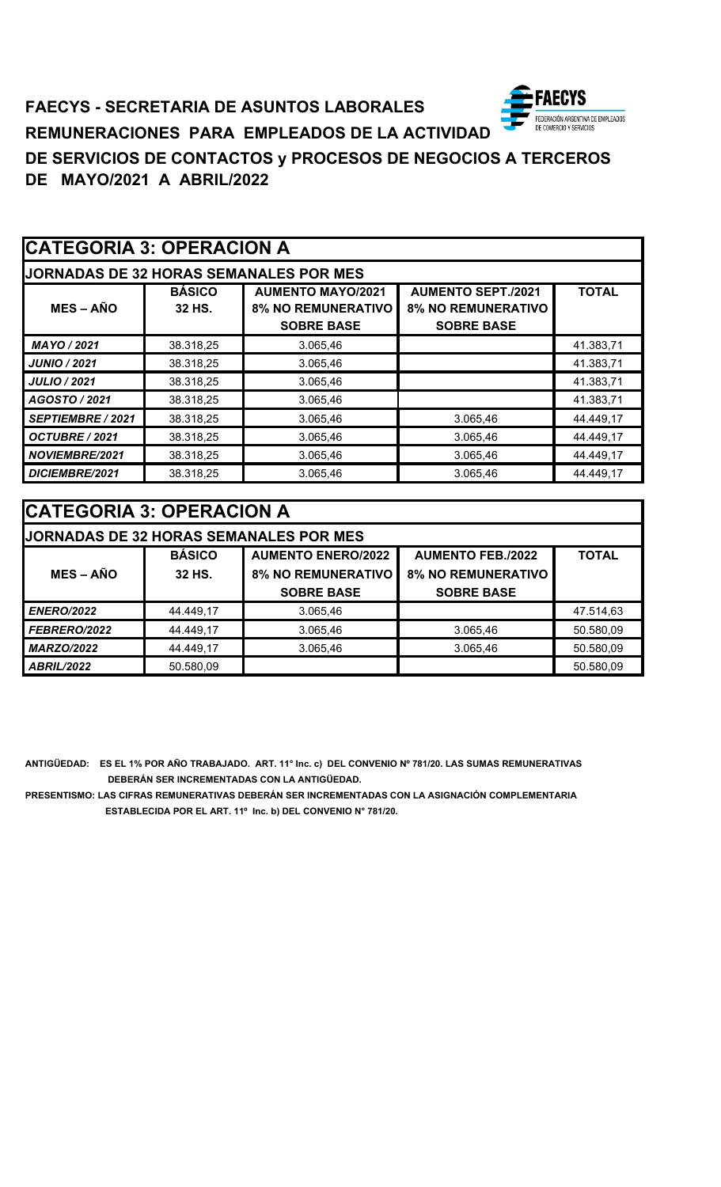### **ECYS FAECYS - SECRETARIA DE ASUNTOS LABORALES** FEDERACIÓN ARGENTINA DE EMPLEADOS<br>DE COMERCIO Y SERVICIOS **REMUNERACIONES PARA EMPLEADOS DE LA ACTIVIDAD DE SERVICIOS DE CONTACTOS y PROCESOS DE NEGOCIOS A TERCEROS DE MAYO/2021 A ABRIL/2022**

| <b>CATEGORIA 3: OPERACION A</b> |                         |                                                                            |                                                                             |              |
|---------------------------------|-------------------------|----------------------------------------------------------------------------|-----------------------------------------------------------------------------|--------------|
|                                 |                         | <b>JORNADAS DE 32 HORAS SEMANALES POR MES</b>                              |                                                                             |              |
| $MES - AÑO$                     | <b>BÁSICO</b><br>32 HS. | <b>AUMENTO MAYO/2021</b><br><b>8% NO REMUNERATIVO</b><br><b>SOBRE BASE</b> | <b>AUMENTO SEPT./2021</b><br><b>8% NO REMUNERATIVO</b><br><b>SOBRE BASE</b> | <b>TOTAL</b> |
| MAYO / 2021                     | 38.318,25               | 3.065,46                                                                   |                                                                             | 41.383,71    |
| <b>JUNIO / 2021</b>             | 38.318,25               | 3.065,46                                                                   |                                                                             | 41.383,71    |
| <b>JULIO / 2021</b>             | 38.318,25               | 3.065,46                                                                   |                                                                             | 41.383,71    |
| AGOSTO / 2021                   | 38.318,25               | 3.065,46                                                                   |                                                                             | 41.383,71    |
| SEPTIEMBRE / 2021               | 38.318,25               | 3.065,46                                                                   | 3.065,46                                                                    | 44.449,17    |
| OCTUBRE / 2021                  | 38.318,25               | 3.065,46                                                                   | 3.065,46                                                                    | 44.449,17    |
| NOVIEMBRE/2021                  | 38.318,25               | 3.065,46                                                                   | 3.065,46                                                                    | 44.449,17    |
| DICIEMBRE/2021                  | 38.318,25               | 3.065,46                                                                   | 3.065,46                                                                    | 44.449,17    |

| <b>CATEGORIA 3: OPERACION A</b>                                        |           |                                               |                           |              |
|------------------------------------------------------------------------|-----------|-----------------------------------------------|---------------------------|--------------|
|                                                                        |           | <b>JORNADAS DE 32 HORAS SEMANALES POR MES</b> |                           |              |
| <b>BÁSICO</b><br><b>AUMENTO ENERO/2022</b><br><b>AUMENTO FEB./2022</b> |           |                                               |                           | <b>TOTAL</b> |
| $MES - AÑO$                                                            | 32 HS.    | <b>8% NO REMUNERATIVO</b>                     | <b>8% NO REMUNERATIVO</b> |              |
|                                                                        |           | <b>SOBRE BASE</b>                             | <b>SOBRE BASE</b>         |              |
| <b>ENERO/2022</b>                                                      | 44.449,17 | 3.065,46                                      |                           | 47.514,63    |
| FEBRERO/2022                                                           | 44.449,17 | 3.065,46                                      | 3.065,46                  | 50.580,09    |
| <b>MARZO/2022</b>                                                      | 44.449,17 | 3.065,46                                      | 3.065,46                  | 50.580,09    |
| <b>ABRIL/2022</b>                                                      | 50.580,09 |                                               |                           | 50.580,09    |

**ANTIGÜEDAD: ES EL 1% POR AÑO TRABAJADO. ART. 11° Inc. c) DEL CONVENIO Nº 781/20. LAS SUMAS REMUNERATIVAS DEBERÁN SER INCREMENTADAS CON LA ANTIGÜEDAD.**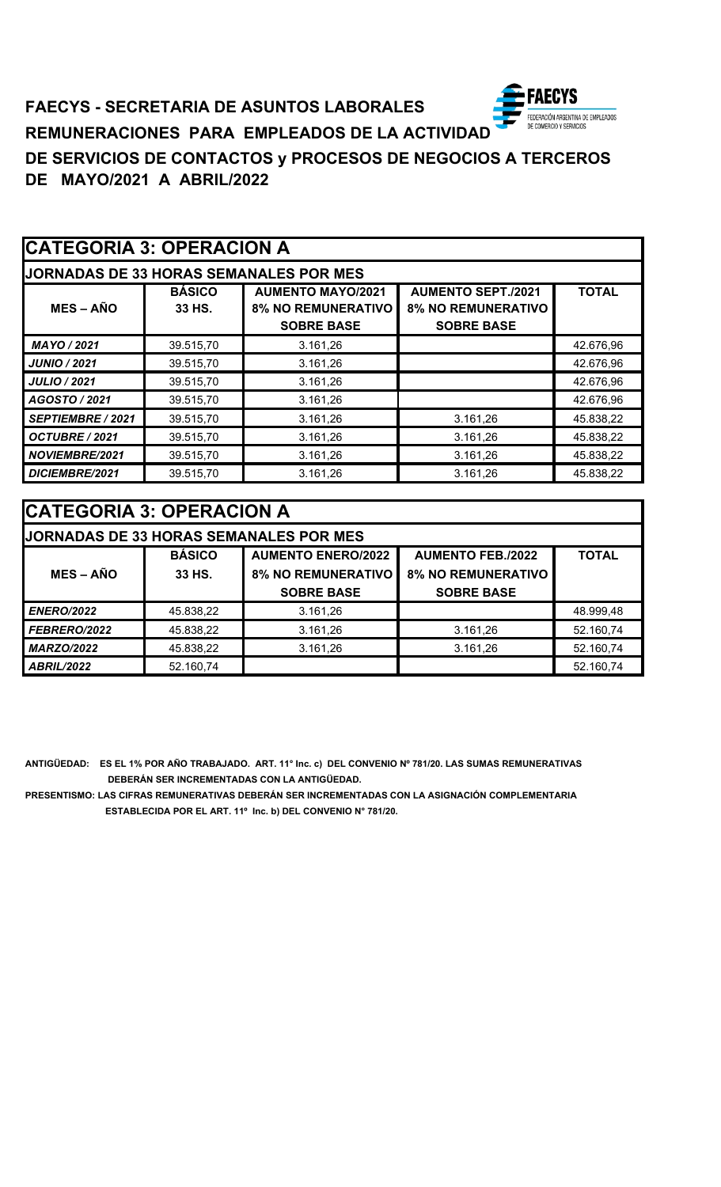

# **FAECYS - SECRETARIA DE ASUNTOS LABORALES REMUNERACIONES PARA EMPLEADOS DE LA ACTIVIDAD DE SERVICIOS DE CONTACTOS y PROCESOS DE NEGOCIOS A TERCEROS DE MAYO/2021 A ABRIL/2022**

|                     | <b>CATEGORIA 3: OPERACION A</b> |                                                                            |                                                                             |              |  |
|---------------------|---------------------------------|----------------------------------------------------------------------------|-----------------------------------------------------------------------------|--------------|--|
|                     |                                 | <b>JORNADAS DE 33 HORAS SEMANALES POR MES</b>                              |                                                                             |              |  |
| <b>MES-AÑO</b>      | <b>BÁSICO</b><br>33 HS.         | <b>AUMENTO MAYO/2021</b><br><b>8% NO REMUNERATIVO</b><br><b>SOBRE BASE</b> | <b>AUMENTO SEPT./2021</b><br><b>8% NO REMUNERATIVO</b><br><b>SOBRE BASE</b> | <b>TOTAL</b> |  |
| MAYO / 2021         | 39.515,70                       | 3.161,26                                                                   |                                                                             | 42.676,96    |  |
| <b>JUNIO / 2021</b> | 39.515,70                       | 3.161,26                                                                   |                                                                             | 42.676,96    |  |
| <b>JULIO / 2021</b> | 39.515,70                       | 3.161,26                                                                   |                                                                             | 42.676,96    |  |
| AGOSTO / 2021       | 39.515,70                       | 3.161,26                                                                   |                                                                             | 42.676,96    |  |
| SEPTIEMBRE / 2021   | 39.515,70                       | 3.161,26                                                                   | 3.161,26                                                                    | 45.838,22    |  |
| OCTUBRE / 2021      | 39.515,70                       | 3.161,26                                                                   | 3.161,26                                                                    | 45.838,22    |  |
| NOVIEMBRE/2021      | 39.515,70                       | 3.161,26                                                                   | 3.161,26                                                                    | 45.838,22    |  |
| DICIEMBRE/2021      | 39.515,70                       | 3.161,26                                                                   | 3.161,26                                                                    | 45.838,22    |  |

| <b>CATEGORIA 3: OPERACION A</b> |               |                                               |                           |              |
|---------------------------------|---------------|-----------------------------------------------|---------------------------|--------------|
|                                 |               | <b>JORNADAS DE 33 HORAS SEMANALES POR MES</b> |                           |              |
|                                 | <b>BÁSICO</b> | <b>AUMENTO ENERO/2022</b>                     | <b>AUMENTO FEB./2022</b>  | <b>TOTAL</b> |
| $MES - AÑO$                     | 33 HS.        | <b>8% NO REMUNERATIVO</b>                     | <b>8% NO REMUNERATIVO</b> |              |
|                                 |               | <b>SOBRE BASE</b>                             | <b>SOBRE BASE</b>         |              |
| <b>ENERO/2022</b>               | 45.838,22     | 3.161,26                                      |                           | 48.999,48    |
| FEBRERO/2022                    | 45.838,22     | 3.161,26                                      | 3.161,26                  | 52.160,74    |
| <b>MARZO/2022</b>               | 45.838,22     | 3.161,26                                      | 3.161,26                  | 52.160,74    |
| ABRIL/2022                      | 52.160,74     |                                               |                           | 52.160,74    |

**ANTIGÜEDAD: ES EL 1% POR AÑO TRABAJADO. ART. 11° Inc. c) DEL CONVENIO Nº 781/20. LAS SUMAS REMUNERATIVAS DEBERÁN SER INCREMENTADAS CON LA ANTIGÜEDAD.**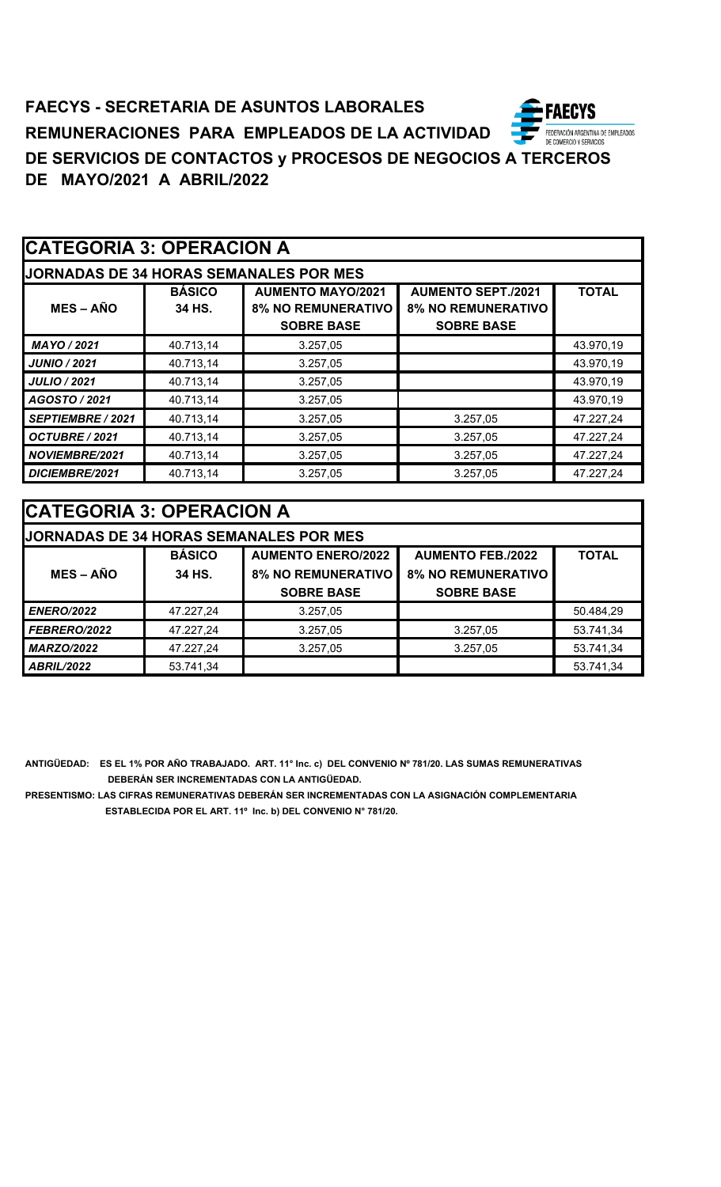| <b>CATEGORIA 3: OPERACION A</b> |                         |                                                                            |                                                                             |              |
|---------------------------------|-------------------------|----------------------------------------------------------------------------|-----------------------------------------------------------------------------|--------------|
|                                 |                         | <b>JORNADAS DE 34 HORAS SEMANALES POR MES</b>                              |                                                                             |              |
| $MES - AÑO$                     | <b>BÁSICO</b><br>34 HS. | <b>AUMENTO MAYO/2021</b><br><b>8% NO REMUNERATIVO</b><br><b>SOBRE BASE</b> | <b>AUMENTO SEPT./2021</b><br><b>8% NO REMUNERATIVO</b><br><b>SOBRE BASE</b> | <b>TOTAL</b> |
| MAYO / 2021                     | 40.713,14               | 3.257,05                                                                   |                                                                             | 43.970,19    |
| <b>JUNIO / 2021</b>             | 40.713,14               | 3.257,05                                                                   |                                                                             | 43.970,19    |
| <b>JULIO / 2021</b>             | 40.713,14               | 3.257,05                                                                   |                                                                             | 43.970,19    |
| AGOSTO / 2021                   | 40.713,14               | 3.257,05                                                                   |                                                                             | 43.970,19    |
| <b>SEPTIEMBRE / 2021</b>        | 40.713,14               | 3.257,05                                                                   | 3.257,05                                                                    | 47.227,24    |
| OCTUBRE / 2021                  | 40.713,14               | 3.257,05                                                                   | 3.257,05                                                                    | 47.227,24    |
| NOVIEMBRE/2021                  | 40.713,14               | 3.257,05                                                                   | 3.257,05                                                                    | 47.227,24    |
| DICIEMBRE/2021                  | 40.713,14               | 3.257,05                                                                   | 3.257,05                                                                    | 47.227,24    |

| <b>CATEGORIA 3: OPERACION A</b> |               |                                               |                           |              |
|---------------------------------|---------------|-----------------------------------------------|---------------------------|--------------|
|                                 |               | <b>JORNADAS DE 34 HORAS SEMANALES POR MES</b> |                           |              |
|                                 | <b>BÁSICO</b> | <b>AUMENTO ENERO/2022</b>                     | <b>AUMENTO FEB./2022</b>  | <b>TOTAL</b> |
| $MES - AÑO$                     | 34 HS.        | <b>8% NO REMUNERATIVO</b>                     | <b>8% NO REMUNERATIVO</b> |              |
|                                 |               | <b>SOBRE BASE</b>                             | <b>SOBRE BASE</b>         |              |
| <b>ENERO/2022</b>               | 47.227,24     | 3.257,05                                      |                           | 50.484,29    |
| FEBRERO/2022                    | 47.227,24     | 3.257,05                                      | 3.257,05                  | 53.741,34    |
| <b>MARZO/2022</b>               | 47.227,24     | 3.257,05                                      | 3.257,05                  | 53.741,34    |
| <b>ABRIL/2022</b>               | 53.741,34     |                                               |                           | 53.741,34    |

**ANTIGÜEDAD: ES EL 1% POR AÑO TRABAJADO. ART. 11° Inc. c) DEL CONVENIO Nº 781/20. LAS SUMAS REMUNERATIVAS DEBERÁN SER INCREMENTADAS CON LA ANTIGÜEDAD.**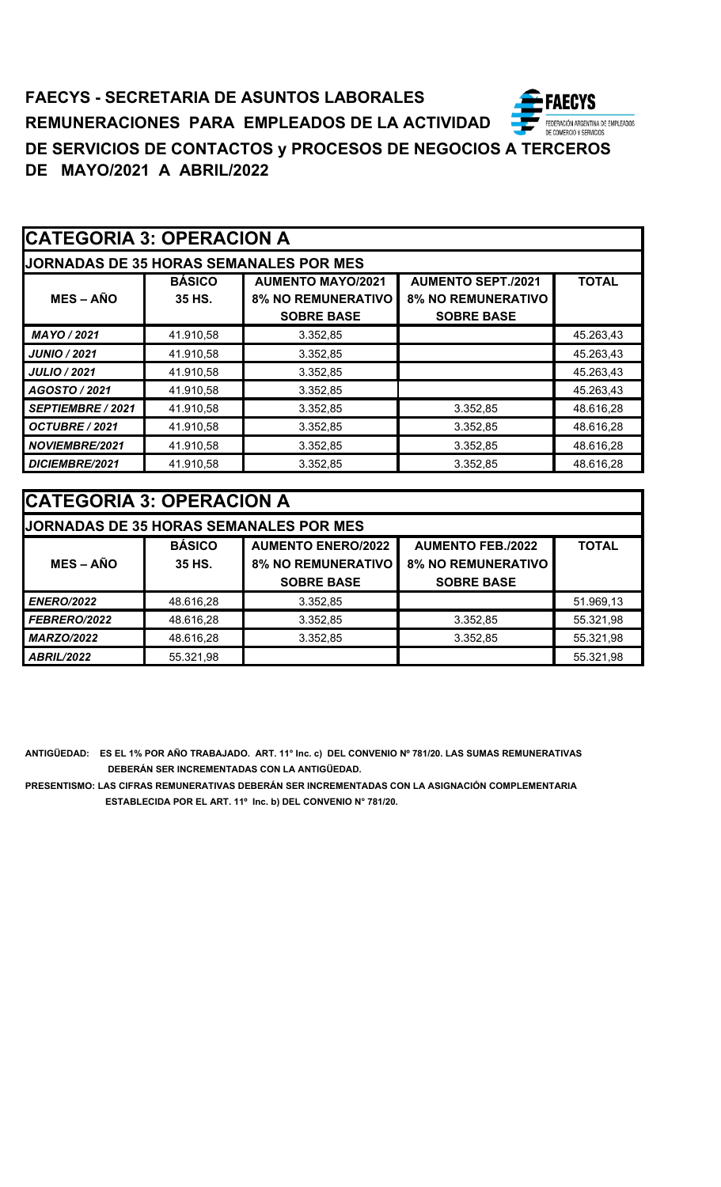|                          | <b>CATEGORIA 3: OPERACION A</b> |                                                                            |                                                                             |              |  |  |
|--------------------------|---------------------------------|----------------------------------------------------------------------------|-----------------------------------------------------------------------------|--------------|--|--|
|                          |                                 | <b>JORNADAS DE 35 HORAS SEMANALES POR MES</b>                              |                                                                             |              |  |  |
| $MES - AÑO$              | <b>BÁSICO</b><br>35 HS.         | <b>AUMENTO MAYO/2021</b><br><b>8% NO REMUNERATIVO</b><br><b>SOBRE BASE</b> | <b>AUMENTO SEPT./2021</b><br><b>8% NO REMUNERATIVO</b><br><b>SOBRE BASE</b> | <b>TOTAL</b> |  |  |
| MAYO / 2021              | 41.910,58                       | 3.352,85                                                                   |                                                                             | 45.263,43    |  |  |
| <b>JUNIO / 2021</b>      | 41.910,58                       | 3.352,85                                                                   |                                                                             | 45.263,43    |  |  |
| <b>JULIO / 2021</b>      | 41.910,58                       | 3.352,85                                                                   |                                                                             | 45.263,43    |  |  |
| AGOSTO / 2021            | 41.910,58                       | 3.352,85                                                                   |                                                                             | 45.263,43    |  |  |
| <b>SEPTIEMBRE / 2021</b> | 41.910,58                       | 3.352,85                                                                   | 3.352,85                                                                    | 48.616,28    |  |  |
| OCTUBRE / 2021           | 41.910,58                       | 3.352,85                                                                   | 3.352,85                                                                    | 48.616,28    |  |  |
| NOVIEMBRE/2021           | 41.910,58                       | 3.352,85                                                                   | 3.352,85                                                                    | 48.616,28    |  |  |
| DICIEMBRE/2021           | 41.910,58                       | 3.352,85                                                                   | 3.352,85                                                                    | 48.616,28    |  |  |

| <b>CATEGORIA 3: OPERACION A</b> |               |                                               |                           |              |  |  |
|---------------------------------|---------------|-----------------------------------------------|---------------------------|--------------|--|--|
|                                 |               | <b>JORNADAS DE 35 HORAS SEMANALES POR MES</b> |                           |              |  |  |
|                                 | <b>BÁSICO</b> | <b>AUMENTO ENERO/2022</b>                     | <b>AUMENTO FEB./2022</b>  | <b>TOTAL</b> |  |  |
| $MES - AÑO$                     | 35 HS.        | <b>8% NO REMUNERATIVO</b>                     | <b>8% NO REMUNERATIVO</b> |              |  |  |
|                                 |               | <b>SOBRE BASE</b>                             | <b>SOBRE BASE</b>         |              |  |  |
| <b>ENERO/2022</b>               | 48.616,28     | 3.352,85                                      |                           | 51.969,13    |  |  |
| FEBRERO/2022                    | 48.616,28     | 3.352,85                                      | 3.352,85                  | 55.321,98    |  |  |
| <b>MARZO/2022</b>               | 48.616,28     | 3.352,85                                      | 3.352,85                  | 55.321,98    |  |  |
| <b>ABRIL/2022</b>               | 55.321,98     |                                               |                           | 55.321,98    |  |  |

**ANTIGÜEDAD: ES EL 1% POR AÑO TRABAJADO. ART. 11° Inc. c) DEL CONVENIO Nº 781/20. LAS SUMAS REMUNERATIVAS DEBERÁN SER INCREMENTADAS CON LA ANTIGÜEDAD.**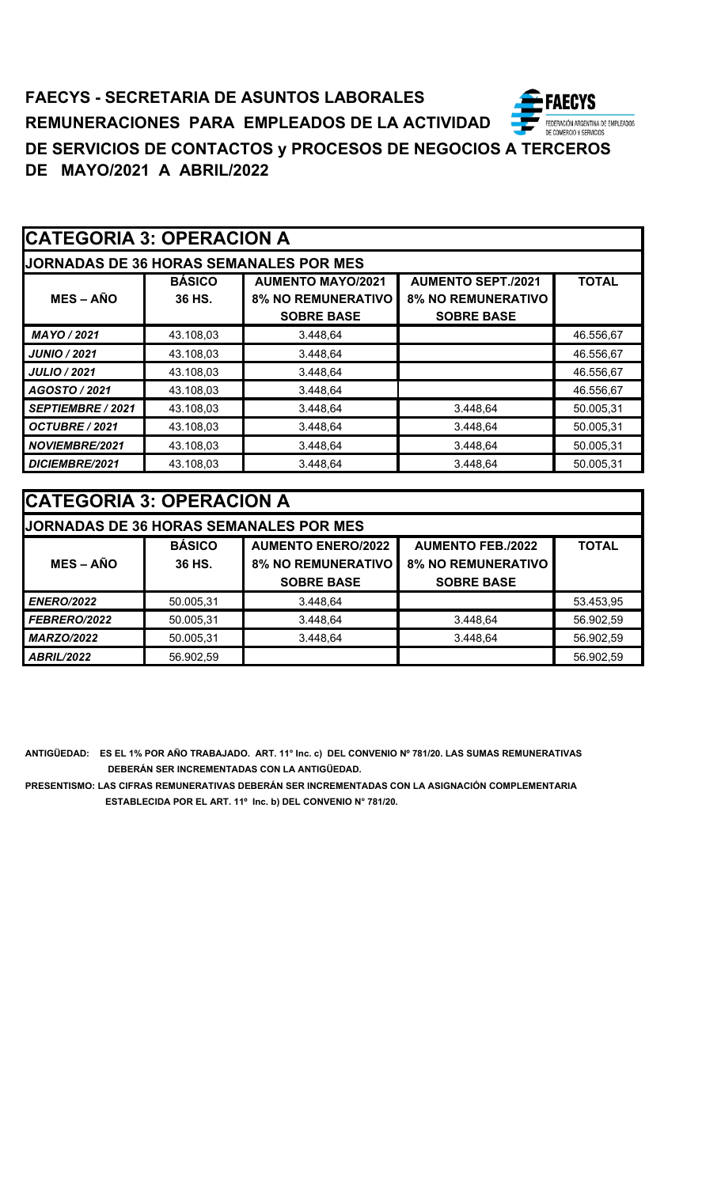| <b>CATEGORIA 3: OPERACION A</b> |  |  |
|---------------------------------|--|--|
|---------------------------------|--|--|

| <b>JORNADAS DE 36 HORAS SEMANALES POR MES</b> |               |                                                |                                                |              |  |  |
|-----------------------------------------------|---------------|------------------------------------------------|------------------------------------------------|--------------|--|--|
|                                               | <b>BÁSICO</b> | <b>AUMENTO MAYO/2021</b>                       | <b>AUMENTO SEPT./2021</b>                      | <b>TOTAL</b> |  |  |
| $MES - AÑO$                                   | 36 HS.        | <b>8% NO REMUNERATIVO</b><br><b>SOBRE BASE</b> | <b>8% NO REMUNERATIVO</b><br><b>SOBRE BASE</b> |              |  |  |
|                                               |               |                                                |                                                |              |  |  |
| MAYO / 2021                                   | 43.108,03     | 3.448,64                                       |                                                | 46.556,67    |  |  |
| <b>JUNIO / 2021</b>                           | 43.108,03     | 3.448,64                                       |                                                | 46.556,67    |  |  |
| <b>JULIO / 2021</b>                           | 43.108,03     | 3.448,64                                       |                                                | 46.556,67    |  |  |
| AGOSTO / 2021                                 | 43.108,03     | 3.448,64                                       |                                                | 46.556,67    |  |  |
| SEPTIEMBRE / 2021                             | 43.108,03     | 3.448,64                                       | 3.448,64                                       | 50.005,31    |  |  |
| OCTUBRE / 2021                                | 43.108,03     | 3.448,64                                       | 3.448,64                                       | 50.005,31    |  |  |
| <b>NOVIEMBRE/2021</b>                         | 43.108,03     | 3.448,64                                       | 3.448,64                                       | 50.005,31    |  |  |
| DICIEMBRE/2021                                | 43.108,03     | 3.448,64                                       | 3.448.64                                       | 50.005,31    |  |  |

| <b>CATEGORIA 3: OPERACION A</b>                    |                                                                        |                                               |                   |           |  |  |
|----------------------------------------------------|------------------------------------------------------------------------|-----------------------------------------------|-------------------|-----------|--|--|
|                                                    |                                                                        | <b>JORNADAS DE 36 HORAS SEMANALES POR MES</b> |                   |           |  |  |
|                                                    | <b>BÁSICO</b><br><b>AUMENTO ENERO/2022</b><br><b>AUMENTO FEB./2022</b> |                                               |                   |           |  |  |
| $MES - AÑO$<br><b>8% NO REMUNERATIVO</b><br>36 HS. |                                                                        | <b>8% NO REMUNERATIVO</b>                     |                   |           |  |  |
|                                                    |                                                                        | <b>SOBRE BASE</b>                             | <b>SOBRE BASE</b> |           |  |  |
| <b>ENERO/2022</b>                                  | 50.005,31                                                              | 3.448,64                                      |                   | 53.453,95 |  |  |
| FEBRERO/2022                                       | 50.005,31                                                              | 3.448,64                                      | 3.448,64          | 56.902,59 |  |  |
| <b>MARZO/2022</b>                                  | 50.005,31                                                              | 3.448,64                                      | 3.448,64          | 56.902,59 |  |  |
| <b>ABRIL/2022</b>                                  | 56.902,59                                                              |                                               |                   | 56.902,59 |  |  |

**ANTIGÜEDAD: ES EL 1% POR AÑO TRABAJADO. ART. 11° Inc. c) DEL CONVENIO Nº 781/20. LAS SUMAS REMUNERATIVAS DEBERÁN SER INCREMENTADAS CON LA ANTIGÜEDAD.**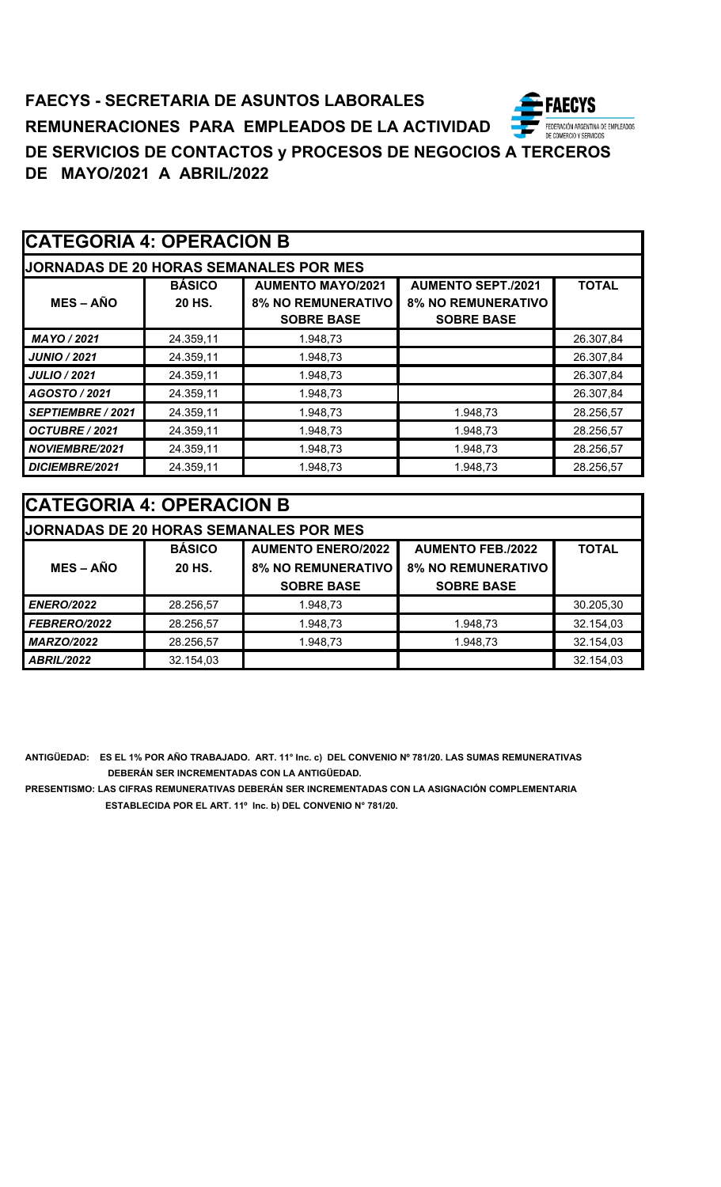# **FAECYS - SECRETARIA DE ASUNTOS LABORALES** FEDERACIÓN ARGENTINA DE EMPLEADOS<br>DE COMERCIO Y SERVICIOS **REMUNERACIONES PARA EMPLEADOS DE LA ACTIVIDAD DE SERVICIOS DE CONTACTOS y PROCESOS DE NEGOCIOS A TERCEROS DE MAYO/2021 A ABRIL/2022**

# **CATEGORIA 4: OPERACION B**

| <b>JORNADAS DE 20 HORAS SEMANALES POR MES</b> |                         |                                                                            |                                                                             |              |  |  |
|-----------------------------------------------|-------------------------|----------------------------------------------------------------------------|-----------------------------------------------------------------------------|--------------|--|--|
| $MES - AÑO$                                   | <b>BÁSICO</b><br>20 HS. | <b>AUMENTO MAYO/2021</b><br><b>8% NO REMUNERATIVO</b><br><b>SOBRE BASE</b> | <b>AUMENTO SEPT./2021</b><br><b>8% NO REMUNERATIVO</b><br><b>SOBRE BASE</b> | <b>TOTAL</b> |  |  |
| MAYO / 2021                                   | 24.359,11               | 1.948,73                                                                   |                                                                             | 26.307,84    |  |  |
| <b>JUNIO / 2021</b>                           | 24.359,11               | 1.948,73                                                                   |                                                                             | 26.307,84    |  |  |
| <b>JULIO / 2021</b>                           | 24.359,11               | 1.948,73                                                                   |                                                                             | 26.307,84    |  |  |
| AGOSTO / 2021                                 | 24.359,11               | 1.948,73                                                                   |                                                                             | 26.307,84    |  |  |
| SEPTIEMBRE / 2021                             | 24.359.11               | 1.948.73                                                                   | 1.948,73                                                                    | 28.256.57    |  |  |
| OCTUBRE / 2021                                | 24.359,11               | 1.948,73                                                                   | 1.948,73                                                                    | 28.256,57    |  |  |
| <b>NOVIEMBRE/2021</b>                         | 24.359,11               | 1.948,73                                                                   | 1.948,73                                                                    | 28.256,57    |  |  |
| DICIEMBRE/2021                                | 24.359,11               | 1.948.73                                                                   | 1.948.73                                                                    | 28.256,57    |  |  |

# **CATEGORIA 4: OPERACION B JORNADAS DE 20 HORAS SEMANALES POR MES BÁSICO AUMENTO ENERO/2022 AUMENTO FEB./2022 TOTAL MES – AÑO 20 HS. 8% NO REMUNERATIVO 8% NO REMUNERATIVO SOBRE BASE SOBRE BASE ENERO/2022** 28.256,57 1.948,73 30.205,30 **FEBRERO/2022** 28.256,57 1.948,73 1.948,73 1.948,73 32.154,03 **MARZO/2022** 28.256,57 1.948,73 1.948,73 1.948,73 32.154,03 *ABRIL/2022* 32.154,03 32.154,03 32.154,03 32.154,03 32.154,03

**ANTIGÜEDAD: ES EL 1% POR AÑO TRABAJADO. ART. 11° Inc. c) DEL CONVENIO Nº 781/20. LAS SUMAS REMUNERATIVAS DEBERÁN SER INCREMENTADAS CON LA ANTIGÜEDAD.**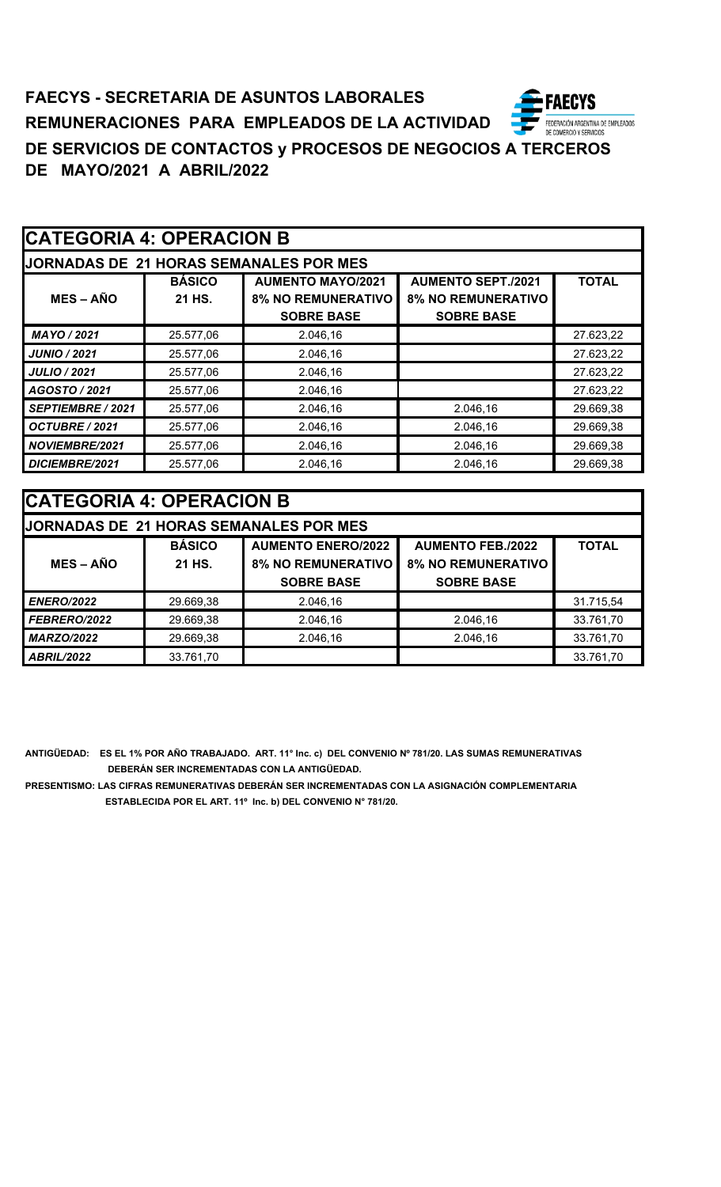# **CATEGORIA 4: OPERACION B**

| ODNADAO DE 04 HODAO OFMANALEO DOD MEC |  |  |
|---------------------------------------|--|--|

| <b>JORNADAS DE 21 HORAS SEMANALES POR MES</b> |               |                                                       |                           |              |  |  |
|-----------------------------------------------|---------------|-------------------------------------------------------|---------------------------|--------------|--|--|
|                                               | <b>BÁSICO</b> | <b>AUMENTO SEPT./2021</b><br><b>AUMENTO MAYO/2021</b> |                           | <b>TOTAL</b> |  |  |
| $MES - A\tilde{N}O$                           | 21 HS.        | <b>8% NO REMUNERATIVO</b>                             | <b>8% NO REMUNERATIVO</b> |              |  |  |
|                                               |               | <b>SOBRE BASE</b>                                     | <b>SOBRE BASE</b>         |              |  |  |
| MAYO / 2021                                   | 25.577,06     | 2.046.16                                              |                           | 27.623,22    |  |  |
| JUNIO / 2021                                  | 25.577,06     | 2.046.16                                              |                           | 27.623,22    |  |  |
| <b>JULIO / 2021</b>                           | 25.577,06     | 2.046,16                                              |                           | 27.623,22    |  |  |
| AGOSTO / 2021                                 | 25.577,06     | 2.046,16                                              |                           | 27.623,22    |  |  |
| <b>SEPTIEMBRE / 2021</b>                      | 25.577,06     | 2.046,16                                              | 2.046,16                  | 29.669,38    |  |  |
| OCTUBRE / 2021                                | 25.577,06     | 2.046.16                                              | 2.046,16                  | 29.669,38    |  |  |
| NOVIEMBRE/2021                                | 25.577,06     | 2.046.16                                              | 2.046,16                  | 29.669,38    |  |  |
| DICIEMBRE/2021                                | 25.577,06     | 2.046,16                                              | 2.046,16                  | 29.669,38    |  |  |

| <b>CATEGORIA 4: OPERACION B</b> |                                                                        |                                        |                           |           |  |  |
|---------------------------------|------------------------------------------------------------------------|----------------------------------------|---------------------------|-----------|--|--|
|                                 |                                                                        | JORNADAS DE 21 HORAS SEMANALES POR MES |                           |           |  |  |
|                                 | <b>BÁSICO</b><br><b>AUMENTO ENERO/2022</b><br><b>AUMENTO FEB./2022</b> |                                        |                           |           |  |  |
| $MES - A\tilde{N}O$             | 21 HS.                                                                 | <b>8% NO REMUNERATIVO</b>              | <b>8% NO REMUNERATIVO</b> |           |  |  |
|                                 |                                                                        | <b>SOBRE BASE</b>                      | <b>SOBRE BASE</b>         |           |  |  |
| <b>ENERO/2022</b>               | 29.669,38                                                              | 2.046,16                               |                           | 31.715,54 |  |  |
| <b>FEBRERO/2022</b>             | 29.669,38                                                              | 2.046,16                               | 2.046,16                  | 33.761,70 |  |  |
| <b>MARZO/2022</b>               | 29.669,38                                                              | 2.046,16                               | 2.046,16                  | 33.761,70 |  |  |
| <b>ABRIL/2022</b>               | 33.761,70                                                              |                                        |                           | 33.761,70 |  |  |

**ANTIGÜEDAD: ES EL 1% POR AÑO TRABAJADO. ART. 11° Inc. c) DEL CONVENIO Nº 781/20. LAS SUMAS REMUNERATIVAS DEBERÁN SER INCREMENTADAS CON LA ANTIGÜEDAD.**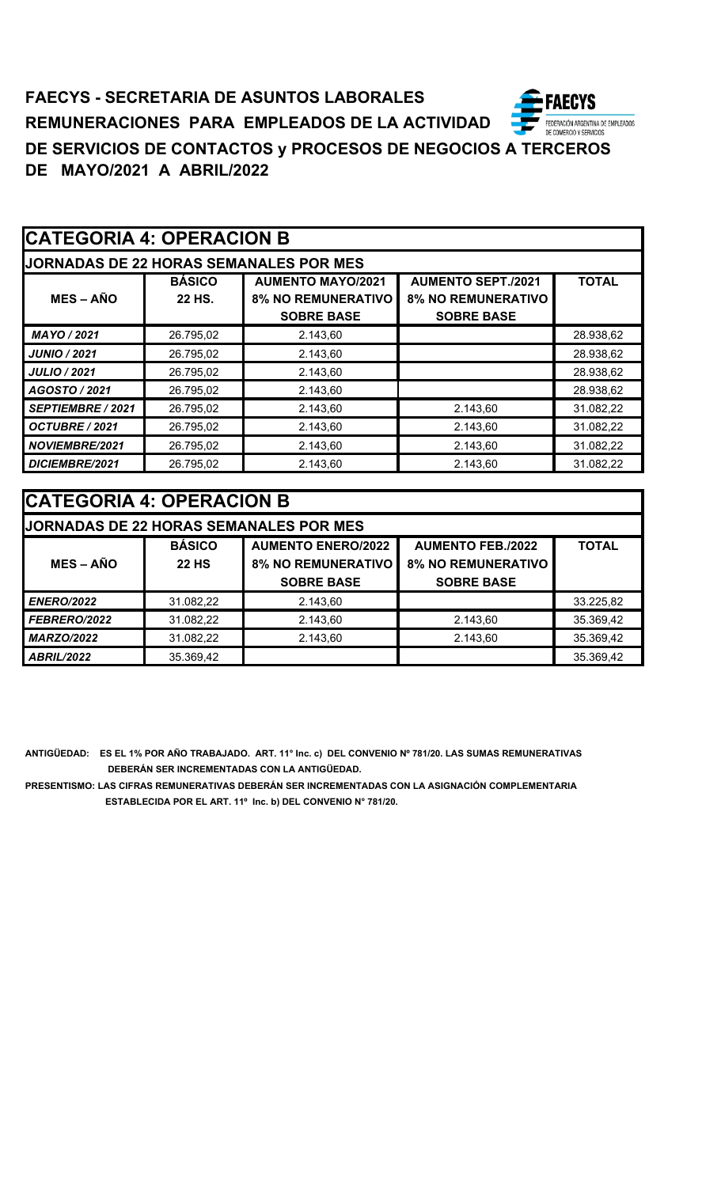# **CATEGORIA 4: OPERACION B**

| IODNADAS DE 22 HODAS SEMANAI ES DOD MES |  |  |  |
|-----------------------------------------|--|--|--|

| <b>JORNADAS DE 22 HORAS SEMANALES POR MES</b> |               |                                                       |                           |              |  |  |
|-----------------------------------------------|---------------|-------------------------------------------------------|---------------------------|--------------|--|--|
|                                               | <b>BÁSICO</b> | <b>AUMENTO SEPT./2021</b><br><b>AUMENTO MAYO/2021</b> |                           | <b>TOTAL</b> |  |  |
| $MES - AÑO$                                   | 22 HS.        | <b>8% NO REMUNERATIVO</b>                             | <b>8% NO REMUNERATIVO</b> |              |  |  |
|                                               |               | <b>SOBRE BASE</b>                                     | <b>SOBRE BASE</b>         |              |  |  |
| MAYO / 2021                                   | 26.795,02     | 2.143.60                                              |                           | 28.938,62    |  |  |
| <b>JUNIO / 2021</b>                           | 26.795,02     | 2.143,60                                              |                           | 28.938,62    |  |  |
| <b>JULIO / 2021</b>                           | 26.795,02     | 2.143,60                                              |                           | 28.938,62    |  |  |
| AGOSTO / 2021                                 | 26.795,02     | 2.143,60                                              |                           | 28.938,62    |  |  |
| SEPTIEMBRE / 2021                             | 26.795,02     | 2.143,60                                              | 2.143,60                  | 31.082,22    |  |  |
| OCTUBRE / 2021                                | 26.795,02     | 2.143,60                                              | 2.143,60                  | 31.082,22    |  |  |
| NOVIEMBRE/2021                                | 26.795,02     | 2.143,60                                              | 2.143,60                  | 31.082,22    |  |  |
| DICIEMBRE/2021                                | 26.795,02     | 2.143.60                                              | 2.143,60                  | 31.082,22    |  |  |

| <b>CATEGORIA 4: OPERACION B</b> |               |                                               |                           |              |  |  |
|---------------------------------|---------------|-----------------------------------------------|---------------------------|--------------|--|--|
|                                 |               | <b>JORNADAS DE 22 HORAS SEMANALES POR MES</b> |                           |              |  |  |
|                                 | <b>BÁSICO</b> | <b>AUMENTO ENERO/2022</b>                     | <b>AUMENTO FEB./2022</b>  | <b>TOTAL</b> |  |  |
| $MES - AÑO$                     | <b>22 HS</b>  | <b>8% NO REMUNERATIVO</b>                     | <b>8% NO REMUNERATIVO</b> |              |  |  |
|                                 |               | <b>SOBRE BASE</b>                             | <b>SOBRE BASE</b>         |              |  |  |
| <b>ENERO/2022</b>               | 31.082,22     | 2.143,60                                      |                           | 33.225,82    |  |  |
| FEBRERO/2022                    | 31.082,22     | 2.143,60                                      | 2.143,60                  | 35.369,42    |  |  |
| <b>MARZO/2022</b>               | 31.082,22     | 2.143.60                                      | 2.143,60                  | 35.369,42    |  |  |
| <b>ABRIL/2022</b>               | 35.369,42     |                                               |                           | 35.369,42    |  |  |

**ANTIGÜEDAD: ES EL 1% POR AÑO TRABAJADO. ART. 11° Inc. c) DEL CONVENIO Nº 781/20. LAS SUMAS REMUNERATIVAS DEBERÁN SER INCREMENTADAS CON LA ANTIGÜEDAD.**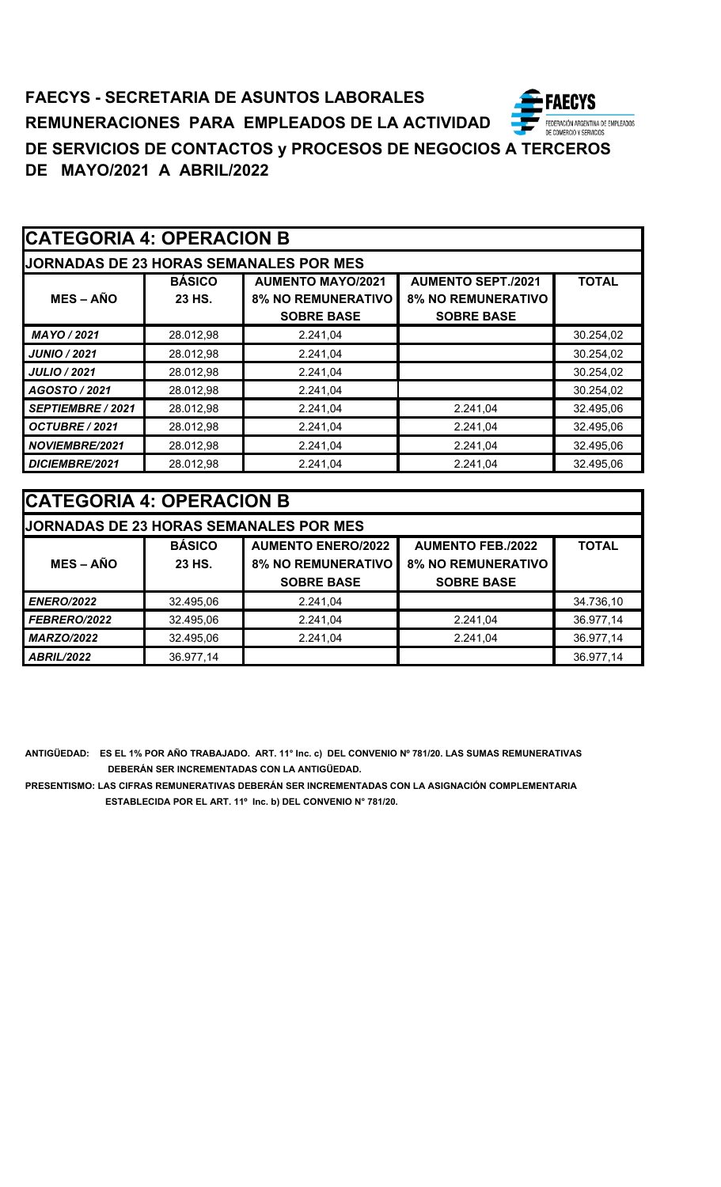# **CATEGORIA 4: OPERACION B**

|  |  | IODNADAS DE 22 HODAS SEMANAI ES DOD MES |  |  |
|--|--|-----------------------------------------|--|--|
|  |  |                                         |  |  |

| <b>JORNADAS DE 23 HORAS SEMANALES POR MES</b> |               |                           |                           |              |  |
|-----------------------------------------------|---------------|---------------------------|---------------------------|--------------|--|
|                                               | <b>BÁSICO</b> | <b>AUMENTO MAYO/2021</b>  | <b>AUMENTO SEPT./2021</b> | <b>TOTAL</b> |  |
| $MES - AÑO$                                   | 23 HS.        | <b>8% NO REMUNERATIVO</b> | <b>8% NO REMUNERATIVO</b> |              |  |
|                                               |               | <b>SOBRE BASE</b>         | <b>SOBRE BASE</b>         |              |  |
| MAYO / 2021                                   | 28.012,98     | 2.241.04                  |                           | 30.254,02    |  |
| <b>JUNIO / 2021</b>                           | 28.012,98     | 2.241.04                  |                           | 30.254,02    |  |
| <b>JULIO / 2021</b>                           | 28.012,98     | 2.241,04                  |                           | 30.254,02    |  |
| AGOSTO / 2021                                 | 28.012,98     | 2.241.04                  |                           | 30.254,02    |  |
| SEPTIEMBRE / 2021                             | 28.012,98     | 2.241,04                  | 2.241,04                  | 32.495,06    |  |
| OCTUBRE / 2021                                | 28.012,98     | 2.241.04                  | 2.241,04                  | 32.495.06    |  |
| <b>NOVIEMBRE/2021</b>                         | 28.012,98     | 2.241,04                  | 2.241,04                  | 32.495,06    |  |
| DICIEMBRE/2021                                | 28.012,98     | 2.241.04                  | 2.241.04                  | 32.495,06    |  |

| <b>CATEGORIA 4: OPERACION B</b> |               |                                               |                           |              |  |
|---------------------------------|---------------|-----------------------------------------------|---------------------------|--------------|--|
|                                 |               | <b>JORNADAS DE 23 HORAS SEMANALES POR MES</b> |                           |              |  |
|                                 | <b>BÁSICO</b> | <b>AUMENTO ENERO/2022</b>                     | <b>AUMENTO FEB./2022</b>  | <b>TOTAL</b> |  |
| $MES - A\tilde{N}O$             | 23 HS.        | <b>8% NO REMUNERATIVO</b>                     | <b>8% NO REMUNERATIVO</b> |              |  |
|                                 |               | <b>SOBRE BASE</b>                             | <b>SOBRE BASE</b>         |              |  |
| <b>ENERO/2022</b>               | 32.495,06     | 2.241,04                                      |                           | 34.736,10    |  |
| FEBRERO/2022                    | 32.495,06     | 2.241,04                                      | 2.241,04                  | 36.977,14    |  |
| <b>MARZO/2022</b>               | 32.495,06     | 2.241,04                                      | 2.241,04                  | 36.977,14    |  |
| <b>ABRIL/2022</b>               | 36.977,14     |                                               |                           | 36.977,14    |  |

**ANTIGÜEDAD: ES EL 1% POR AÑO TRABAJADO. ART. 11° Inc. c) DEL CONVENIO Nº 781/20. LAS SUMAS REMUNERATIVAS DEBERÁN SER INCREMENTADAS CON LA ANTIGÜEDAD.**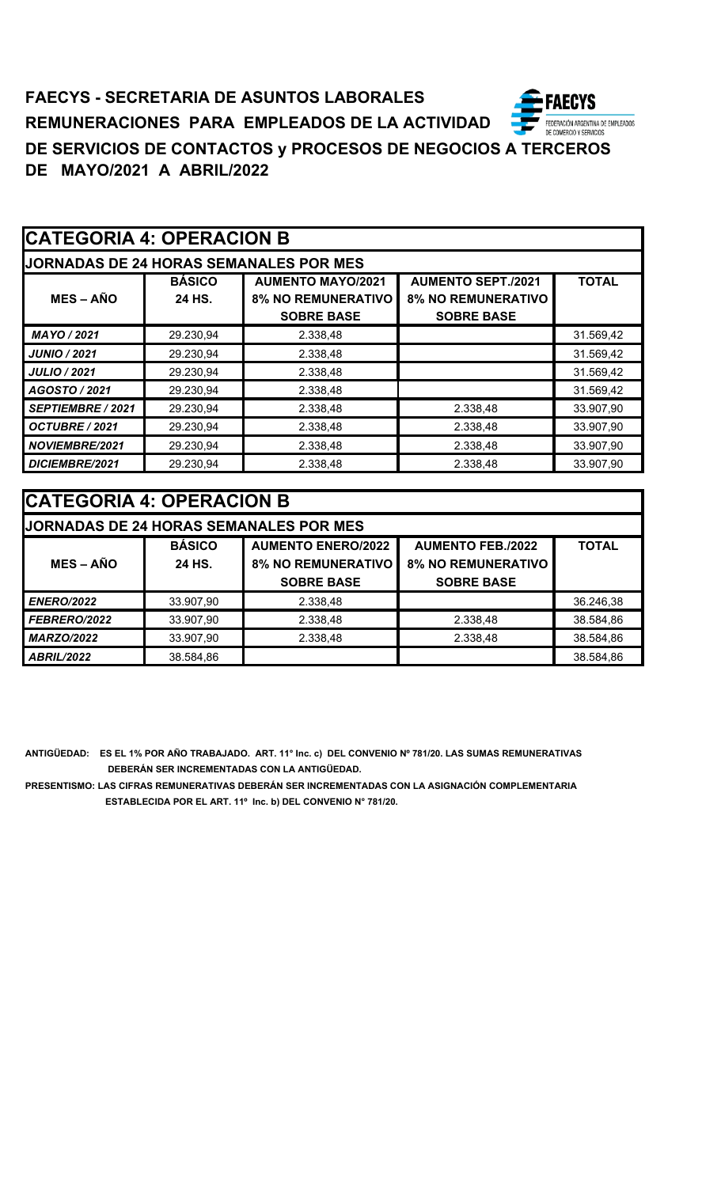| <b>JORNADAS DE 24 HORAS SEMANALES POR MES</b> |                         |                                                       |                                                        |              |  |
|-----------------------------------------------|-------------------------|-------------------------------------------------------|--------------------------------------------------------|--------------|--|
| $MES - AÑO$                                   | <b>BÁSICO</b><br>24 HS. | <b>AUMENTO MAYO/2021</b><br><b>8% NO REMUNERATIVO</b> | <b>AUMENTO SEPT./2021</b><br><b>8% NO REMUNERATIVO</b> | <b>TOTAL</b> |  |
|                                               |                         | <b>SOBRE BASE</b>                                     | <b>SOBRE BASE</b>                                      |              |  |
| MAYO / 2021                                   | 29.230,94               | 2.338,48                                              |                                                        | 31.569,42    |  |
| <b>JUNIO / 2021</b>                           | 29.230,94               | 2.338,48                                              |                                                        | 31.569,42    |  |
| <b>JULIO / 2021</b>                           | 29.230,94               | 2.338,48                                              |                                                        | 31.569,42    |  |
| AGOSTO / 2021                                 | 29.230,94               | 2.338,48                                              |                                                        | 31.569,42    |  |
| SEPTIEMBRE / 2021                             | 29.230,94               | 2.338,48                                              | 2.338,48                                               | 33.907,90    |  |
| OCTUBRE / 2021                                | 29.230,94               | 2.338,48                                              | 2.338,48                                               | 33.907,90    |  |
| <b>NOVIEMBRE/2021</b>                         | 29.230,94               | 2.338,48                                              | 2.338,48                                               | 33.907,90    |  |
| DICIEMBRE/2021                                | 29.230,94               | 2.338,48                                              | 2.338,48                                               | 33.907,90    |  |

| <b>ICATEGORIA 4: OPERACION B</b> |               |                                               |                           |              |  |
|----------------------------------|---------------|-----------------------------------------------|---------------------------|--------------|--|
|                                  |               | <b>JORNADAS DE 24 HORAS SEMANALES POR MES</b> |                           |              |  |
|                                  | <b>BÁSICO</b> | <b>AUMENTO ENERO/2022</b>                     | <b>AUMENTO FEB./2022</b>  | <b>TOTAL</b> |  |
| $MES - AÑO$                      | 24 HS.        | <b>8% NO REMUNERATIVO</b>                     | <b>8% NO REMUNERATIVO</b> |              |  |
|                                  |               | <b>SOBRE BASE</b>                             | <b>SOBRE BASE</b>         |              |  |
| <b>ENERO/2022</b>                | 33.907,90     | 2.338,48                                      |                           | 36.246,38    |  |
| FEBRERO/2022                     | 33.907,90     | 2.338,48                                      | 2.338,48                  | 38.584,86    |  |
| <b>MARZO/2022</b>                | 33.907,90     | 2.338,48                                      | 2.338,48                  | 38.584,86    |  |
| <b>ABRIL/2022</b>                | 38.584,86     |                                               |                           | 38.584,86    |  |

**ANTIGÜEDAD: ES EL 1% POR AÑO TRABAJADO. ART. 11° Inc. c) DEL CONVENIO Nº 781/20. LAS SUMAS REMUNERATIVAS DEBERÁN SER INCREMENTADAS CON LA ANTIGÜEDAD.**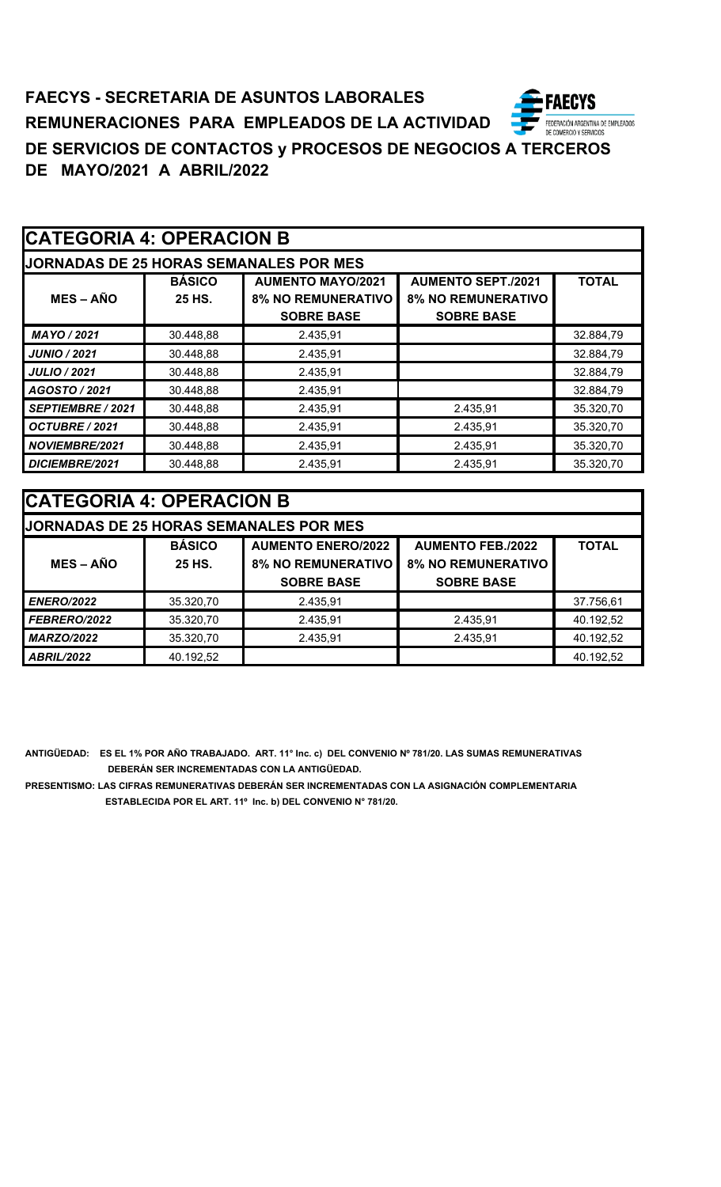# **CATEGORIA 4: OPERACION B**

| IODNADAS DE 25 HODAS SEMANAI ES DOD MES |  |  |  |  |
|-----------------------------------------|--|--|--|--|
|                                         |  |  |  |  |

| <b>JORNADAS DE 25 HORAS SEMANALES POR MES</b> |               |                           |                           |              |  |  |
|-----------------------------------------------|---------------|---------------------------|---------------------------|--------------|--|--|
|                                               | <b>BÁSICO</b> | <b>AUMENTO MAYO/2021</b>  | <b>AUMENTO SEPT./2021</b> | <b>TOTAL</b> |  |  |
| $MES - AÑO$                                   | 25 HS.        | <b>8% NO REMUNERATIVO</b> | <b>8% NO REMUNERATIVO</b> |              |  |  |
|                                               |               | <b>SOBRE BASE</b>         | <b>SOBRE BASE</b>         |              |  |  |
| MAYO / 2021                                   | 30.448,88     | 2.435,91                  |                           | 32.884,79    |  |  |
| <b>JUNIO / 2021</b>                           | 30.448,88     | 2.435,91                  |                           | 32.884,79    |  |  |
| <b>JULIO / 2021</b>                           | 30.448,88     | 2.435,91                  |                           | 32.884,79    |  |  |
| AGOSTO / 2021                                 | 30.448,88     | 2.435,91                  |                           | 32.884,79    |  |  |
| SEPTIEMBRE / 2021                             | 30.448,88     | 2.435,91                  | 2.435,91                  | 35.320,70    |  |  |
| OCTUBRE / 2021                                | 30.448,88     | 2.435,91                  | 2.435,91                  | 35.320,70    |  |  |
| <b>NOVIEMBRE/2021</b>                         | 30.448,88     | 2.435,91                  | 2.435,91                  | 35.320,70    |  |  |
| DICIEMBRE/2021                                | 30.448,88     | 2.435,91                  | 2.435.91                  | 35.320,70    |  |  |

| <b>CATEGORIA 4: OPERACION B</b> |               |                                               |                           |              |  |
|---------------------------------|---------------|-----------------------------------------------|---------------------------|--------------|--|
|                                 |               | <b>JORNADAS DE 25 HORAS SEMANALES POR MES</b> |                           |              |  |
|                                 | <b>BÁSICO</b> | <b>AUMENTO ENERO/2022</b>                     | <b>AUMENTO FEB./2022</b>  | <b>TOTAL</b> |  |
| $MES - A\tilde{N}O$             | 25 HS.        | <b>8% NO REMUNERATIVO</b>                     | <b>8% NO REMUNERATIVO</b> |              |  |
|                                 |               | <b>SOBRE BASE</b>                             | <b>SOBRE BASE</b>         |              |  |
| <b>ENERO/2022</b>               | 35.320,70     | 2.435,91                                      |                           | 37.756,61    |  |
| FEBRERO/2022                    | 35.320,70     | 2.435,91                                      | 2.435,91                  | 40.192,52    |  |
| <b>MARZO/2022</b>               | 35.320,70     | 2.435,91                                      | 2.435,91                  | 40.192,52    |  |
| <b>ABRIL/2022</b>               | 40.192,52     |                                               |                           | 40.192,52    |  |

**ANTIGÜEDAD: ES EL 1% POR AÑO TRABAJADO. ART. 11° Inc. c) DEL CONVENIO Nº 781/20. LAS SUMAS REMUNERATIVAS DEBERÁN SER INCREMENTADAS CON LA ANTIGÜEDAD.**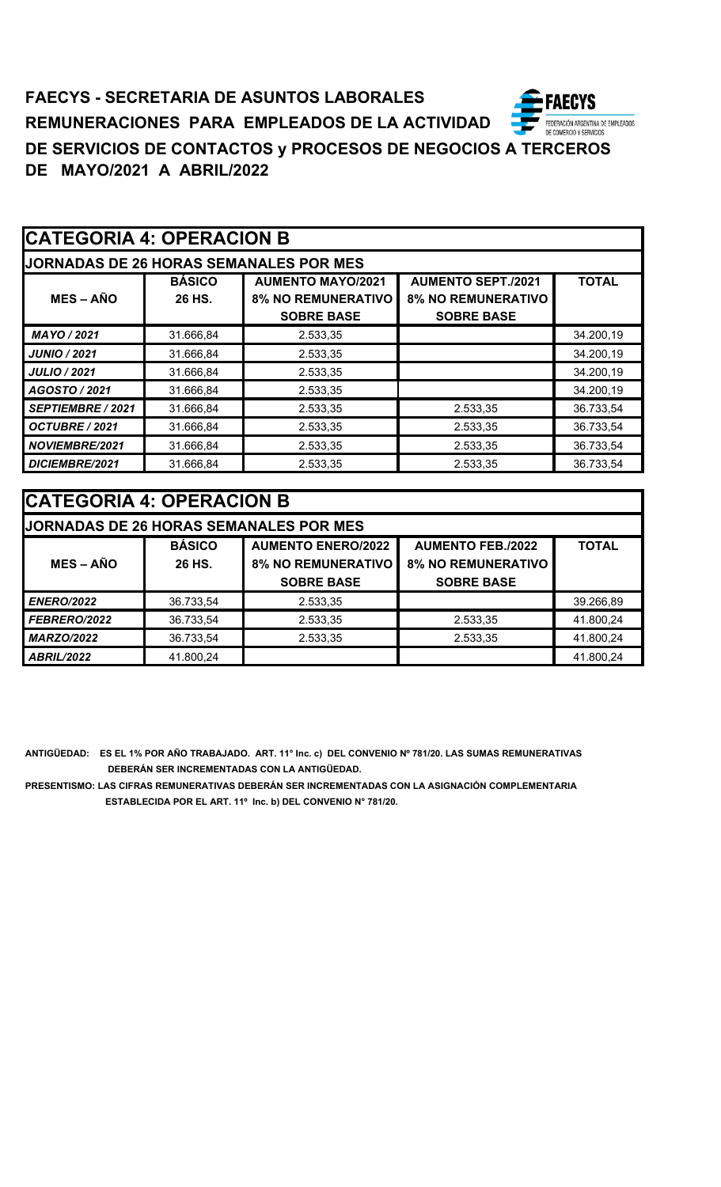| <b>CATEGORIA 4: OPERACION B</b> |
|---------------------------------|
|---------------------------------|

| <b>JORNADAS DE 26 HORAS SEMANALES POR MES</b> |                         |                                                                            |                                                                             |              |  |
|-----------------------------------------------|-------------------------|----------------------------------------------------------------------------|-----------------------------------------------------------------------------|--------------|--|
| <b>MES-AÑO</b>                                | <b>BÁSICO</b><br>26 HS. | <b>AUMENTO MAYO/2021</b><br><b>8% NO REMUNERATIVO</b><br><b>SOBRE BASE</b> | <b>AUMENTO SEPT./2021</b><br><b>8% NO REMUNERATIVO</b><br><b>SOBRE BASE</b> | <b>TOTAL</b> |  |
| MAYO / 2021                                   | 31.666,84               | 2.533,35                                                                   |                                                                             | 34.200,19    |  |
| <b>JUNIO / 2021</b>                           | 31.666,84               | 2.533,35                                                                   |                                                                             | 34.200,19    |  |
| <b>JULIO / 2021</b>                           | 31.666,84               | 2.533,35                                                                   |                                                                             | 34.200,19    |  |
| AGOSTO / 2021                                 | 31.666,84               | 2.533,35                                                                   |                                                                             | 34.200,19    |  |
| SEPTIEMBRE / 2021                             | 31.666,84               | 2.533,35                                                                   | 2.533,35                                                                    | 36.733,54    |  |
| OCTUBRE / 2021                                | 31.666,84               | 2.533,35                                                                   | 2.533,35                                                                    | 36.733,54    |  |
| NOVIEMBRE/2021                                | 31.666,84               | 2.533,35                                                                   | 2.533,35                                                                    | 36.733,54    |  |
| DICIEMBRE/2021                                | 31.666,84               | 2.533,35                                                                   | 2.533,35                                                                    | 36.733,54    |  |

| <b>CATEGORIA 4: OPERACION B</b> |               |                                               |                           |              |  |
|---------------------------------|---------------|-----------------------------------------------|---------------------------|--------------|--|
|                                 |               | <b>JORNADAS DE 26 HORAS SEMANALES POR MES</b> |                           |              |  |
|                                 | <b>BÁSICO</b> | <b>AUMENTO ENERO/2022</b>                     | <b>AUMENTO FEB./2022</b>  | <b>TOTAL</b> |  |
| $MES - A\tilde{N}O$             | 26 HS.        | <b>8% NO REMUNERATIVO</b>                     | <b>8% NO REMUNERATIVO</b> |              |  |
|                                 |               | <b>SOBRE BASE</b>                             | <b>SOBRE BASE</b>         |              |  |
| <b>ENERO/2022</b>               | 36.733,54     | 2.533,35                                      |                           | 39.266,89    |  |
| FEBRERO/2022                    | 36.733,54     | 2.533,35                                      | 2.533,35                  | 41.800,24    |  |
| <b>MARZO/2022</b>               | 36.733,54     | 2.533,35                                      | 2.533,35                  | 41.800,24    |  |
| <b>ABRIL/2022</b>               | 41.800,24     |                                               |                           | 41.800,24    |  |

**ANTIGÜEDAD: ES EL 1% POR AÑO TRABAJADO. ART. 11° Inc. c) DEL CONVENIO Nº 781/20. LAS SUMAS REMUNERATIVAS DEBERÁN SER INCREMENTADAS CON LA ANTIGÜEDAD.**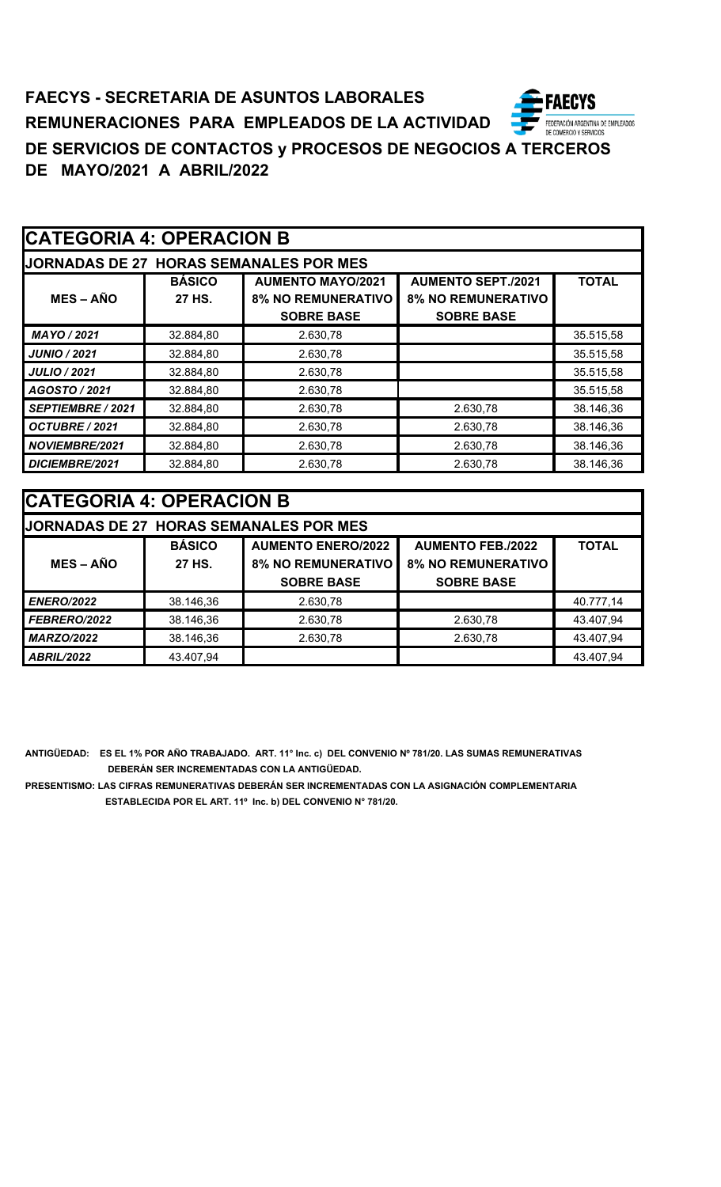# **CATEGORIA 4: OPERACION B**

| IODNADAS DE 27 HODAS SEMANIAI ES DOD MES |  |  |
|------------------------------------------|--|--|

| <b>JORNADAS DE 27 HORAS SEMANALES POR MES</b> |               |                           |                           |              |
|-----------------------------------------------|---------------|---------------------------|---------------------------|--------------|
|                                               | <b>BÁSICO</b> | <b>AUMENTO MAYO/2021</b>  | <b>AUMENTO SEPT./2021</b> | <b>TOTAL</b> |
| <b>MES – AÑO</b>                              | 27 HS.        | <b>8% NO REMUNERATIVO</b> | <b>8% NO REMUNERATIVO</b> |              |
|                                               |               | <b>SOBRE BASE</b>         | <b>SOBRE BASE</b>         |              |
| MAYO / 2021                                   | 32.884,80     | 2.630,78                  |                           | 35.515,58    |
| <b>JUNIO / 2021</b>                           | 32.884,80     | 2.630,78                  |                           | 35.515,58    |
| <b>JULIO / 2021</b>                           | 32.884,80     | 2.630,78                  |                           | 35.515,58    |
| AGOSTO / 2021                                 | 32.884,80     | 2.630,78                  |                           | 35.515,58    |
| <b>SEPTIEMBRE / 2021</b>                      | 32.884,80     | 2.630,78                  | 2.630,78                  | 38.146,36    |
| OCTUBRE / 2021                                | 32.884,80     | 2.630,78                  | 2.630,78                  | 38.146,36    |
| NOVIEMBRE/2021                                | 32.884,80     | 2.630,78                  | 2.630,78                  | 38.146,36    |
| DICIEMBRE/2021                                | 32.884,80     | 2.630,78                  | 2.630,78                  | 38.146,36    |

| <b>CATEGORIA 4: OPERACION B</b> |               |                                        |                           |              |
|---------------------------------|---------------|----------------------------------------|---------------------------|--------------|
|                                 |               | JORNADAS DE 27 HORAS SEMANALES POR MES |                           |              |
|                                 | <b>BÁSICO</b> | <b>AUMENTO ENERO/2022</b>              | <b>AUMENTO FEB./2022</b>  | <b>TOTAL</b> |
| $MES - A\tilde{N}O$             | 27 HS.        | <b>8% NO REMUNERATIVO</b>              | <b>8% NO REMUNERATIVO</b> |              |
|                                 |               | <b>SOBRE BASE</b>                      | <b>SOBRE BASE</b>         |              |
| <b>ENERO/2022</b>               | 38.146,36     | 2.630,78                               |                           | 40.777,14    |
| <b>FEBRERO/2022</b>             | 38.146,36     | 2.630,78                               | 2.630,78                  | 43.407,94    |
| <b>MARZO/2022</b>               | 38.146,36     | 2.630,78                               | 2.630,78                  | 43.407,94    |
| <b>ABRIL/2022</b>               | 43.407,94     |                                        |                           | 43.407,94    |

**ANTIGÜEDAD: ES EL 1% POR AÑO TRABAJADO. ART. 11° Inc. c) DEL CONVENIO Nº 781/20. LAS SUMAS REMUNERATIVAS DEBERÁN SER INCREMENTADAS CON LA ANTIGÜEDAD.**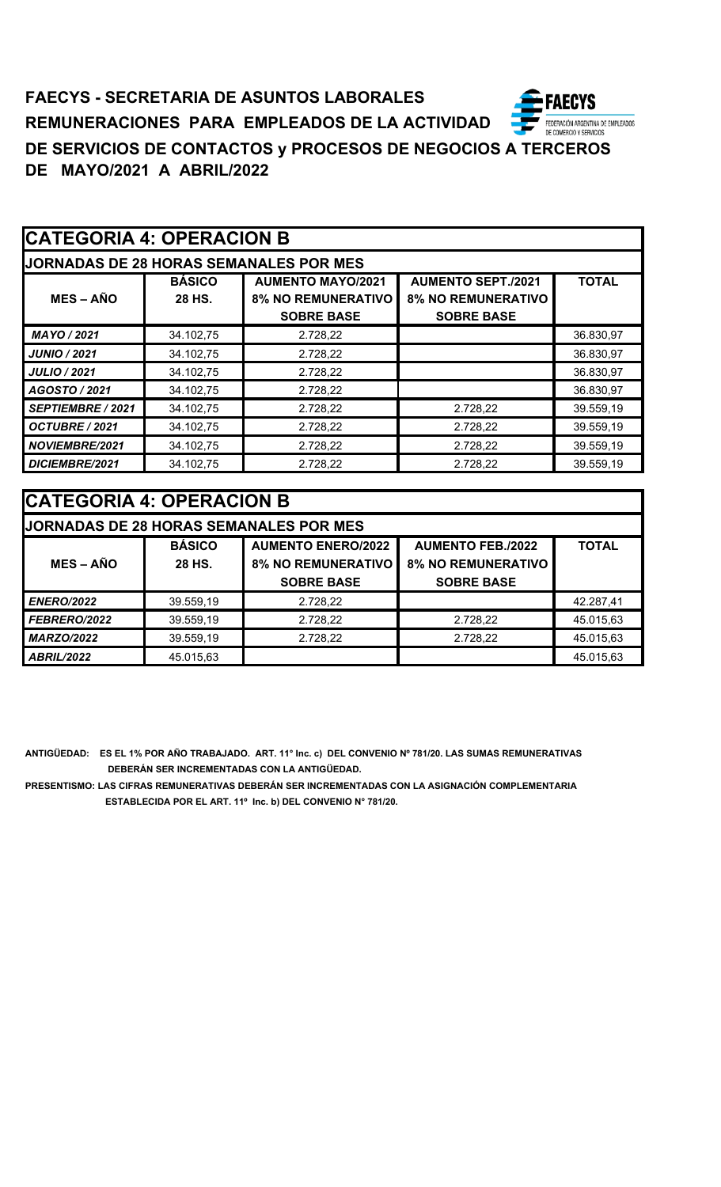# **CATEGORIA 4: OPERACION B**

|  | IODNADAS DE 20 HODAS SEMANAI ES DOD MEI |  |
|--|-----------------------------------------|--|
|  |                                         |  |

| <b>JORNADAS DE 28 HORAS SEMANALES POR MES</b> |               |                           |                           |              |  |
|-----------------------------------------------|---------------|---------------------------|---------------------------|--------------|--|
|                                               | <b>BÁSICO</b> | <b>AUMENTO MAYO/2021</b>  | <b>AUMENTO SEPT./2021</b> | <b>TOTAL</b> |  |
| $MES - AÑO$                                   | 28 HS.        | <b>8% NO REMUNERATIVO</b> | <b>8% NO REMUNERATIVO</b> |              |  |
|                                               |               | <b>SOBRE BASE</b>         | <b>SOBRE BASE</b>         |              |  |
| MAYO / 2021                                   | 34.102,75     | 2.728,22                  |                           | 36.830,97    |  |
| <b>JUNIO / 2021</b>                           | 34.102,75     | 2.728,22                  |                           | 36.830,97    |  |
| <b>JULIO / 2021</b>                           | 34.102,75     | 2.728,22                  |                           | 36.830,97    |  |
| AGOSTO / 2021                                 | 34.102,75     | 2.728,22                  |                           | 36.830,97    |  |
| SEPTIEMBRE / 2021                             | 34.102,75     | 2.728,22                  | 2.728,22                  | 39.559,19    |  |
| OCTUBRE / 2021                                | 34.102,75     | 2.728,22                  | 2.728,22                  | 39.559,19    |  |
| <b>NOVIEMBRE/2021</b>                         | 34.102,75     | 2.728,22                  | 2.728,22                  | 39.559,19    |  |
| DICIEMBRE/2021                                | 34.102,75     | 2.728,22                  | 2.728,22                  | 39.559,19    |  |

| <b>CATEGORIA 4: OPERACION B</b> |               |                                               |                           |              |
|---------------------------------|---------------|-----------------------------------------------|---------------------------|--------------|
|                                 |               | <b>JORNADAS DE 28 HORAS SEMANALES POR MES</b> |                           |              |
|                                 | <b>BÁSICO</b> | <b>AUMENTO ENERO/2022</b>                     | <b>AUMENTO FEB./2022</b>  | <b>TOTAL</b> |
| $MES - AÑO$                     | 28 HS.        | <b>8% NO REMUNERATIVO</b>                     | <b>8% NO REMUNERATIVO</b> |              |
|                                 |               | <b>SOBRE BASE</b>                             | <b>SOBRE BASE</b>         |              |
| <b>ENERO/2022</b>               | 39.559,19     | 2.728,22                                      |                           | 42.287,41    |
| <b>FEBRERO/2022</b>             | 39.559,19     | 2.728,22                                      | 2.728,22                  | 45.015,63    |
| <b>MARZO/2022</b>               | 39.559,19     | 2.728,22                                      | 2.728,22                  | 45.015,63    |
| <b>ABRIL/2022</b>               | 45.015,63     |                                               |                           | 45.015,63    |

**ANTIGÜEDAD: ES EL 1% POR AÑO TRABAJADO. ART. 11° Inc. c) DEL CONVENIO Nº 781/20. LAS SUMAS REMUNERATIVAS DEBERÁN SER INCREMENTADAS CON LA ANTIGÜEDAD.**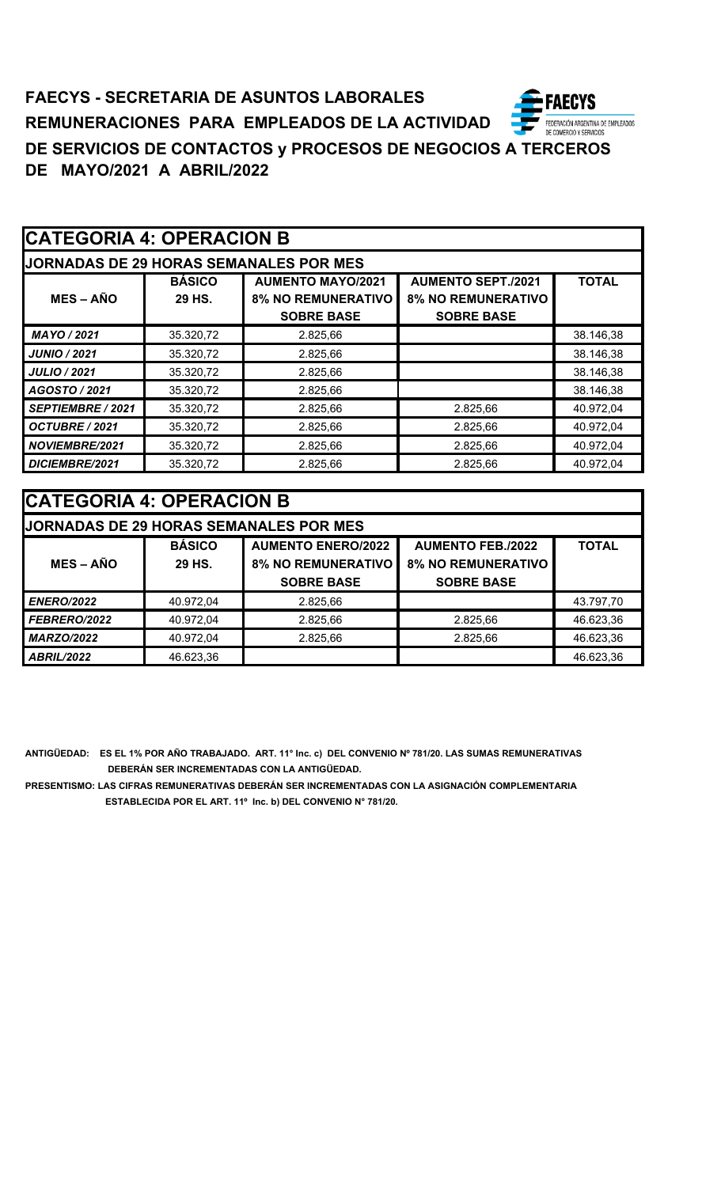# **CATEGORIA 4: OPERACION B**

|  | IODNADAS DE 20 HODAS SEMANAI ES DOD MEG |  |
|--|-----------------------------------------|--|
|  |                                         |  |

| <b>JORNADAS DE 29 HORAS SEMANALES POR MES</b> |               |                           |                           |              |  |
|-----------------------------------------------|---------------|---------------------------|---------------------------|--------------|--|
|                                               | <b>BÁSICO</b> | <b>AUMENTO MAYO/2021</b>  | <b>AUMENTO SEPT./2021</b> | <b>TOTAL</b> |  |
| $MES - AÑO$                                   | 29 HS.        | <b>8% NO REMUNERATIVO</b> | <b>8% NO REMUNERATIVO</b> |              |  |
|                                               |               | <b>SOBRE BASE</b>         | <b>SOBRE BASE</b>         |              |  |
| MAYO / 2021                                   | 35.320,72     | 2.825.66                  |                           | 38.146,38    |  |
| JUNIO / 2021                                  | 35.320,72     | 2.825.66                  |                           | 38.146,38    |  |
| <b>JULIO / 2021</b>                           | 35.320,72     | 2.825,66                  |                           | 38.146,38    |  |
| AGOSTO / 2021                                 | 35.320,72     | 2.825,66                  |                           | 38.146,38    |  |
| <b>SEPTIEMBRE / 2021</b>                      | 35.320,72     | 2.825,66                  | 2.825,66                  | 40.972,04    |  |
| OCTUBRE / 2021                                | 35.320,72     | 2.825,66                  | 2.825,66                  | 40.972,04    |  |
| NOVIEMBRE/2021                                | 35.320,72     | 2.825.66                  | 2.825.66                  | 40.972,04    |  |
| DICIEMBRE/2021                                | 35.320,72     | 2.825,66                  | 2.825,66                  | 40.972,04    |  |

| <b>CATEGORIA 4: OPERACION B</b> |               |                                               |                           |              |
|---------------------------------|---------------|-----------------------------------------------|---------------------------|--------------|
|                                 |               | <b>JORNADAS DE 29 HORAS SEMANALES POR MES</b> |                           |              |
|                                 | <b>BÁSICO</b> | <b>AUMENTO ENERO/2022</b>                     | <b>AUMENTO FEB./2022</b>  | <b>TOTAL</b> |
| $MES - AÑO$                     | 29 HS.        | <b>8% NO REMUNERATIVO</b>                     | <b>8% NO REMUNERATIVO</b> |              |
|                                 |               | <b>SOBRE BASE</b>                             | <b>SOBRE BASE</b>         |              |
| <b>ENERO/2022</b>               | 40.972,04     | 2.825,66                                      |                           | 43.797,70    |
| FEBRERO/2022                    | 40.972,04     | 2.825,66                                      | 2.825,66                  | 46.623,36    |
| <b>MARZO/2022</b>               | 40.972,04     | 2.825,66                                      | 2.825,66                  | 46.623,36    |
| <b>ABRIL/2022</b>               | 46.623,36     |                                               |                           | 46.623,36    |

**ANTIGÜEDAD: ES EL 1% POR AÑO TRABAJADO. ART. 11° Inc. c) DEL CONVENIO Nº 781/20. LAS SUMAS REMUNERATIVAS DEBERÁN SER INCREMENTADAS CON LA ANTIGÜEDAD.**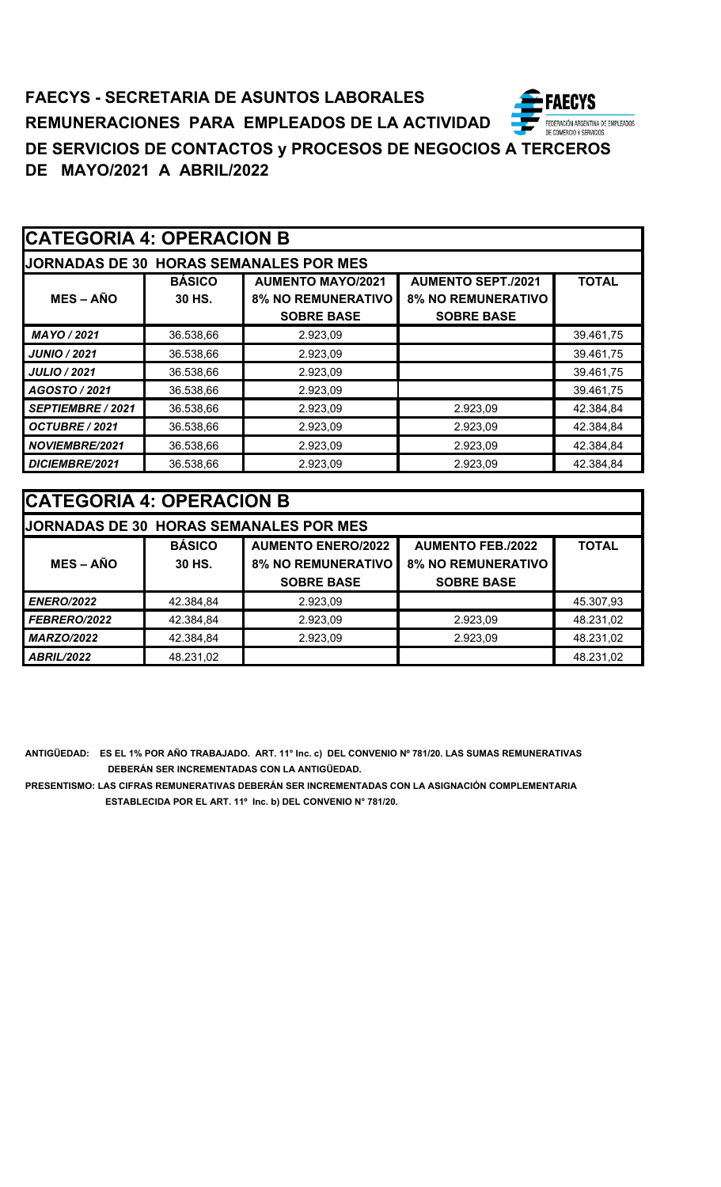| <b>CATEGORIA 4: OPERACION B</b> |                                        |                                                                            |                                                                             |              |  |
|---------------------------------|----------------------------------------|----------------------------------------------------------------------------|-----------------------------------------------------------------------------|--------------|--|
|                                 | JORNADAS DE 30 HORAS SEMANALES POR MES |                                                                            |                                                                             |              |  |
| $MES - AÑO$                     | <b>BÁSICO</b><br>30 HS.                | <b>AUMENTO MAYO/2021</b><br><b>8% NO REMUNERATIVO</b><br><b>SOBRE BASE</b> | <b>AUMENTO SEPT./2021</b><br><b>8% NO REMUNERATIVO</b><br><b>SOBRE BASE</b> | <b>TOTAL</b> |  |
| MAYO / 2021                     | 36.538,66                              | 2.923,09                                                                   |                                                                             | 39.461,75    |  |
| <b>JUNIO / 2021</b>             | 36.538,66                              | 2.923,09                                                                   |                                                                             | 39.461,75    |  |
| <b>JULIO / 2021</b>             | 36.538,66                              | 2.923,09                                                                   |                                                                             | 39.461,75    |  |
| AGOSTO / 2021                   | 36.538,66                              | 2.923,09                                                                   |                                                                             | 39.461,75    |  |
| SEPTIEMBRE / 2021               | 36.538,66                              | 2.923,09                                                                   | 2.923,09                                                                    | 42.384,84    |  |
| OCTUBRE / 2021                  | 36.538,66                              | 2.923,09                                                                   | 2.923,09                                                                    | 42.384,84    |  |
| <b>NOVIEMBRE/2021</b>           | 36.538,66                              | 2.923,09                                                                   | 2.923,09                                                                    | 42.384,84    |  |
| DICIEMBRE/2021                  | 36.538,66                              | 2.923,09                                                                   | 2.923,09                                                                    | 42.384,84    |  |

| <b>ICATEGORIA 4: OPERACION B</b> |               |                                               |                           |              |
|----------------------------------|---------------|-----------------------------------------------|---------------------------|--------------|
|                                  |               | <b>JORNADAS DE 30 HORAS SEMANALES POR MES</b> |                           |              |
|                                  | <b>BÁSICO</b> | <b>AUMENTO ENERO/2022</b>                     | <b>AUMENTO FEB./2022</b>  | <b>TOTAL</b> |
| $MES - AÑO$                      | 30 HS.        | <b>8% NO REMUNERATIVO</b>                     | <b>8% NO REMUNERATIVO</b> |              |
|                                  |               | <b>SOBRE BASE</b>                             | <b>SOBRE BASE</b>         |              |
| <b>ENERO/2022</b>                | 42.384,84     | 2.923.09                                      |                           | 45.307,93    |
| FEBRERO/2022                     | 42.384,84     | 2.923,09                                      | 2.923,09                  | 48.231,02    |
| <b>MARZO/2022</b>                | 42.384,84     | 2.923.09                                      | 2.923,09                  | 48.231,02    |
| <b>ABRIL/2022</b>                | 48.231,02     |                                               |                           | 48.231,02    |

**ANTIGÜEDAD: ES EL 1% POR AÑO TRABAJADO. ART. 11° Inc. c) DEL CONVENIO Nº 781/20. LAS SUMAS REMUNERATIVAS DEBERÁN SER INCREMENTADAS CON LA ANTIGÜEDAD.**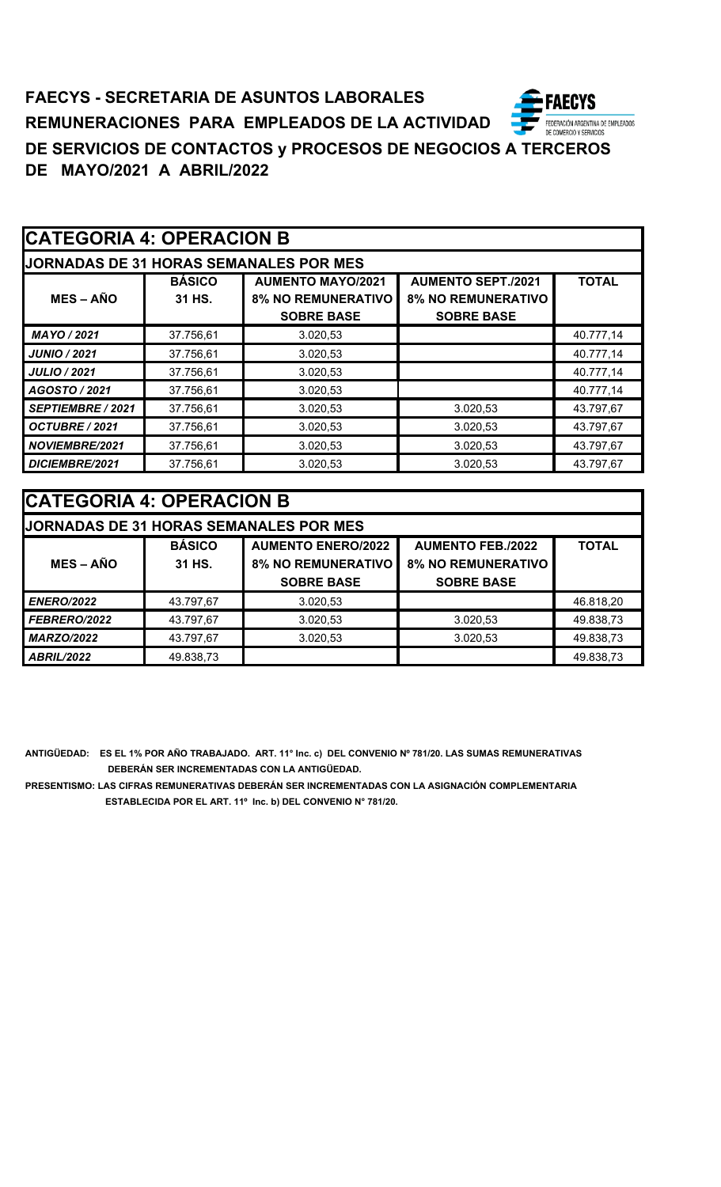# **CATEGORIA 4: OPERACION B**

| <b>JORNADAS DE 31 HORAS SEMANALES POR MES</b> |  |
|-----------------------------------------------|--|
|                                               |  |

| <b>MES – AÑO</b>      | <b>BÁSICO</b><br>31 HS. | <b>AUMENTO MAYO/2021</b><br><b>8% NO REMUNERATIVO</b> | <b>AUMENTO SEPT./2021</b><br><b>8% NO REMUNERATIVO</b> | <b>TOTAL</b> |
|-----------------------|-------------------------|-------------------------------------------------------|--------------------------------------------------------|--------------|
|                       |                         | <b>SOBRE BASE</b>                                     | <b>SOBRE BASE</b>                                      |              |
|                       |                         |                                                       |                                                        |              |
| MAYO / 2021           | 37.756,61               | 3.020,53                                              |                                                        | 40.777,14    |
| JUNIO / 2021          | 37.756,61               | 3.020,53                                              |                                                        | 40.777,14    |
| <b>JULIO / 2021</b>   | 37.756,61               | 3.020,53                                              |                                                        | 40.777,14    |
| AGOSTO / 2021         | 37.756,61               | 3.020,53                                              |                                                        | 40.777,14    |
| SEPTIEMBRE / 2021     | 37.756,61               | 3.020.53                                              | 3.020.53                                               | 43.797,67    |
| OCTUBRE / 2021        | 37.756,61               | 3.020,53                                              | 3.020,53                                               | 43.797,67    |
| <b>NOVIEMBRE/2021</b> | 37.756,61               | 3.020,53                                              | 3.020,53                                               | 43.797,67    |
| DICIEMBRE/2021        | 37.756,61               | 3.020,53                                              | 3.020,53                                               | 43.797,67    |

| <b>CATEGORIA 4: OPERACION B</b> |               |                                               |                           |              |  |  |
|---------------------------------|---------------|-----------------------------------------------|---------------------------|--------------|--|--|
|                                 |               | <b>JORNADAS DE 31 HORAS SEMANALES POR MES</b> |                           |              |  |  |
|                                 | <b>BÁSICO</b> | <b>AUMENTO ENERO/2022</b>                     | <b>AUMENTO FEB./2022</b>  | <b>TOTAL</b> |  |  |
| $MES - AÑO$                     | 31 HS.        | <b>8% NO REMUNERATIVO</b>                     | <b>8% NO REMUNERATIVO</b> |              |  |  |
|                                 |               | <b>SOBRE BASE</b>                             | <b>SOBRE BASE</b>         |              |  |  |
| <b>ENERO/2022</b>               | 43.797,67     | 3.020,53                                      |                           | 46.818,20    |  |  |
| FEBRERO/2022                    | 43.797,67     | 3.020,53                                      | 3.020,53                  | 49.838,73    |  |  |
| <b>MARZO/2022</b>               | 43.797,67     | 3.020,53                                      | 3.020,53                  | 49.838,73    |  |  |
| <b>ABRIL/2022</b>               | 49.838,73     |                                               |                           | 49.838,73    |  |  |

**ANTIGÜEDAD: ES EL 1% POR AÑO TRABAJADO. ART. 11° Inc. c) DEL CONVENIO Nº 781/20. LAS SUMAS REMUNERATIVAS DEBERÁN SER INCREMENTADAS CON LA ANTIGÜEDAD.**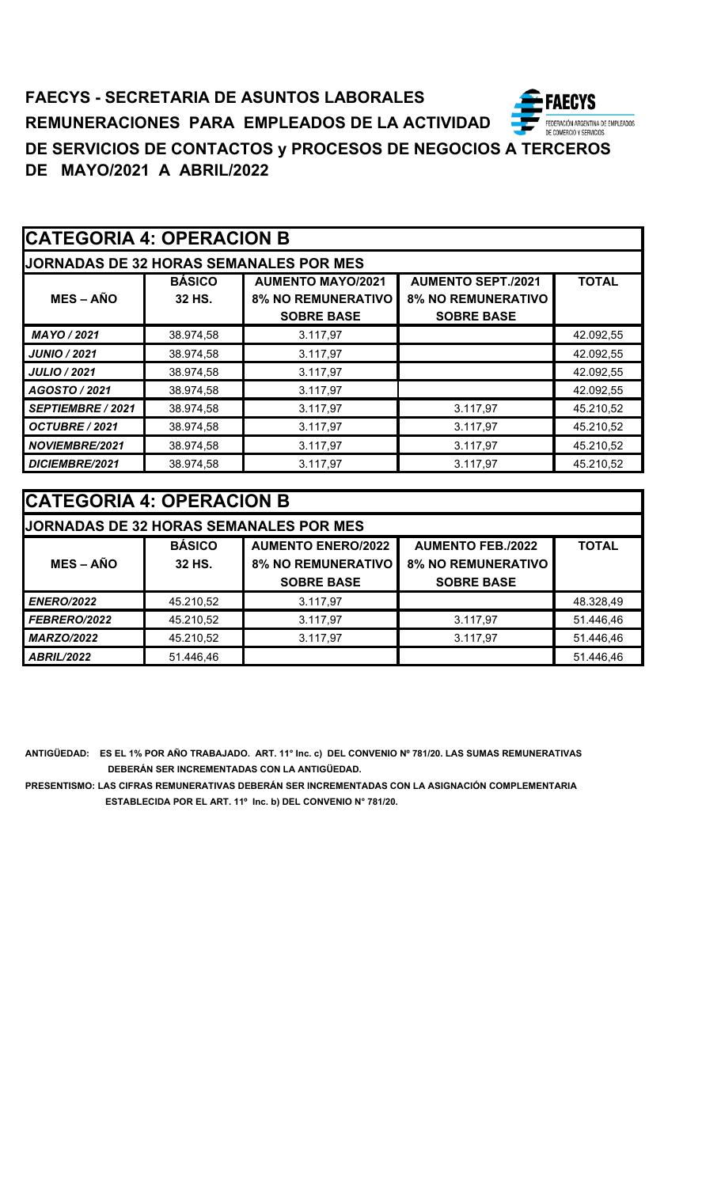| <b>CATEGORIA 4: OPERACION B</b> |  |
|---------------------------------|--|
|---------------------------------|--|

| <b>JJORNADAS DE 32 HORAS SEMANALES POR MES</b> |                         |                                                                            |                                                        |              |  |  |
|------------------------------------------------|-------------------------|----------------------------------------------------------------------------|--------------------------------------------------------|--------------|--|--|
| $MES - AÑO$                                    | <b>BÁSICO</b><br>32 HS. | <b>AUMENTO MAYO/2021</b><br><b>8% NO REMUNERATIVO</b><br><b>SOBRE BASE</b> | <b>AUMENTO SEPT./2021</b><br><b>8% NO REMUNERATIVO</b> | <b>TOTAL</b> |  |  |
|                                                |                         |                                                                            | <b>SOBRE BASE</b>                                      |              |  |  |
| MAYO / 2021                                    | 38.974,58               | 3.117,97                                                                   |                                                        | 42.092,55    |  |  |
| <b>JUNIO / 2021</b>                            | 38.974,58               | 3.117,97                                                                   |                                                        | 42.092,55    |  |  |
| <b>JULIO / 2021</b>                            | 38.974,58               | 3.117,97                                                                   |                                                        | 42.092,55    |  |  |
| AGOSTO / 2021                                  | 38.974,58               | 3.117,97                                                                   |                                                        | 42.092,55    |  |  |
| SEPTIEMBRE / 2021                              | 38.974,58               | 3.117,97                                                                   | 3.117,97                                               | 45.210,52    |  |  |
| OCTUBRE / 2021                                 | 38.974,58               | 3.117,97                                                                   | 3.117,97                                               | 45.210,52    |  |  |
| <b>NOVIEMBRE/2021</b>                          | 38.974,58               | 3.117,97                                                                   | 3.117,97                                               | 45.210,52    |  |  |
| DICIEMBRE/2021                                 | 38.974,58               | 3.117.97                                                                   | 3.117.97                                               | 45.210,52    |  |  |

| <b> CATEGORIA 4: OPERACION B</b> |               |                                               |                           |              |  |  |
|----------------------------------|---------------|-----------------------------------------------|---------------------------|--------------|--|--|
|                                  |               | <b>JORNADAS DE 32 HORAS SEMANALES POR MES</b> |                           |              |  |  |
|                                  | <b>BÁSICO</b> | <b>AUMENTO ENERO/2022</b>                     | <b>AUMENTO FEB./2022</b>  | <b>TOTAL</b> |  |  |
| $MES - AÑO$                      | 32 HS.        | <b>8% NO REMUNERATIVO</b>                     | <b>8% NO REMUNERATIVO</b> |              |  |  |
|                                  |               | <b>SOBRE BASE</b>                             | <b>SOBRE BASE</b>         |              |  |  |
| <b>ENERO/2022</b>                | 45.210,52     | 3.117,97                                      |                           | 48.328,49    |  |  |
| FEBRERO/2022                     | 45.210,52     | 3.117,97                                      | 3.117,97                  | 51.446,46    |  |  |
| <b>MARZO/2022</b>                | 45.210,52     | 3.117.97                                      | 3.117,97                  | 51.446,46    |  |  |
| <b>ABRIL/2022</b>                | 51.446,46     |                                               |                           | 51.446,46    |  |  |

**ANTIGÜEDAD: ES EL 1% POR AÑO TRABAJADO. ART. 11° Inc. c) DEL CONVENIO Nº 781/20. LAS SUMAS REMUNERATIVAS DEBERÁN SER INCREMENTADAS CON LA ANTIGÜEDAD.**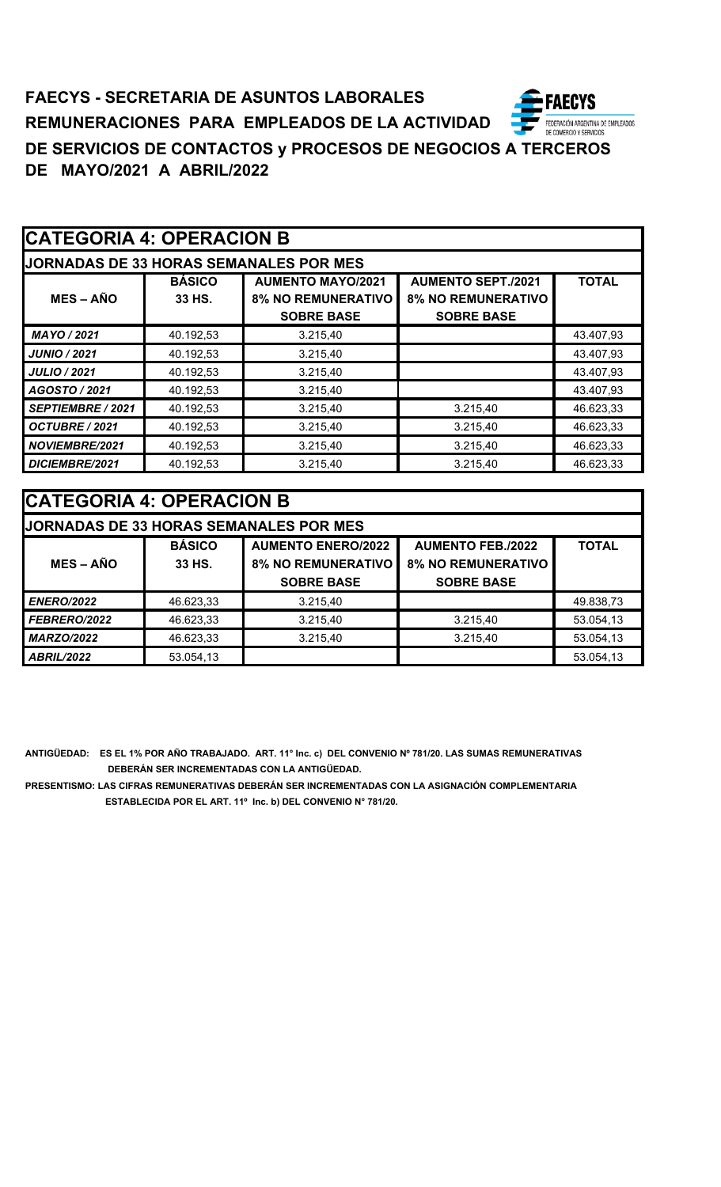| <b>CATEGORIA 4: OPERACION B</b> |
|---------------------------------|
|---------------------------------|

| IODNADAS DE 22 HODAS SEMANAI ES DOD MES |  |  |
|-----------------------------------------|--|--|

| <b>JORNADAS DE 33 HORAS SEMANALES POR MES</b> |               |                           |                           |              |  |  |
|-----------------------------------------------|---------------|---------------------------|---------------------------|--------------|--|--|
|                                               | <b>BÁSICO</b> | <b>AUMENTO MAYO/2021</b>  | <b>AUMENTO SEPT./2021</b> | <b>TOTAL</b> |  |  |
| <b>MES – AÑO</b>                              | 33 HS.        | <b>8% NO REMUNERATIVO</b> | <b>8% NO REMUNERATIVO</b> |              |  |  |
|                                               |               | <b>SOBRE BASE</b>         | <b>SOBRE BASE</b>         |              |  |  |
| MAYO / 2021                                   | 40.192,53     | 3.215.40                  |                           | 43.407,93    |  |  |
| <b>JUNIO / 2021</b>                           | 40.192,53     | 3.215,40                  |                           | 43.407,93    |  |  |
| <b>JULIO / 2021</b>                           | 40.192,53     | 3.215,40                  |                           | 43.407,93    |  |  |
| AGOSTO / 2021                                 | 40.192,53     | 3.215,40                  |                           | 43.407,93    |  |  |
| SEPTIEMBRE / 2021                             | 40.192,53     | 3.215,40                  | 3.215,40                  | 46.623,33    |  |  |
| OCTUBRE / 2021                                | 40.192,53     | 3.215,40                  | 3.215,40                  | 46.623,33    |  |  |
| NOVIEMBRE/2021                                | 40.192,53     | 3.215,40                  | 3.215,40                  | 46.623,33    |  |  |
| <b>DICIEMBRE/2021</b>                         | 40.192,53     | 3.215,40                  | 3.215,40                  | 46.623,33    |  |  |

| <b>CATEGORIA 4: OPERACION B</b> |               |                                               |                           |              |  |  |
|---------------------------------|---------------|-----------------------------------------------|---------------------------|--------------|--|--|
|                                 |               | <b>JORNADAS DE 33 HORAS SEMANALES POR MES</b> |                           |              |  |  |
|                                 | <b>BÁSICO</b> | <b>AUMENTO ENERO/2022</b>                     | <b>AUMENTO FEB./2022</b>  | <b>TOTAL</b> |  |  |
| $MES - A\tilde{N}O$             | 33 HS.        | <b>8% NO REMUNERATIVO</b>                     | <b>8% NO REMUNERATIVO</b> |              |  |  |
|                                 |               | <b>SOBRE BASE</b>                             | <b>SOBRE BASE</b>         |              |  |  |
| <b>ENERO/2022</b>               | 46.623,33     | 3.215,40                                      |                           | 49.838,73    |  |  |
| FEBRERO/2022                    | 46.623,33     | 3.215,40                                      | 3.215,40                  | 53.054,13    |  |  |
| <b>MARZO/2022</b>               | 46.623,33     | 3.215,40                                      | 3.215,40                  | 53.054,13    |  |  |
| <b>ABRIL/2022</b>               | 53.054,13     |                                               |                           | 53.054,13    |  |  |

**ANTIGÜEDAD: ES EL 1% POR AÑO TRABAJADO. ART. 11° Inc. c) DEL CONVENIO Nº 781/20. LAS SUMAS REMUNERATIVAS DEBERÁN SER INCREMENTADAS CON LA ANTIGÜEDAD.**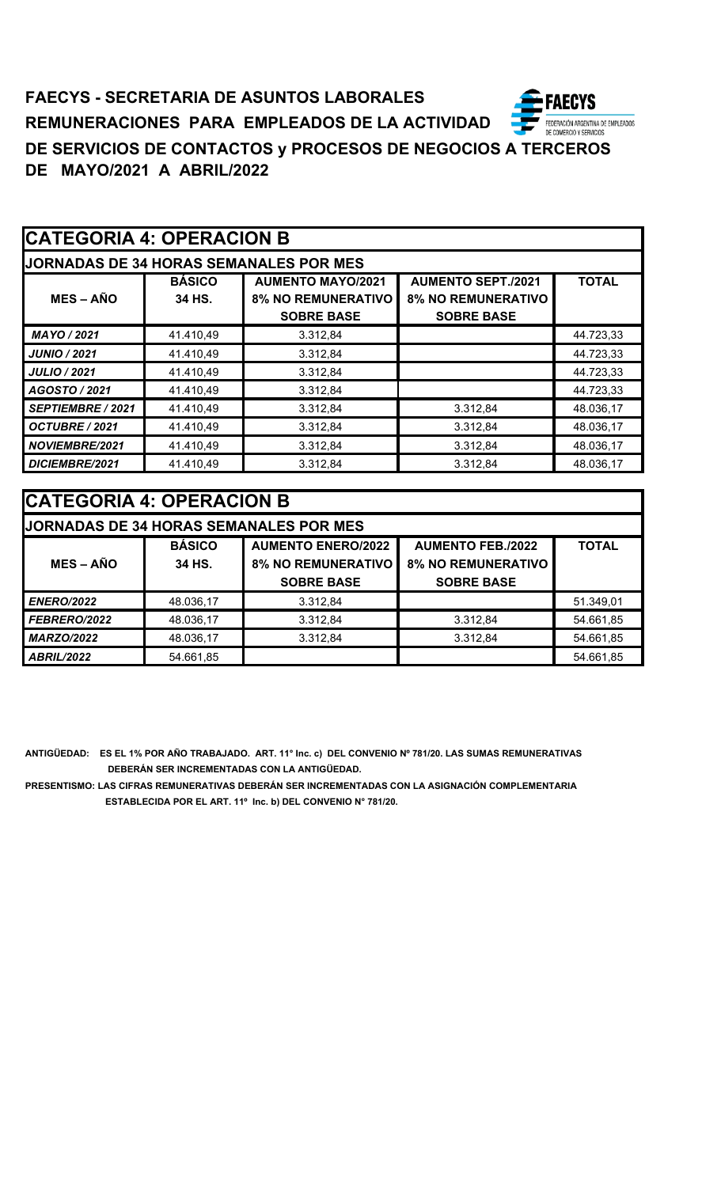| <b>CATEGORIA 4: OPERACION B</b> |
|---------------------------------|
|---------------------------------|

| <b>JJORNADAS DE 34 HORAS SEMANALES POR MES</b> |               |                           |                           |              |  |  |
|------------------------------------------------|---------------|---------------------------|---------------------------|--------------|--|--|
|                                                | <b>BÁSICO</b> | <b>AUMENTO MAYO/2021</b>  | <b>AUMENTO SEPT./2021</b> | <b>TOTAL</b> |  |  |
| $MES - AÑO$                                    | 34 HS.        | <b>8% NO REMUNERATIVO</b> | <b>8% NO REMUNERATIVO</b> |              |  |  |
|                                                |               | <b>SOBRE BASE</b>         | <b>SOBRE BASE</b>         |              |  |  |
| MAYO / 2021                                    | 41.410,49     | 3.312,84                  |                           | 44.723,33    |  |  |
| <b>JUNIO / 2021</b>                            | 41.410,49     | 3.312,84                  |                           | 44.723,33    |  |  |
| <b>JULIO / 2021</b>                            | 41.410,49     | 3.312,84                  |                           | 44.723,33    |  |  |
| AGOSTO / 2021                                  | 41.410,49     | 3.312,84                  |                           | 44.723,33    |  |  |
| <b>SEPTIEMBRE / 2021</b>                       | 41.410,49     | 3.312,84                  | 3.312,84                  | 48.036,17    |  |  |
| OCTUBRE / 2021                                 | 41.410,49     | 3.312.84                  | 3.312.84                  | 48.036,17    |  |  |
| <b>NOVIEMBRE/2021</b>                          | 41.410,49     | 3.312,84                  | 3.312,84                  | 48.036,17    |  |  |
| DICIEMBRE/2021                                 | 41.410,49     | 3.312,84                  | 3.312,84                  | 48.036,17    |  |  |

| <b>CATEGORIA 4: OPERACION B</b> |               |                                               |                           |              |  |  |
|---------------------------------|---------------|-----------------------------------------------|---------------------------|--------------|--|--|
|                                 |               | <b>JORNADAS DE 34 HORAS SEMANALES POR MES</b> |                           |              |  |  |
|                                 | <b>BÁSICO</b> | <b>AUMENTO ENERO/2022</b>                     | <b>AUMENTO FEB./2022</b>  | <b>TOTAL</b> |  |  |
| $MES - AÑO$                     | 34 HS.        | <b>8% NO REMUNERATIVO</b>                     | <b>8% NO REMUNERATIVO</b> |              |  |  |
|                                 |               | <b>SOBRE BASE</b>                             | <b>SOBRE BASE</b>         |              |  |  |
| <b>ENERO/2022</b>               | 48.036,17     | 3.312,84                                      |                           | 51.349,01    |  |  |
| FEBRERO/2022                    | 48.036,17     | 3.312,84                                      | 3.312,84                  | 54.661,85    |  |  |
| <b>MARZO/2022</b>               | 48.036,17     | 3.312,84                                      | 3.312,84                  | 54.661,85    |  |  |
| <b>ABRIL/2022</b>               | 54.661,85     |                                               |                           | 54.661,85    |  |  |

**ANTIGÜEDAD: ES EL 1% POR AÑO TRABAJADO. ART. 11° Inc. c) DEL CONVENIO Nº 781/20. LAS SUMAS REMUNERATIVAS DEBERÁN SER INCREMENTADAS CON LA ANTIGÜEDAD.**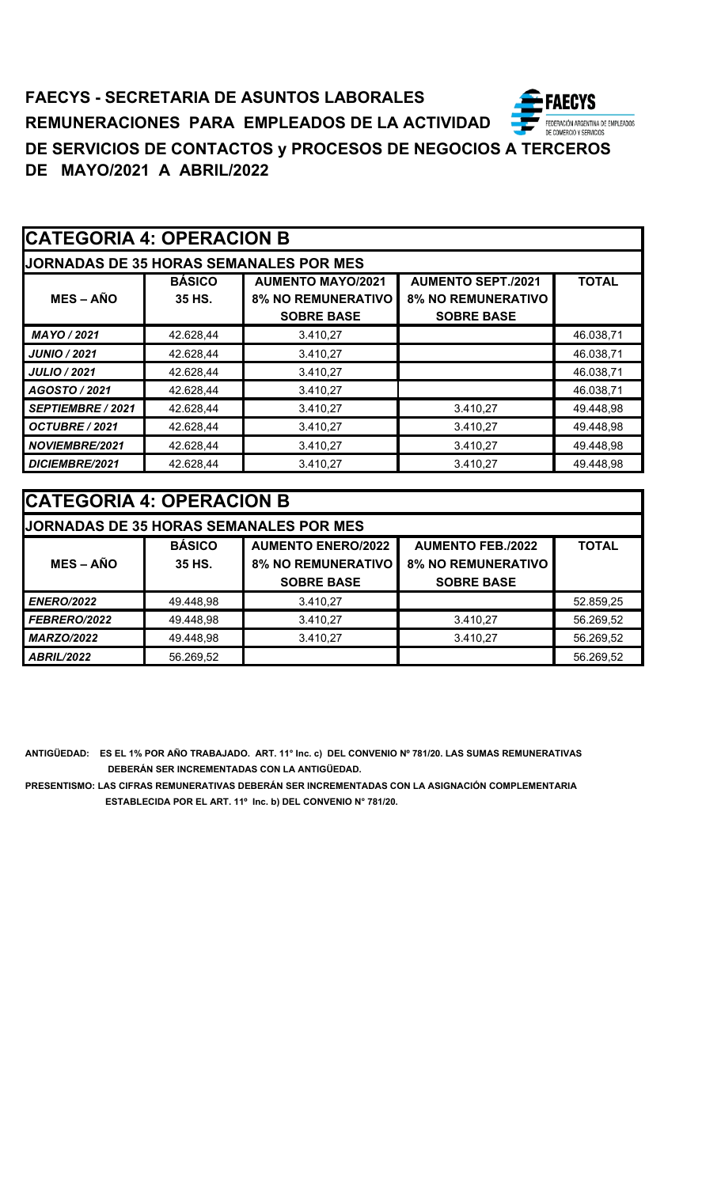| <b>CATEGORIA 4: OPERACION B</b> |  |
|---------------------------------|--|
|---------------------------------|--|

| IODNIA DA CIDE OF HODA CIDEANIAL ECIDO NEC |  |  |
|--------------------------------------------|--|--|

| <b>JORNADAS DE 35 HORAS SEMANALES POR MES</b> |               |                           |                           |              |  |
|-----------------------------------------------|---------------|---------------------------|---------------------------|--------------|--|
|                                               | <b>BÁSICO</b> | <b>AUMENTO MAYO/2021</b>  | <b>AUMENTO SEPT./2021</b> | <b>TOTAL</b> |  |
| <b>MES – AÑO</b>                              | 35 HS.        | <b>8% NO REMUNERATIVO</b> | <b>8% NO REMUNERATIVO</b> |              |  |
|                                               |               | <b>SOBRE BASE</b>         | <b>SOBRE BASE</b>         |              |  |
| MAYO / 2021                                   | 42.628,44     | 3.410,27                  |                           | 46.038,71    |  |
| <b>JUNIO / 2021</b>                           | 42.628.44     | 3.410.27                  |                           | 46.038,71    |  |
| <b>JULIO / 2021</b>                           | 42.628,44     | 3.410,27                  |                           | 46.038,71    |  |
| AGOSTO / 2021                                 | 42.628,44     | 3.410,27                  |                           | 46.038,71    |  |
| <b>SEPTIEMBRE / 2021</b>                      | 42.628,44     | 3.410,27                  | 3.410,27                  | 49.448,98    |  |
| OCTUBRE / 2021                                | 42.628,44     | 3.410.27                  | 3.410,27                  | 49.448,98    |  |
| NOVIEMBRE/2021                                | 42.628,44     | 3.410,27                  | 3.410,27                  | 49.448,98    |  |
| DICIEMBRE/2021                                | 42.628,44     | 3.410,27                  | 3.410.27                  | 49.448.98    |  |

| <b>CATEGORIA 4: OPERACION B</b>               |               |                           |                           |              |
|-----------------------------------------------|---------------|---------------------------|---------------------------|--------------|
| <b>JORNADAS DE 35 HORAS SEMANALES POR MES</b> |               |                           |                           |              |
|                                               | <b>BÁSICO</b> | <b>AUMENTO ENERO/2022</b> | <b>AUMENTO FEB./2022</b>  | <b>TOTAL</b> |
| $MES - A\tilde{N}O$                           | 35 HS.        | <b>8% NO REMUNERATIVO</b> | <b>8% NO REMUNERATIVO</b> |              |
|                                               |               | <b>SOBRE BASE</b>         | <b>SOBRE BASE</b>         |              |
| <b>ENERO/2022</b>                             | 49.448,98     | 3.410,27                  |                           | 52.859,25    |
| FEBRERO/2022                                  | 49.448,98     | 3.410,27                  | 3.410,27                  | 56.269,52    |
| <b>MARZO/2022</b>                             | 49.448,98     | 3.410,27                  | 3.410,27                  | 56.269,52    |
| <b>ABRIL/2022</b>                             | 56.269,52     |                           |                           | 56.269,52    |

**ANTIGÜEDAD: ES EL 1% POR AÑO TRABAJADO. ART. 11° Inc. c) DEL CONVENIO Nº 781/20. LAS SUMAS REMUNERATIVAS DEBERÁN SER INCREMENTADAS CON LA ANTIGÜEDAD.**